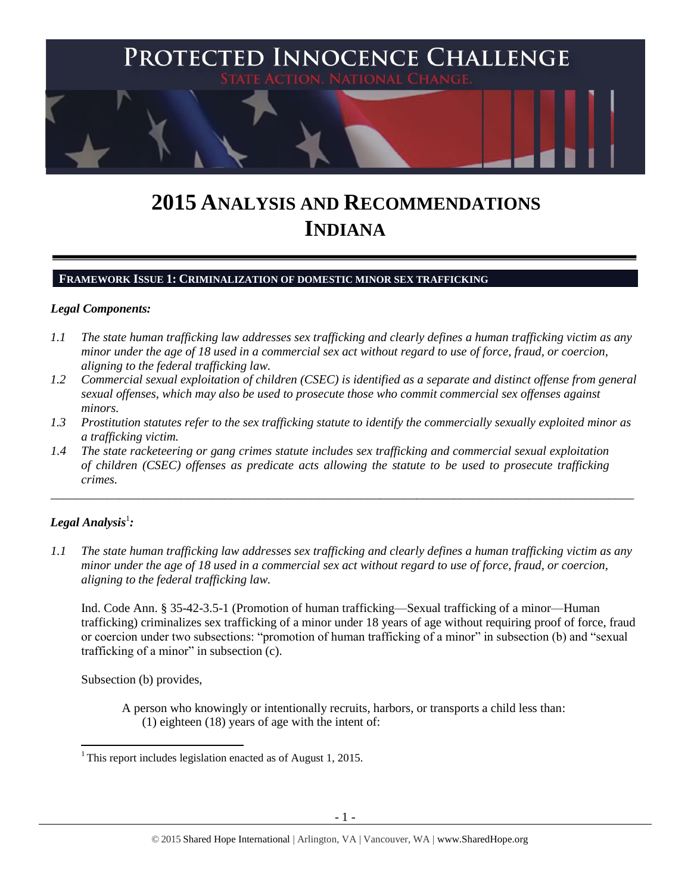

# **2015 ANALYSIS AND RECOMMENDATIONS INDIANA**

#### **FRAMEWORK ISSUE 1: CRIMINALIZATION OF DOMESTIC MINOR SEX TRAFFICKING**

#### *Legal Components:*

- *1.1 The state human trafficking law addresses sex trafficking and clearly defines a human trafficking victim as any minor under the age of 18 used in a commercial sex act without regard to use of force, fraud, or coercion, aligning to the federal trafficking law.*
- *1.2 Commercial sexual exploitation of children (CSEC) is identified as a separate and distinct offense from general sexual offenses, which may also be used to prosecute those who commit commercial sex offenses against minors.*
- *1.3 Prostitution statutes refer to the sex trafficking statute to identify the commercially sexually exploited minor as a trafficking victim.*

\_\_\_\_\_\_\_\_\_\_\_\_\_\_\_\_\_\_\_\_\_\_\_\_\_\_\_\_\_\_\_\_\_\_\_\_\_\_\_\_\_\_\_\_\_\_\_\_\_\_\_\_\_\_\_\_\_\_\_\_\_\_\_\_\_\_\_\_\_\_\_\_\_\_\_\_\_\_\_\_\_\_\_\_\_\_\_\_\_\_\_\_\_\_

*1.4 The state racketeering or gang crimes statute includes sex trafficking and commercial sexual exploitation of children (CSEC) offenses as predicate acts allowing the statute to be used to prosecute trafficking crimes.* 

# $\bm{L}$ egal Analysis $^1$ :

 $\overline{\phantom{a}}$ 

*1.1 The state human trafficking law addresses sex trafficking and clearly defines a human trafficking victim as any minor under the age of 18 used in a commercial sex act without regard to use of force, fraud, or coercion, aligning to the federal trafficking law.*

Ind. Code Ann. § 35-42-3.5-1 (Promotion of human trafficking—Sexual trafficking of a minor—Human trafficking) criminalizes sex trafficking of a minor under 18 years of age without requiring proof of force, fraud or coercion under two subsections: "promotion of human trafficking of a minor" in subsection (b) and "sexual trafficking of a minor" in subsection (c).

Subsection (b) provides,

A person who knowingly or intentionally recruits, harbors, or transports a child less than: (1) eighteen (18) years of age with the intent of:

<sup>&</sup>lt;sup>1</sup> This report includes legislation enacted as of August 1, 2015.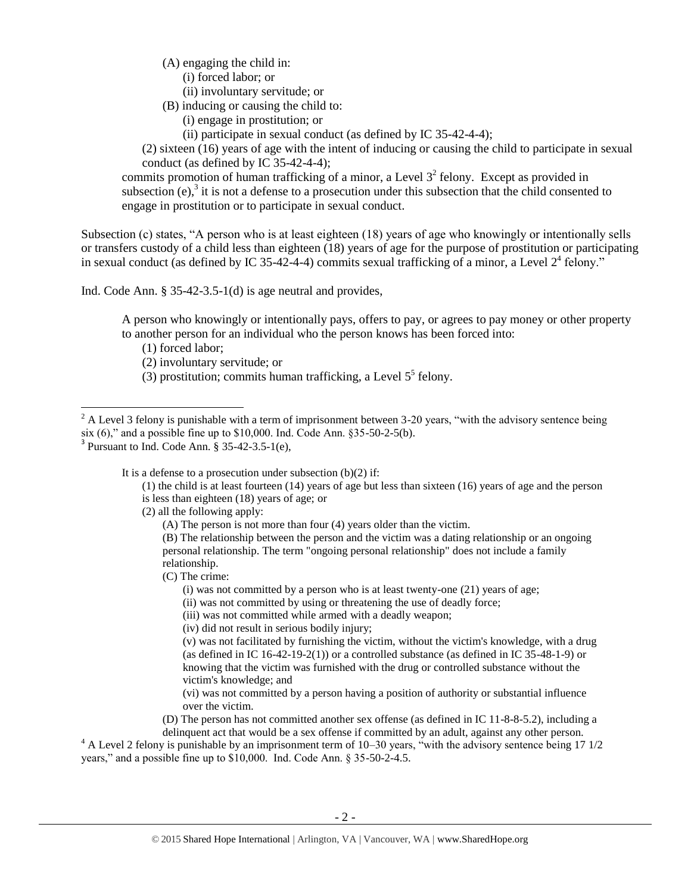- (A) engaging the child in:
	- (i) forced labor; or
	- (ii) involuntary servitude; or
- <span id="page-1-2"></span><span id="page-1-1"></span>(B) inducing or causing the child to:
	- (i) engage in prostitution; or
	- (ii) participate in sexual conduct (as defined by IC 35-42-4-4);

(2) sixteen (16) years of age with the intent of inducing or causing the child to participate in sexual conduct (as defined by IC 35-42-4-4);

commits promotion of human trafficking of a minor, a Level  $3<sup>2</sup>$  felony. Except as provided in subsection  $(e)$ , it is not a defense to a prosecution under this subsection that the child consented to engage in prostitution or to participate in sexual conduct.

Subsection (c) states, "A person who is at least eighteen (18) years of age who knowingly or intentionally sells or transfers custody of a child less than eighteen (18) years of age for the purpose of prostitution or participating in sexual conduct (as defined by IC 35-42-4-4) commits sexual trafficking of a minor, a Level  $2^4$  felony."

Ind. Code Ann. § 35-42-3.5-1(d) is age neutral and provides,

A person who knowingly or intentionally pays, offers to pay, or agrees to pay money or other property to another person for an individual who the person knows has been forced into:

(1) forced labor;

l

(2) involuntary servitude; or

<span id="page-1-0"></span>(3) prostitution; commits human trafficking, a Level  $5<sup>5</sup>$  felony.

It is a defense to a prosecution under subsection (b)(2) if:

- (1) the child is at least fourteen (14) years of age but less than sixteen (16) years of age and the person is less than eighteen (18) years of age; or
- (2) all the following apply:
	- (A) The person is not more than four (4) years older than the victim.

(B) The relationship between the person and the victim was a dating relationship or an ongoing personal relationship. The term "ongoing personal relationship" does not include a family relationship.

(C) The crime:

(i) was not committed by a person who is at least twenty-one (21) years of age;

- (ii) was not committed by using or threatening the use of deadly force;
- (iii) was not committed while armed with a deadly weapon;
- (iv) did not result in serious bodily injury;

(v) was not facilitated by furnishing the victim, without the victim's knowledge, with a drug (as defined in IC 16-42-19-2(1)) or a controlled substance (as defined in IC 35-48-1-9) or knowing that the victim was furnished with the drug or controlled substance without the victim's knowledge; and

(vi) was not committed by a person having a position of authority or substantial influence over the victim.

(D) The person has not committed another sex offense (as defined in IC 11-8-8-5.2), including a delinquent act that would be a sex offense if committed by an adult, against any other person.

<sup>4</sup> A Level 2 felony is punishable by an imprisonment term of 10–30 years, "with the advisory sentence being 17 1/2 years," and a possible fine up to \$10,000. Ind. Code Ann. § 35-50-2-4.5.

 $2^2$  A Level 3 felony is punishable with a term of imprisonment between 3-20 years, "with the advisory sentence being six (6)," and a possible fine up to \$10,000. Ind. Code Ann. §35-50-2-5(b).

 $3$  Pursuant to Ind. Code Ann.  $\S 35-42-3.5-1(e)$ ,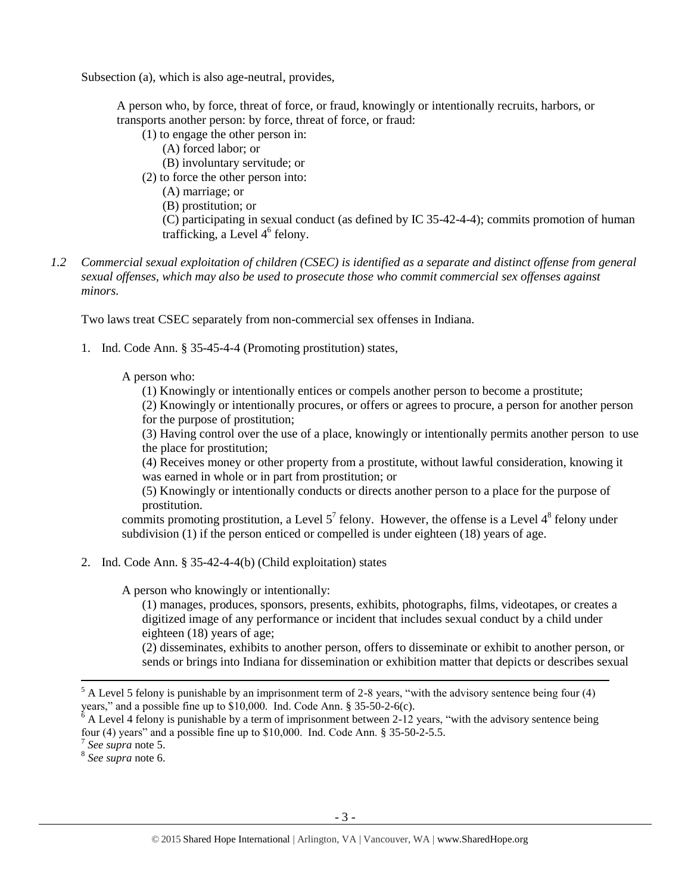Subsection (a), which is also age-neutral, provides,

A person who, by force, threat of force, or fraud, knowingly or intentionally recruits, harbors, or transports another person: by force, threat of force, or fraud:

<span id="page-2-0"></span>(1) to engage the other person in: (A) forced labor; or (B) involuntary servitude; or (2) to force the other person into: (A) marriage; or (B) prostitution; or (C) participating in sexual conduct (as defined by IC 35-42-4-4); commits promotion of human trafficking, a Level 4<sup>6</sup> felony.

*1.2 Commercial sexual exploitation of children (CSEC) is identified as a separate and distinct offense from general sexual offenses, which may also be used to prosecute those who commit commercial sex offenses against minors.*

Two laws treat CSEC separately from non-commercial sex offenses in Indiana.

1. Ind. Code Ann. § 35-45-4-4 (Promoting prostitution) states,

A person who:

(1) Knowingly or intentionally entices or compels another person to become a prostitute;

(2) Knowingly or intentionally procures, or offers or agrees to procure, a person for another person for the purpose of prostitution;

(3) Having control over the use of a place, knowingly or intentionally permits another person to use the place for prostitution;

(4) Receives money or other property from a prostitute, without lawful consideration, knowing it was earned in whole or in part from prostitution; or

(5) Knowingly or intentionally conducts or directs another person to a place for the purpose of prostitution.

commits promoting prostitution, a Level  $5^7$  felony. However, the offense is a Level  $4^8$  felony under subdivision (1) if the person enticed or compelled is under eighteen (18) years of age.

2. Ind. Code Ann. § 35-42-4-4(b) (Child exploitation) states

A person who knowingly or intentionally:

(1) manages, produces, sponsors, presents, exhibits, photographs, films, videotapes, or creates a digitized image of any performance or incident that includes sexual conduct by a child under eighteen (18) years of age;

(2) disseminates, exhibits to another person, offers to disseminate or exhibit to another person, or sends or brings into Indiana for dissemination or exhibition matter that depicts or describes sexual

 $\overline{a}$ 

8 *See supra* note [6.](#page-2-0)

 $<sup>5</sup>$  A Level 5 felony is punishable by an imprisonment term of 2-8 years, "with the advisory sentence being four (4)</sup> years," and a possible fine up to \$10,000. Ind. Code Ann. § 35-50-2-6(c).

 $6$  A Level 4 felony is punishable by a term of imprisonment between 2-12 years, "with the advisory sentence being four (4) years" and a possible fine up to \$10,000. Ind. Code Ann. § 35-50-2-5.5. 7 *See supra* note [5.](#page-1-0)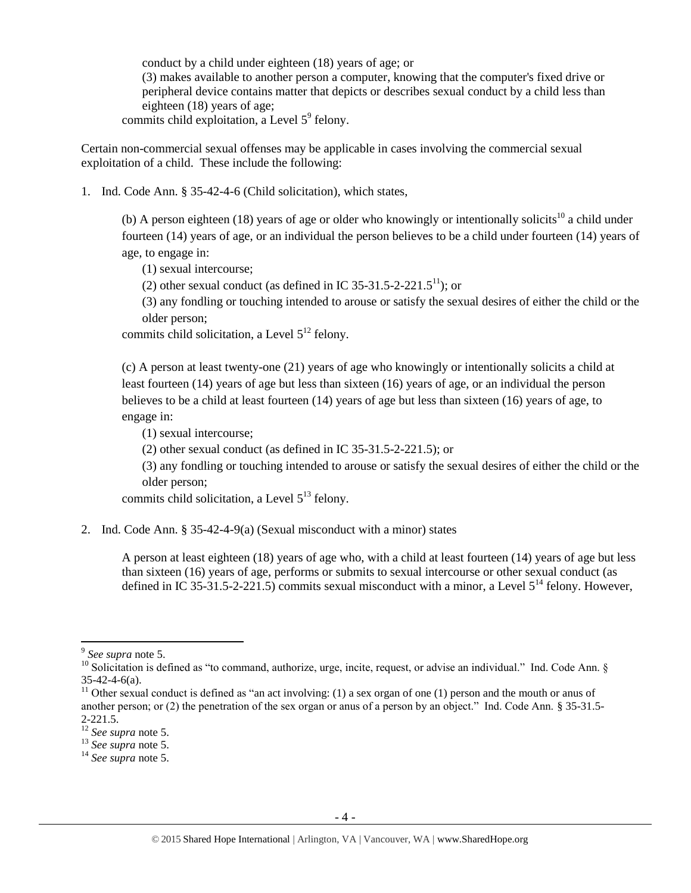<span id="page-3-2"></span>conduct by a child under eighteen (18) years of age; or (3) makes available to another person a computer, knowing that the computer's fixed drive or peripheral device contains matter that depicts or describes sexual conduct by a child less than eighteen (18) years of age;

commits child exploitation, a Level  $5^9$  felony.

Certain non-commercial sexual offenses may be applicable in cases involving the commercial sexual exploitation of a child. These include the following:

1. Ind. Code Ann. § 35-42-4-6 (Child solicitation), which states,

(b) A person eighteen (18) years of age or older who knowingly or intentionally solicits<sup>10</sup> a child under fourteen (14) years of age, or an individual the person believes to be a child under fourteen (14) years of age, to engage in:

<span id="page-3-0"></span>(1) sexual intercourse;

<span id="page-3-1"></span>(2) other sexual conduct (as defined in IC 35-31.5-2-221.5<sup>11</sup>); or

(3) any fondling or touching intended to arouse or satisfy the sexual desires of either the child or the older person;

commits child solicitation, a Level  $5^{12}$  felony.

(c) A person at least twenty-one (21) years of age who knowingly or intentionally solicits a child at least fourteen (14) years of age but less than sixteen (16) years of age, or an individual the person believes to be a child at least fourteen (14) years of age but less than sixteen (16) years of age, to engage in:

(1) sexual intercourse;

(2) other sexual conduct (as defined in IC 35-31.5-2-221.5); or

(3) any fondling or touching intended to arouse or satisfy the sexual desires of either the child or the older person;

commits child solicitation, a Level  $5^{13}$  felony.

2. Ind. Code Ann. § 35-42-4-9(a) (Sexual misconduct with a minor) states

A person at least eighteen (18) years of age who, with a child at least fourteen (14) years of age but less than sixteen (16) years of age, performs or submits to sexual intercourse or other sexual conduct (as defined in IC 35-31.5-2-221.5) commits sexual misconduct with a minor, a Level  $5^{14}$  felony. However,

l

<sup>9</sup> *See supra* note [5.](#page-1-0)

<sup>&</sup>lt;sup>10</sup> Solicitation is defined as "to command, authorize, urge, incite, request, or advise an individual." Ind. Code Ann. § 35-42-4-6(a).

<sup>&</sup>lt;sup>11</sup> Other sexual conduct is defined as "an act involving: (1) a sex organ of one (1) person and the mouth or anus of another person; or (2) the penetration of the sex organ or anus of a person by an object." Ind. Code Ann. § 35-31.5- 2-221.5.

<sup>12</sup> *See supra* note [5.](#page-1-0)

<sup>13</sup> *See supra* note [5.](#page-1-0)

<sup>14</sup> *See supra* note [5.](#page-1-0)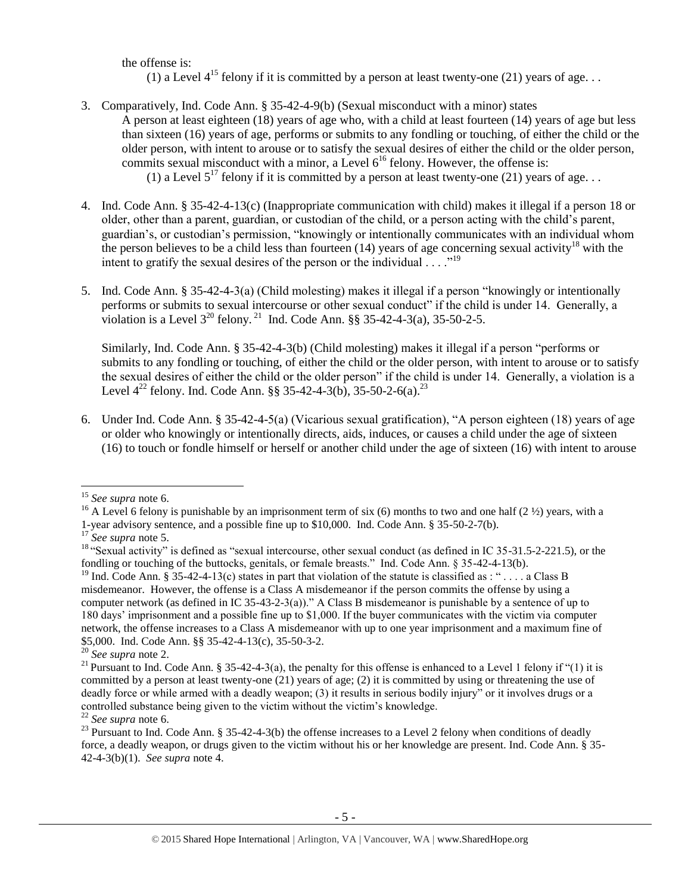<span id="page-4-0"></span>the offense is: (1) a Level  $4^{15}$  felony if it is committed by a person at least twenty-one (21) years of age...

- 3. Comparatively, Ind. Code Ann. § 35-42-4-9(b) (Sexual misconduct with a minor) states A person at least eighteen (18) years of age who, with a child at least fourteen (14) years of age but less than sixteen (16) years of age, performs or submits to any fondling or touching, of either the child or the older person, with intent to arouse or to satisfy the sexual desires of either the child or the older person, commits sexual misconduct with a minor, a Level  $6^{16}$  felony. However, the offense is: (1) a Level  $5^{17}$  felony if it is committed by a person at least twenty-one (21) years of age...
- 4. Ind. Code Ann. § 35-42-4-13(c) (Inappropriate communication with child) makes it illegal if a person 18 or older, other than a parent, guardian, or custodian of the child, or a person acting with the child's parent, guardian's, or custodian's permission, "knowingly or intentionally communicates with an individual whom the person believes to be a child less than fourteen (14) years of age concerning sexual activity<sup>18</sup> with the intent to gratify the sexual desires of the person or the individual  $\ldots$ ."<sup>19</sup>
- 5. Ind. Code Ann. § 35-42-4-3(a) (Child molesting) makes it illegal if a person "knowingly or intentionally performs or submits to sexual intercourse or other sexual conduct" if the child is under 14. Generally, a violation is a Level  $3^{20}$  felony.<sup>21</sup> Ind. Code Ann. §§ 35-42-4-3(a), 35-50-2-5.

<span id="page-4-1"></span>Similarly, Ind. Code Ann. § 35-42-4-3(b) (Child molesting) makes it illegal if a person "performs or submits to any fondling or touching, of either the child or the older person, with intent to arouse or to satisfy the sexual desires of either the child or the older person" if the child is under 14. Generally, a violation is a Level  $4^{22}$  felony. Ind. Code Ann. §§ 35-42-4-3(b), 35-50-2-6(a).<sup>23</sup>

6. Under Ind. Code Ann. § 35-42-4-5(a) (Vicarious sexual gratification), "A person eighteen (18) years of age or older who knowingly or intentionally directs, aids, induces, or causes a child under the age of sixteen (16) to touch or fondle himself or herself or another child under the age of sixteen (16) with intent to arouse

<sup>16</sup> A Level 6 felony is punishable by an imprisonment term of six (6) months to two and one half (2  $\frac{1}{2}$ ) years, with a 1-year advisory sentence, and a possible fine up to \$10,000. Ind. Code Ann. § 35-50-2-7(b).

l <sup>15</sup> *See supra* note [6.](#page-2-0)

<sup>17</sup> *See supra* note [5.](#page-1-0)

<sup>&</sup>lt;sup>18</sup> "Sexual activity" is defined as "sexual intercourse, other sexual conduct (as defined in IC 35-31.5-2-221.5), or the fondling or touching of the buttocks, genitals, or female breasts." Ind. Code Ann. § 35-42-4-13(b).

<sup>&</sup>lt;sup>19</sup> Ind. Code Ann. § 35-42-4-13(c) states in part that violation of the statute is classified as : "... a Class B misdemeanor. However, the offense is a Class A misdemeanor if the person commits the offense by using a computer network (as defined in IC 35-43-2-3(a))." A Class B misdemeanor is punishable by a sentence of up to 180 days' imprisonment and a possible fine up to \$1,000. If the buyer communicates with the victim via computer network, the offense increases to a Class A misdemeanor with up to one year imprisonment and a maximum fine of \$5,000. Ind. Code Ann. §§ 35-42-4-13(c), 35-50-3-2.

<sup>20</sup> *See supra* note [2.](#page-1-1)

<sup>&</sup>lt;sup>21</sup> Pursuant to Ind. Code Ann. § 35-42-4-3(a), the penalty for this offense is enhanced to a Level 1 felony if "(1) it is committed by a person at least twenty-one (21) years of age; (2) it is committed by using or threatening the use of deadly force or while armed with a deadly weapon; (3) it results in serious bodily injury" or it involves drugs or a controlled substance being given to the victim without the victim's knowledge.

<sup>22</sup> *See supra* note [6.](#page-2-0)

<sup>&</sup>lt;sup>23</sup> Pursuant to Ind. Code Ann. § 35-42-4-3(b) the offense increases to a Level 2 felony when conditions of deadly force, a deadly weapon, or drugs given to the victim without his or her knowledge are present. Ind. Code Ann. § 35- 42-4-3(b)(1). *See supra* note [4.](#page-1-2)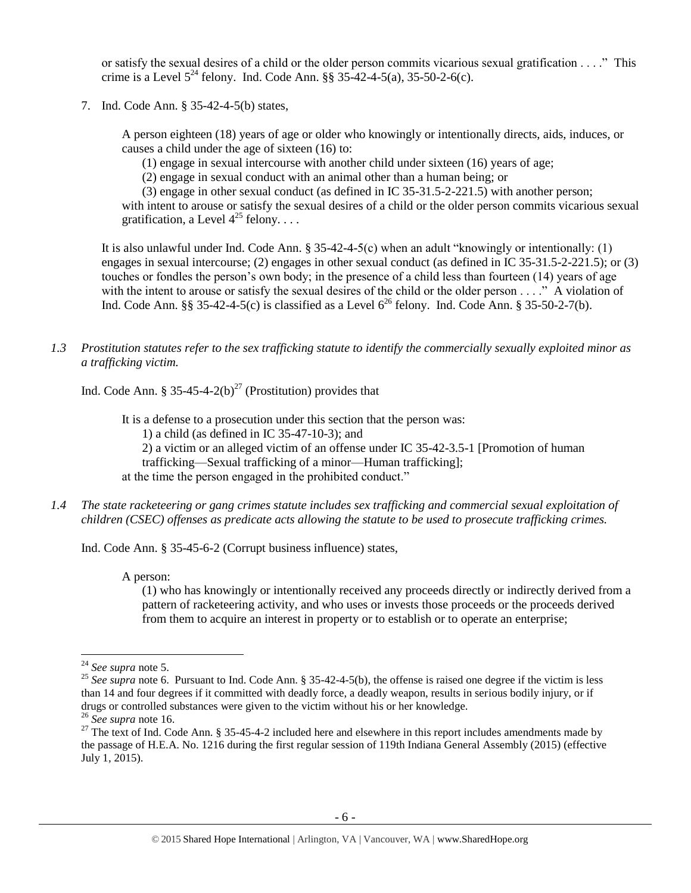or satisfy the sexual desires of a child or the older person commits vicarious sexual gratification . . . ." This crime is a Level  $5^{24}$  felony. Ind. Code Ann. §§ 35-42-4-5(a), 35-50-2-6(c).

7. Ind. Code Ann. § 35-42-4-5(b) states,

A person eighteen (18) years of age or older who knowingly or intentionally directs, aids, induces, or causes a child under the age of sixteen (16) to:

- (1) engage in sexual intercourse with another child under sixteen (16) years of age;
- <span id="page-5-0"></span>(2) engage in sexual conduct with an animal other than a human being; or

(3) engage in other sexual conduct (as defined in IC 35-31.5-2-221.5) with another person; with intent to arouse or satisfy the sexual desires of a child or the older person commits vicarious sexual gratification, a Level  $4^{25}$  felony...

It is also unlawful under Ind. Code Ann. § 35-42-4-5(c) when an adult "knowingly or intentionally: (1) engages in sexual intercourse; (2) engages in other sexual conduct (as defined in IC 35-31.5-2-221.5); or (3) touches or fondles the person's own body; in the presence of a child less than fourteen (14) years of age with the intent to arouse or satisfy the sexual desires of the child or the older person . . . ." A violation of Ind. Code Ann. §§ 35-42-4-5(c) is classified as a Level  $6^{26}$  felony. Ind. Code Ann. § 35-50-2-7(b).

*1.3 Prostitution statutes refer to the sex trafficking statute to identify the commercially sexually exploited minor as a trafficking victim.* 

Ind. Code Ann. § 35-45-4-2(b)<sup>27</sup> (Prostitution) provides that

<span id="page-5-1"></span>It is a defense to a prosecution under this section that the person was: 1) a child (as defined in IC 35-47-10-3); and 2) a victim or an alleged victim of an offense under IC 35-42-3.5-1 [Promotion of human trafficking—Sexual trafficking of a minor—Human trafficking]; at the time the person engaged in the prohibited conduct."

*1.4 The state racketeering or gang crimes statute includes sex trafficking and commercial sexual exploitation of children (CSEC) offenses as predicate acts allowing the statute to be used to prosecute trafficking crimes.* 

Ind. Code Ann. § 35-45-6-2 (Corrupt business influence) states,

A person:

(1) who has knowingly or intentionally received any proceeds directly or indirectly derived from a pattern of racketeering activity, and who uses or invests those proceeds or the proceeds derived from them to acquire an interest in property or to establish or to operate an enterprise;

 $\overline{a}$ 

<sup>24</sup> *See supra* note [5.](#page-1-0)

<sup>&</sup>lt;sup>25</sup> See supra note [6.](#page-2-0) Pursuant to Ind. Code Ann. § 35-42-4-5(b), the offense is raised one degree if the victim is less than 14 and four degrees if it committed with deadly force, a deadly weapon, results in serious bodily injury, or if drugs or controlled substances were given to the victim without his or her knowledge.

<sup>26</sup> *See supra* note [16.](#page-4-0)

<sup>&</sup>lt;sup>27</sup> The text of Ind. Code Ann. § 35-45-4-2 included here and elsewhere in this report includes amendments made by the passage of H.E.A. No. 1216 during the first regular session of 119th Indiana General Assembly (2015) (effective July 1, 2015).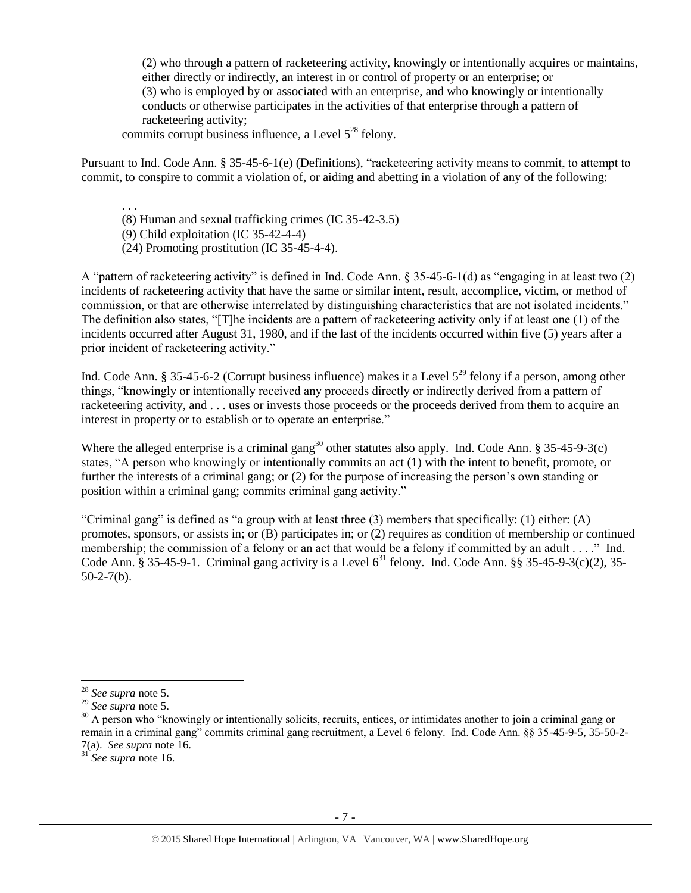(2) who through a pattern of racketeering activity, knowingly or intentionally acquires or maintains, either directly or indirectly, an interest in or control of property or an enterprise; or (3) who is employed by or associated with an enterprise, and who knowingly or intentionally conducts or otherwise participates in the activities of that enterprise through a pattern of racketeering activity;

commits corrupt business influence, a Level  $5^{28}$  felony.

Pursuant to Ind. Code Ann. § 35-45-6-1(e) (Definitions), "racketeering activity means to commit, to attempt to commit, to conspire to commit a violation of, or aiding and abetting in a violation of any of the following:

. . . (8) Human and sexual trafficking crimes (IC 35-42-3.5) (9) Child exploitation (IC 35-42-4-4) (24) Promoting prostitution (IC 35-45-4-4).

A "pattern of racketeering activity" is defined in Ind. Code Ann. § 35-45-6-1(d) as "engaging in at least two (2) incidents of racketeering activity that have the same or similar intent, result, accomplice, victim, or method of commission, or that are otherwise interrelated by distinguishing characteristics that are not isolated incidents." The definition also states, "[T]he incidents are a pattern of racketeering activity only if at least one (1) of the incidents occurred after August 31, 1980, and if the last of the incidents occurred within five (5) years after a prior incident of racketeering activity."

Ind. Code Ann. § 35-45-6-2 (Corrupt business influence) makes it a Level  $5^{29}$  felony if a person, among other things, "knowingly or intentionally received any proceeds directly or indirectly derived from a pattern of racketeering activity, and . . . uses or invests those proceeds or the proceeds derived from them to acquire an interest in property or to establish or to operate an enterprise."

Where the alleged enterprise is a criminal gang<sup>30</sup> other statutes also apply. Ind. Code Ann. § 35-45-9-3(c) states, "A person who knowingly or intentionally commits an act (1) with the intent to benefit, promote, or further the interests of a criminal gang; or (2) for the purpose of increasing the person's own standing or position within a criminal gang; commits criminal gang activity."

"Criminal gang" is defined as "a group with at least three (3) members that specifically: (1) either: (A) promotes, sponsors, or assists in; or (B) participates in; or (2) requires as condition of membership or continued membership; the commission of a felony or an act that would be a felony if committed by an adult . . . ." Ind. Code Ann. § 35-45-9-1. Criminal gang activity is a Level  $6^{31}$  felony. Ind. Code Ann. §§ 35-45-9-3(c)(2), 35- $50-2-7(b)$ .

 $\overline{a}$ <sup>28</sup> *See supra* note [5.](#page-1-0)

<sup>29</sup> *See supra* note [5.](#page-1-0)

 $30$  A person who "knowingly or intentionally solicits, recruits, entices, or intimidates another to join a criminal gang or remain in a criminal gang" commits criminal gang recruitment, a Level 6 felony. Ind. Code Ann. §§ 35-45-9-5, 35-50-2- 7(a). *See supra* note [16.](#page-4-0)

<sup>31</sup> *See supra* note [16.](#page-4-0)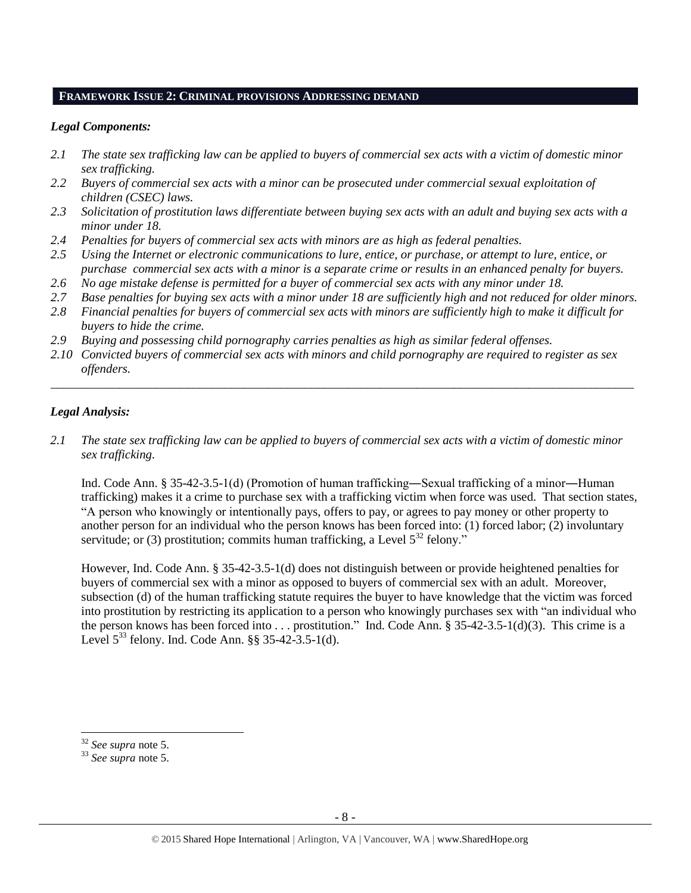#### **FRAMEWORK ISSUE 2: CRIMINAL PROVISIONS ADDRESSING DEMAND**

#### *Legal Components:*

- *2.1 The state sex trafficking law can be applied to buyers of commercial sex acts with a victim of domestic minor sex trafficking.*
- *2.2 Buyers of commercial sex acts with a minor can be prosecuted under commercial sexual exploitation of children (CSEC) laws.*
- *2.3 Solicitation of prostitution laws differentiate between buying sex acts with an adult and buying sex acts with a minor under 18.*
- *2.4 Penalties for buyers of commercial sex acts with minors are as high as federal penalties.*
- *2.5 Using the Internet or electronic communications to lure, entice, or purchase, or attempt to lure, entice, or purchase commercial sex acts with a minor is a separate crime or results in an enhanced penalty for buyers.*
- *2.6 No age mistake defense is permitted for a buyer of commercial sex acts with any minor under 18.*
- *2.7 Base penalties for buying sex acts with a minor under 18 are sufficiently high and not reduced for older minors.*
- *2.8 Financial penalties for buyers of commercial sex acts with minors are sufficiently high to make it difficult for buyers to hide the crime.*
- *2.9 Buying and possessing child pornography carries penalties as high as similar federal offenses.*
- *2.10 Convicted buyers of commercial sex acts with minors and child pornography are required to register as sex offenders.*

\_\_\_\_\_\_\_\_\_\_\_\_\_\_\_\_\_\_\_\_\_\_\_\_\_\_\_\_\_\_\_\_\_\_\_\_\_\_\_\_\_\_\_\_\_\_\_\_\_\_\_\_\_\_\_\_\_\_\_\_\_\_\_\_\_\_\_\_\_\_\_\_\_\_\_\_\_\_\_\_\_\_\_\_\_\_\_\_\_\_\_\_\_\_

#### *Legal Analysis:*

*2.1 The state sex trafficking law can be applied to buyers of commercial sex acts with a victim of domestic minor sex trafficking.* 

Ind. Code Ann. § 35-42-3.5-1(d) (Promotion of human trafficking―Sexual trafficking of a minor―Human trafficking) makes it a crime to purchase sex with a trafficking victim when force was used. That section states, "A person who knowingly or intentionally pays, offers to pay, or agrees to pay money or other property to another person for an individual who the person knows has been forced into: (1) forced labor; (2) involuntary servitude; or (3) prostitution; commits human trafficking, a Level  $5^{32}$  felony."

However, Ind. Code Ann. § 35-42-3.5-1(d) does not distinguish between or provide heightened penalties for buyers of commercial sex with a minor as opposed to buyers of commercial sex with an adult. Moreover, subsection (d) of the human trafficking statute requires the buyer to have knowledge that the victim was forced into prostitution by restricting its application to a person who knowingly purchases sex with "an individual who the person knows has been forced into . . . prostitution." Ind. Code Ann. § 35-42-3.5-1(d)(3). This crime is a Level  $5^{33}$  felony. Ind. Code Ann. §§ 35-42-3.5-1(d).

 $\overline{a}$ 

<sup>32</sup> *See supra* note [5.](#page-1-0)

<sup>33</sup> *See supra* note [5.](#page-1-0)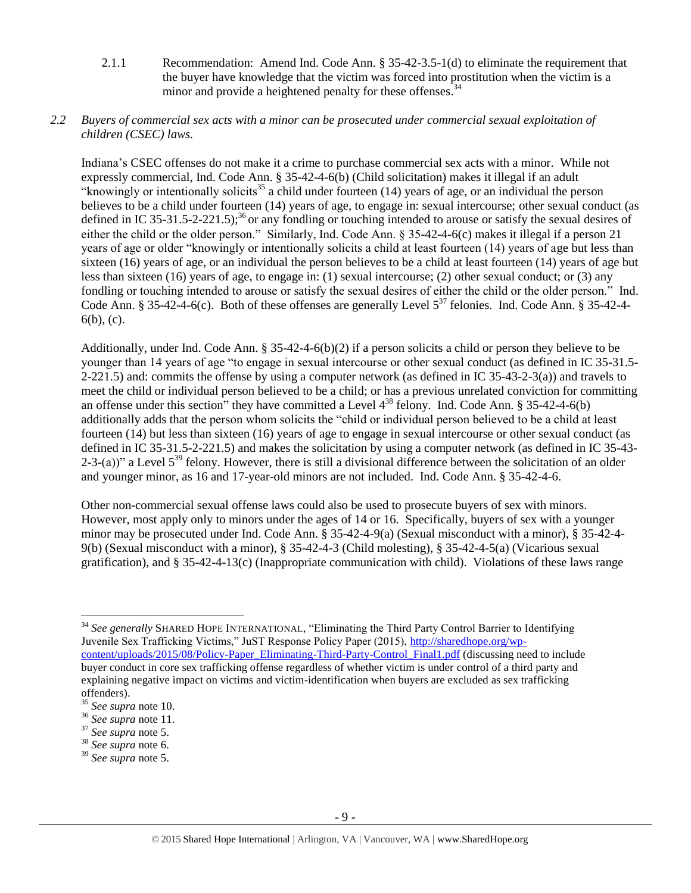2.1.1 Recommendation: Amend Ind. Code Ann. § 35-42-3.5-1(d) to eliminate the requirement that the buyer have knowledge that the victim was forced into prostitution when the victim is a minor and provide a heightened penalty for these offenses.<sup>34</sup>

#### *2.2 Buyers of commercial sex acts with a minor can be prosecuted under commercial sexual exploitation of children (CSEC) laws.*

Indiana's CSEC offenses do not make it a crime to purchase commercial sex acts with a minor. While not expressly commercial, Ind. Code Ann. § 35-42-4-6(b) (Child solicitation) makes it illegal if an adult "knowingly or intentionally solicits<sup>35</sup> a child under fourteen (14) years of age, or an individual the person believes to be a child under fourteen (14) years of age, to engage in: sexual intercourse; other sexual conduct (as defined in IC 35-31.5-2-221.5);<sup>36</sup> or any fondling or touching intended to arouse or satisfy the sexual desires of either the child or the older person." Similarly, Ind. Code Ann. § 35-42-4-6(c) makes it illegal if a person 21 years of age or older "knowingly or intentionally solicits a child at least fourteen (14) years of age but less than sixteen (16) years of age, or an individual the person believes to be a child at least fourteen (14) years of age but less than sixteen (16) years of age, to engage in: (1) sexual intercourse; (2) other sexual conduct; or (3) any fondling or touching intended to arouse or satisfy the sexual desires of either the child or the older person." Ind. Code Ann. § 35-42-4-6(c). Both of these offenses are generally Level  $5^{37}$  felonies. Ind. Code Ann. § 35-42-4-6(b), (c).

Additionally, under Ind. Code Ann. § 35-42-4-6(b)(2) if a person solicits a child or person they believe to be younger than 14 years of age "to engage in sexual intercourse or other sexual conduct (as defined in IC 35-31.5- 2-221.5) and: commits the offense by using a computer network (as defined in IC 35-43-2-3(a)) and travels to meet the child or individual person believed to be a child; or has a previous unrelated conviction for committing an offense under this section" they have committed a Level  $4^{38}$  felony. Ind. Code Ann. § 35-42-4-6(b) additionally adds that the person whom solicits the "child or individual person believed to be a child at least fourteen (14) but less than sixteen (16) years of age to engage in sexual intercourse or other sexual conduct (as defined in IC 35-31.5-2-221.5) and makes the solicitation by using a computer network (as defined in IC 35-43- 2-3-(a))" a Level  $5^{39}$  felony. However, there is still a divisional difference between the solicitation of an older and younger minor, as 16 and 17-year-old minors are not included. Ind. Code Ann. § 35-42-4-6.

Other non-commercial sexual offense laws could also be used to prosecute buyers of sex with minors. However, most apply only to minors under the ages of 14 or 16. Specifically, buyers of sex with a younger minor may be prosecuted under Ind. Code Ann. § 35-42-4-9(a) (Sexual misconduct with a minor), § 35-42-4- 9(b) (Sexual misconduct with a minor), § 35-42-4-3 (Child molesting), § 35-42-4-5(a) (Vicarious sexual gratification), and § 35-42-4-13(c) (Inappropriate communication with child). Violations of these laws range

 $\overline{\phantom{a}}$ <sup>34</sup> *See generally* SHARED HOPE INTERNATIONAL, "Eliminating the Third Party Control Barrier to Identifying Juvenile Sex Trafficking Victims," JuST Response Policy Paper (2015), [http://sharedhope.org/wp](http://sharedhope.org/wp-content/uploads/2015/08/Policy-Paper_Eliminating-Third-Party-Control_Final1.pdf)[content/uploads/2015/08/Policy-Paper\\_Eliminating-Third-Party-Control\\_Final1.pdf](http://sharedhope.org/wp-content/uploads/2015/08/Policy-Paper_Eliminating-Third-Party-Control_Final1.pdf) (discussing need to include buyer conduct in core sex trafficking offense regardless of whether victim is under control of a third party and explaining negative impact on victims and victim-identification when buyers are excluded as sex trafficking offenders).

<sup>35</sup> *See supra* note [10.](#page-3-0)

<sup>36</sup> *See supra* note [11.](#page-3-1) 

<sup>37</sup> *See supra* note [5.](#page-1-0)

<sup>38</sup> *See supra* note [6.](#page-2-0)

<sup>39</sup> *See supra* note [5.](#page-1-0)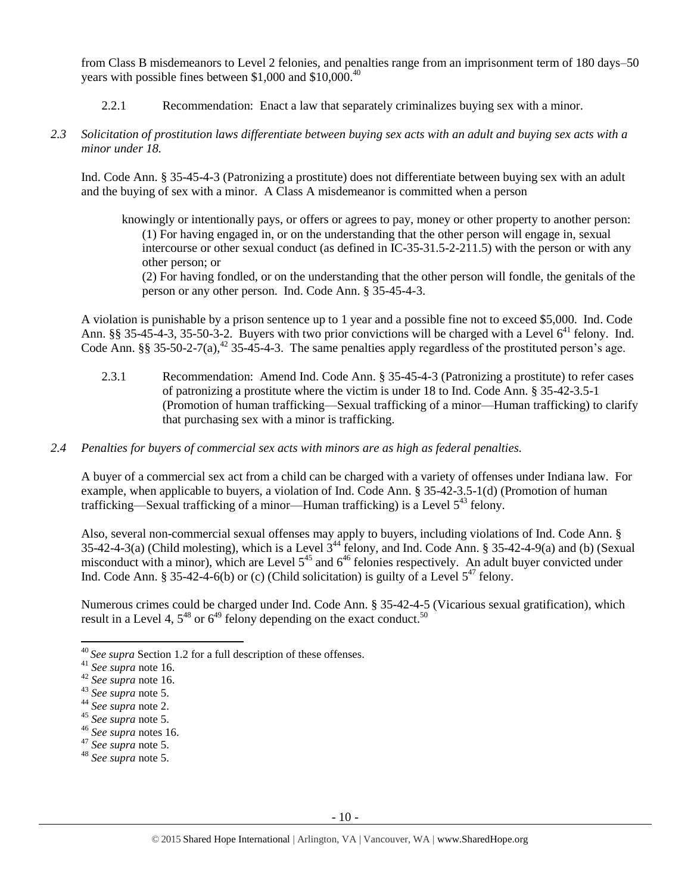from Class B misdemeanors to Level 2 felonies, and penalties range from an imprisonment term of 180 days–50 years with possible fines between \$1,000 and \$10,000.<sup>40</sup>

- 2.2.1 Recommendation: Enact a law that separately criminalizes buying sex with a minor.
- *2.3 Solicitation of prostitution laws differentiate between buying sex acts with an adult and buying sex acts with a minor under 18.*

Ind. Code Ann. § 35-45-4-3 (Patronizing a prostitute) does not differentiate between buying sex with an adult and the buying of sex with a minor. A Class A misdemeanor is committed when a person

knowingly or intentionally pays, or offers or agrees to pay, money or other property to another person: (1) For having engaged in, or on the understanding that the other person will engage in, sexual intercourse or other sexual conduct (as defined in IC-35-31.5-2-211.5) with the person or with any other person; or

(2) For having fondled, or on the understanding that the other person will fondle, the genitals of the person or any other person. Ind. Code Ann. § 35-45-4-3.

A violation is punishable by a prison sentence up to 1 year and a possible fine not to exceed \$5,000. Ind. Code Ann. §§ 35-45-4-3, 35-50-3-2. Buyers with two prior convictions will be charged with a Level  $6^{41}$  felony. Ind. Code Ann. §§ 35-50-2-7(a),<sup>42</sup> 35-45-4-3. The same penalties apply regardless of the prostituted person's age.

- 2.3.1 Recommendation: Amend Ind. Code Ann. § 35-45-4-3 (Patronizing a prostitute) to refer cases of patronizing a prostitute where the victim is under 18 to Ind. Code Ann. § 35-42-3.5-1 (Promotion of human trafficking—Sexual trafficking of a minor—Human trafficking) to clarify that purchasing sex with a minor is trafficking.
- *2.4 Penalties for buyers of commercial sex acts with minors are as high as federal penalties.*

A buyer of a commercial sex act from a child can be charged with a variety of offenses under Indiana law. For example, when applicable to buyers, a violation of Ind. Code Ann. § 35-42-3.5-1(d) (Promotion of human trafficking—Sexual trafficking of a minor—Human trafficking) is a Level  $5^{43}$  felony.

Also, several non-commercial sexual offenses may apply to buyers, including violations of Ind. Code Ann. § 35-42-4-3(a) (Child molesting), which is a Level  $3^{44}$  felony, and Ind. Code Ann. § 35-42-4-9(a) and (b) (Sexual misconduct with a minor), which are Level  $5^{45}$  and  $6^{46}$  felonies respectively. An adult buyer convicted under Ind. Code Ann. § 35-42-4-6(b) or (c) (Child solicitation) is guilty of a Level  $5^{47}$  felony.

Numerous crimes could be charged under Ind. Code Ann. § 35-42-4-5 (Vicarious sexual gratification), which result in a Level 4,  $5^{48}$  or  $6^{49}$  felony depending on the exact conduct.<sup>50</sup>

l

<sup>40</sup> *See supra* Section 1.2 for a full description of these offenses.

<sup>41</sup> *See supra* note [16.](#page-4-0)

<sup>42</sup> *See supra* note [16.](#page-4-0)

<sup>43</sup> *See supra* note [5.](#page-1-0)

<sup>44</sup> *See supra* note [2.](#page-1-1)

<sup>45</sup> *See supra* note [5.](#page-1-0)

<sup>46</sup> *See supra* notes [16.](#page-4-0)

<sup>47</sup> *See supra* note [5.](#page-1-0)

<sup>48</sup> *See supra* note [5.](#page-1-0)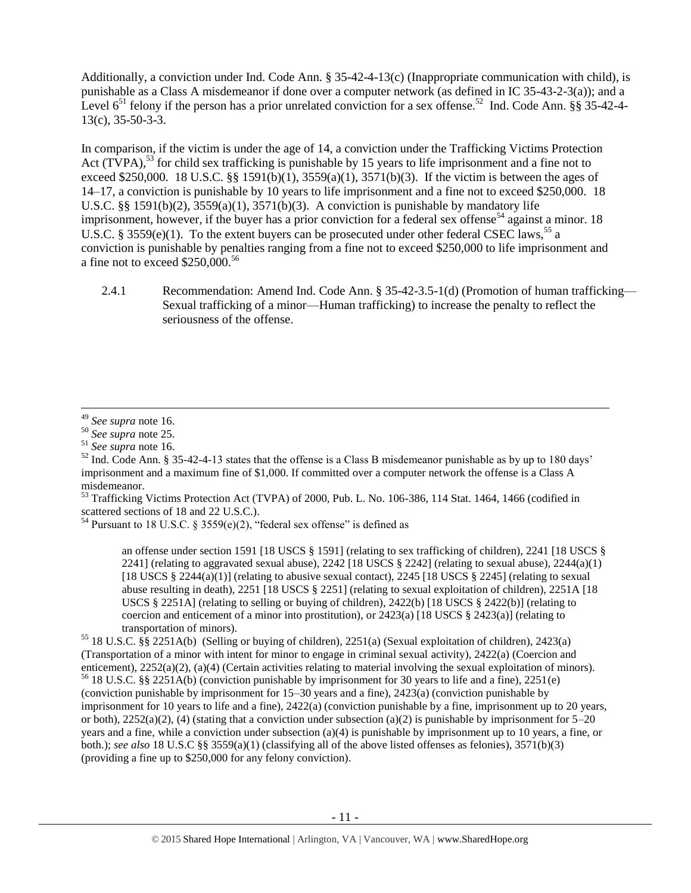Additionally, a conviction under Ind. Code Ann. § 35-42-4-13(c) (Inappropriate communication with child), is punishable as a Class A misdemeanor if done over a computer network (as defined in IC 35-43-2-3(a)); and a Level  $6^{51}$  felony if the person has a prior unrelated conviction for a sex offense.<sup>52</sup> Ind. Code Ann. §§ 35-42-4-13(c), 35-50-3-3.

<span id="page-10-0"></span>In comparison, if the victim is under the age of 14, a conviction under the Trafficking Victims Protection Act (TVPA),<sup>53</sup> for child sex trafficking is punishable by 15 years to life imprisonment and a fine not to exceed \$250,000. 18 U.S.C. §§ 1591(b)(1),  $3559(a)(1)$ ,  $3571(b)(3)$ . If the victim is between the ages of 14–17, a conviction is punishable by 10 years to life imprisonment and a fine not to exceed \$250,000. 18 U.S.C. §§ 1591(b)(2),  $3559(a)(1)$ ,  $3571(b)(3)$ . A conviction is punishable by mandatory life imprisonment, however, if the buyer has a prior conviction for a federal sex offense<sup>54</sup> against a minor. 18 U.S.C. § 3559(e)(1). To the extent buyers can be prosecuted under other federal CSEC laws,<sup>55</sup> a conviction is punishable by penalties ranging from a fine not to exceed \$250,000 to life imprisonment and a fine not to exceed  $$250,000.<sup>56</sup>$ 

<span id="page-10-1"></span>2.4.1 Recommendation: Amend Ind. Code Ann. § 35-42-3.5-1(d) (Promotion of human trafficking— Sexual trafficking of a minor—Human trafficking) to increase the penalty to reflect the seriousness of the offense.

 $53$  Trafficking Victims Protection Act (TVPA) of 2000, Pub. L. No. 106-386, 114 Stat. 1464, 1466 (codified in scattered sections of 18 and 22 U.S.C.).

<sup>54</sup> Pursuant to 18 U.S.C. § 3559(e)(2), "federal sex offense" is defined as

an offense under section 1591 [18 USCS § 1591] (relating to sex trafficking of children), 2241 [18 USCS § 2241] (relating to aggravated sexual abuse),  $2242$  [18 USCS § 2242] (relating to sexual abuse),  $2244(a)(1)$ [18 USCS § 2244(a)(1)] (relating to abusive sexual contact), 2245 [18 USCS § 2245] (relating to sexual abuse resulting in death), 2251 [18 USCS § 2251] (relating to sexual exploitation of children), 2251A [18 USCS  $\S 2251$ A] (relating to selling or buying of children), 2422(b) [18 USCS  $\S 2422$ (b)] (relating to coercion and enticement of a minor into prostitution), or  $2423(a)$  [18 USCS § 2423(a)] (relating to transportation of minors).

<sup>55</sup> 18 U.S.C. §§ 2251A(b) (Selling or buying of children), 2251(a) (Sexual exploitation of children), 2423(a) (Transportation of a minor with intent for minor to engage in criminal sexual activity), 2422(a) (Coercion and enticement), 2252(a)(2), (a)(4) (Certain activities relating to material involving the sexual exploitation of minors).

<sup>56</sup> 18 U.S.C. §§ 2251A(b) (conviction punishable by imprisonment for 30 years to life and a fine), 2251(e) (conviction punishable by imprisonment for 15–30 years and a fine), 2423(a) (conviction punishable by imprisonment for 10 years to life and a fine), 2422(a) (conviction punishable by a fine, imprisonment up to 20 years, or both),  $2252(a)(2)$ , (4) (stating that a conviction under subsection (a)(2) is punishable by imprisonment for 5–20 years and a fine, while a conviction under subsection (a)(4) is punishable by imprisonment up to 10 years, a fine, or both.); *see also* 18 U.S.C §§ 3559(a)(1) (classifying all of the above listed offenses as felonies), 3571(b)(3) (providing a fine up to \$250,000 for any felony conviction).

l <sup>49</sup> *See supra* note [16.](#page-4-0)

<sup>50</sup> *See supra* note [25.](#page-5-0)

<sup>51</sup> *See supra* note [16.](#page-4-0)

 $52$  Ind. Code Ann. § 35-42-4-13 states that the offense is a Class B misdemeanor punishable as by up to 180 days' imprisonment and a maximum fine of \$1,000. If committed over a computer network the offense is a Class A misdemeanor.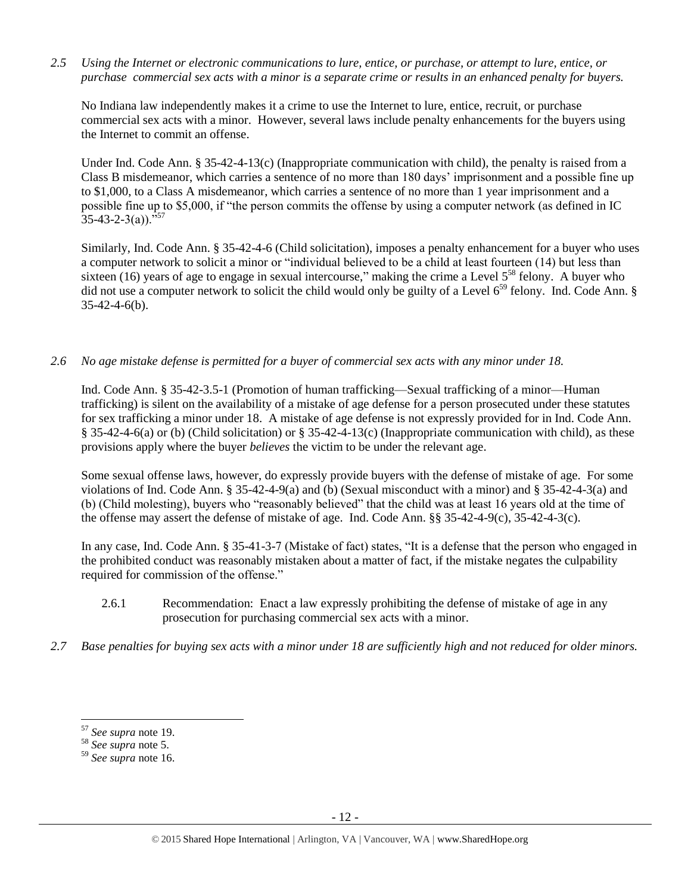*2.5 Using the Internet or electronic communications to lure, entice, or purchase, or attempt to lure, entice, or purchase commercial sex acts with a minor is a separate crime or results in an enhanced penalty for buyers.*

No Indiana law independently makes it a crime to use the Internet to lure, entice, recruit, or purchase commercial sex acts with a minor. However, several laws include penalty enhancements for the buyers using the Internet to commit an offense.

Under Ind. Code Ann. § 35-42-4-13(c) (Inappropriate communication with child), the penalty is raised from a Class B misdemeanor, which carries a sentence of no more than 180 days' imprisonment and a possible fine up to \$1,000, to a Class A misdemeanor, which carries a sentence of no more than 1 year imprisonment and a possible fine up to \$5,000, if "the person commits the offense by using a computer network (as defined in IC  $35-43-2-3(a)$ .  $^{557}$ 

Similarly, Ind. Code Ann. § 35-42-4-6 (Child solicitation), imposes a penalty enhancement for a buyer who uses a computer network to solicit a minor or "individual believed to be a child at least fourteen (14) but less than sixteen (16) years of age to engage in sexual intercourse," making the crime a Level 5<sup>58</sup> felony. A buyer who did not use a computer network to solicit the child would only be guilty of a Level  $6^{59}$  felony. Ind. Code Ann. § 35-42-4-6(b).

*2.6 No age mistake defense is permitted for a buyer of commercial sex acts with any minor under 18.*

Ind. Code Ann. § 35-42-3.5-1 (Promotion of human trafficking—Sexual trafficking of a minor—Human trafficking) is silent on the availability of a mistake of age defense for a person prosecuted under these statutes for sex trafficking a minor under 18. A mistake of age defense is not expressly provided for in Ind. Code Ann. § 35-42-4-6(a) or (b) (Child solicitation) or § 35-42-4-13(c) (Inappropriate communication with child), as these provisions apply where the buyer *believes* the victim to be under the relevant age.

Some sexual offense laws, however, do expressly provide buyers with the defense of mistake of age. For some violations of Ind. Code Ann. § 35-42-4-9(a) and (b) (Sexual misconduct with a minor) and § 35-42-4-3(a) and (b) (Child molesting), buyers who "reasonably believed" that the child was at least 16 years old at the time of the offense may assert the defense of mistake of age. Ind. Code Ann. §§ 35-42-4-9(c), 35-42-4-3(c).

In any case, Ind. Code Ann. § 35-41-3-7 (Mistake of fact) states, "It is a defense that the person who engaged in the prohibited conduct was reasonably mistaken about a matter of fact, if the mistake negates the culpability required for commission of the offense."

- 2.6.1 Recommendation: Enact a law expressly prohibiting the defense of mistake of age in any prosecution for purchasing commercial sex acts with a minor.
- *2.7 Base penalties for buying sex acts with a minor under 18 are sufficiently high and not reduced for older minors.*

 $\overline{\phantom{a}}$ 

<sup>57</sup> *See supra* note [19.](#page-4-1)

<sup>58</sup> *See supra* note [5.](#page-1-0)

<sup>59</sup> *See supra* note [16.](#page-4-0)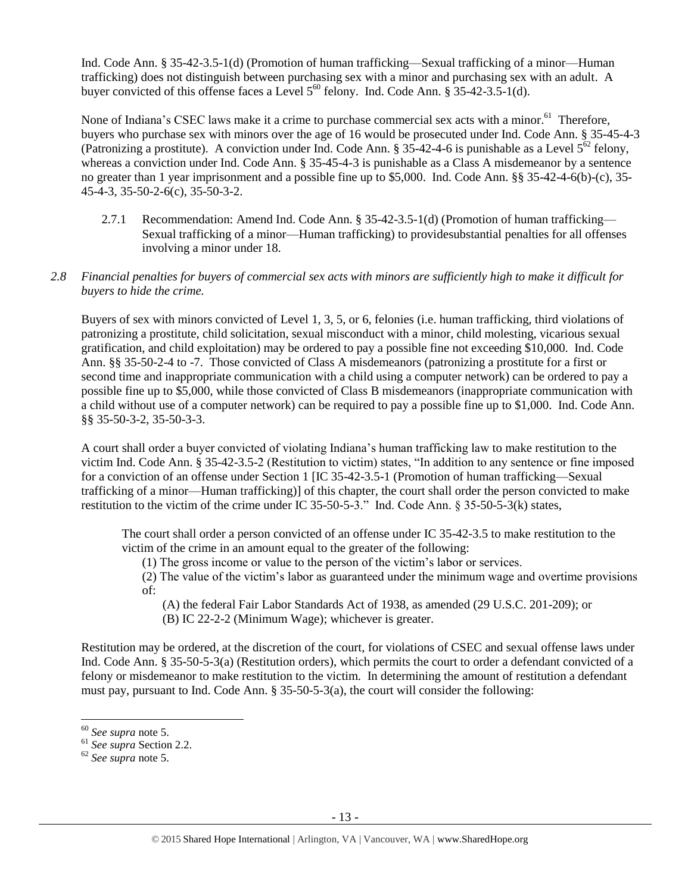Ind. Code Ann. § 35-42-3.5-1(d) (Promotion of human trafficking—Sexual trafficking of a minor—Human trafficking) does not distinguish between purchasing sex with a minor and purchasing sex with an adult. A buyer convicted of this offense faces a Level  $5^{60}$  felony. Ind. Code Ann. § 35-42-3.5-1(d).

None of Indiana's CSEC laws make it a crime to purchase commercial sex acts with a minor.<sup>61</sup> Therefore, buyers who purchase sex with minors over the age of 16 would be prosecuted under Ind. Code Ann. § 35-45-4-3 (Patronizing a prostitute). A conviction under Ind. Code Ann. § 35-42-4-6 is punishable as a Level  $5^{62}$  felony, whereas a conviction under Ind. Code Ann. § 35-45-4-3 is punishable as a Class A misdemeanor by a sentence no greater than 1 year imprisonment and a possible fine up to \$5,000. Ind. Code Ann. §§ 35-42-4-6(b)-(c), 35- 45-4-3, 35-50-2-6(c), 35-50-3-2.

2.7.1 Recommendation: Amend Ind. Code Ann. § 35-42-3.5-1(d) (Promotion of human trafficking— Sexual trafficking of a minor—Human trafficking) to providesubstantial penalties for all offenses involving a minor under 18.

# *2.8 Financial penalties for buyers of commercial sex acts with minors are sufficiently high to make it difficult for buyers to hide the crime.*

Buyers of sex with minors convicted of Level 1, 3, 5, or 6, felonies (i.e. human trafficking, third violations of patronizing a prostitute, child solicitation, sexual misconduct with a minor, child molesting, vicarious sexual gratification, and child exploitation) may be ordered to pay a possible fine not exceeding \$10,000. Ind. Code Ann. §§ 35-50-2-4 to -7. Those convicted of Class A misdemeanors (patronizing a prostitute for a first or second time and inappropriate communication with a child using a computer network) can be ordered to pay a possible fine up to \$5,000, while those convicted of Class B misdemeanors (inappropriate communication with a child without use of a computer network) can be required to pay a possible fine up to \$1,000. Ind. Code Ann. §§ 35-50-3-2, 35-50-3-3.

A court shall order a buyer convicted of violating Indiana's human trafficking law to make restitution to the victim Ind. Code Ann. § 35-42-3.5-2 (Restitution to victim) states, "In addition to any sentence or fine imposed for a conviction of an offense under Section 1 [IC 35-42-3.5-1 (Promotion of human trafficking—Sexual trafficking of a minor—Human trafficking)] of this chapter, the court shall order the person convicted to make restitution to the victim of the crime under IC 35-50-5-3." Ind. Code Ann. § 35-50-5-3(k) states,

The court shall order a person convicted of an offense under IC 35-42-3.5 to make restitution to the victim of the crime in an amount equal to the greater of the following:

(1) The gross income or value to the person of the victim's labor or services.

(2) The value of the victim's labor as guaranteed under the minimum wage and overtime provisions of:

(A) the federal Fair Labor Standards Act of 1938, as amended (29 U.S.C. 201-209); or

(B) IC 22-2-2 (Minimum Wage); whichever is greater.

Restitution may be ordered, at the discretion of the court, for violations of CSEC and sexual offense laws under Ind. Code Ann. § 35-50-5-3(a) (Restitution orders), which permits the court to order a defendant convicted of a felony or misdemeanor to make restitution to the victim. In determining the amount of restitution a defendant must pay, pursuant to Ind. Code Ann. § 35-50-5-3(a), the court will consider the following:

 $\overline{\phantom{a}}$ 

<sup>60</sup> *See supra* note [5.](#page-1-0)

<sup>61</sup> *See supra* Section 2.2.

<sup>62</sup> *See supra* note [5.](#page-1-0)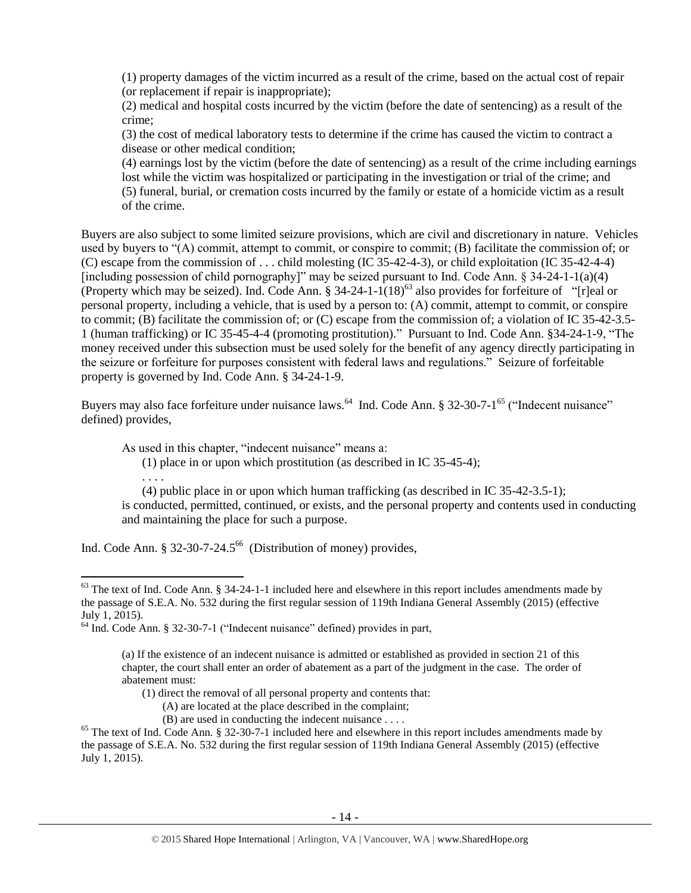(1) property damages of the victim incurred as a result of the crime, based on the actual cost of repair (or replacement if repair is inappropriate);

(2) medical and hospital costs incurred by the victim (before the date of sentencing) as a result of the crime;

(3) the cost of medical laboratory tests to determine if the crime has caused the victim to contract a disease or other medical condition;

<span id="page-13-2"></span>(4) earnings lost by the victim (before the date of sentencing) as a result of the crime including earnings lost while the victim was hospitalized or participating in the investigation or trial of the crime; and (5) funeral, burial, or cremation costs incurred by the family or estate of a homicide victim as a result of the crime.

Buyers are also subject to some limited seizure provisions, which are civil and discretionary in nature. Vehicles used by buyers to "(A) commit, attempt to commit, or conspire to commit; (B) facilitate the commission of; or (C) escape from the commission of . . . child molesting (IC 35-42-4-3), or child exploitation (IC 35-42-4-4) [including possession of child pornography]" may be seized pursuant to Ind. Code Ann.  $\S 34-24-1-1(a)(4)$ (Property which may be seized). Ind. Code Ann.  $\S 34-24-1-1(18)^{63}$  also provides for forfeiture of "[r]eal or personal property, including a vehicle, that is used by a person to: (A) commit, attempt to commit, or conspire to commit; (B) facilitate the commission of; or (C) escape from the commission of; a violation of IC 35-42-3.5- 1 (human trafficking) or IC 35-45-4-4 (promoting prostitution)." Pursuant to Ind. Code Ann. §34-24-1-9, "The money received under this subsection must be used solely for the benefit of any agency directly participating in the seizure or forfeiture for purposes consistent with federal laws and regulations." Seizure of forfeitable property is governed by Ind. Code Ann. § 34-24-1-9.

Buyers may also face forfeiture under nuisance laws.<sup>64</sup> Ind. Code Ann. § 32-30-7-1<sup>65</sup> ("Indecent nuisance" defined) provides,

As used in this chapter, "indecent nuisance" means a:

<span id="page-13-0"></span>(1) place in or upon which prostitution (as described in IC 35-45-4);

<span id="page-13-1"></span>. . . .

 $\overline{a}$ 

(4) public place in or upon which human trafficking (as described in IC 35-42-3.5-1); is conducted, permitted, continued, or exists, and the personal property and contents used in conducting and maintaining the place for such a purpose.

Ind. Code Ann. § 32-30-7-24.5 66 (Distribution of money) provides,

 $(B)$  are used in conducting the indecent nuisance ....

 $63$  The text of Ind. Code Ann. § 34-24-1-1 included here and elsewhere in this report includes amendments made by the passage of S.E.A. No. 532 during the first regular session of 119th Indiana General Assembly (2015) (effective July 1, 2015).

<sup>64</sup> Ind. Code Ann. § 32-30-7-1 ("Indecent nuisance" defined) provides in part,

<sup>(</sup>a) If the existence of an indecent nuisance is admitted or established as provided in section 21 of this chapter, the court shall enter an order of abatement as a part of the judgment in the case. The order of abatement must:

<sup>(1)</sup> direct the removal of all personal property and contents that:

<sup>(</sup>A) are located at the place described in the complaint;

<sup>&</sup>lt;sup>65</sup> The text of Ind. Code Ann. § 32-30-7-1 included here and elsewhere in this report includes amendments made by the passage of S.E.A. No. 532 during the first regular session of 119th Indiana General Assembly (2015) (effective July 1, 2015).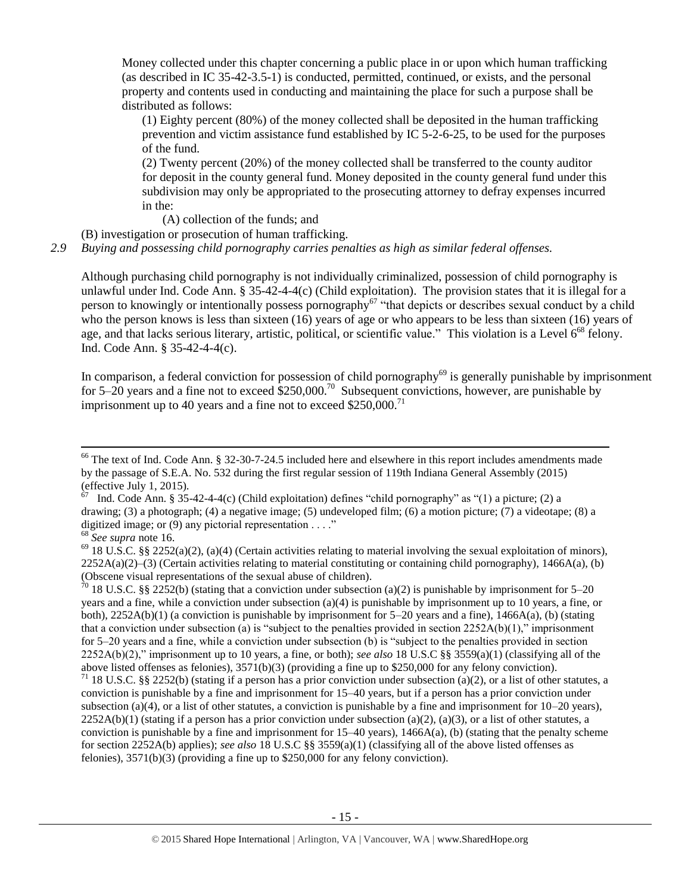Money collected under this chapter concerning a public place in or upon which human trafficking (as described in IC 35-42-3.5-1) is conducted, permitted, continued, or exists, and the personal property and contents used in conducting and maintaining the place for such a purpose shall be distributed as follows:

(1) Eighty percent (80%) of the money collected shall be deposited in the human trafficking prevention and victim assistance fund established by IC 5-2-6-25, to be used for the purposes of the fund.

(2) Twenty percent (20%) of the money collected shall be transferred to the county auditor for deposit in the county general fund. Money deposited in the county general fund under this subdivision may only be appropriated to the prosecuting attorney to defray expenses incurred in the:

(A) collection of the funds; and

(B) investigation or prosecution of human trafficking.

*2.9 Buying and possessing child pornography carries penalties as high as similar federal offenses.*

Although purchasing child pornography is not individually criminalized, possession of child pornography is unlawful under Ind. Code Ann. § 35-42-4-4(c) (Child exploitation). The provision states that it is illegal for a person to knowingly or intentionally possess pornography<sup>67</sup> "that depicts or describes sexual conduct by a child who the person knows is less than sixteen (16) years of age or who appears to be less than sixteen (16) years of age, and that lacks serious literary, artistic, political, or scientific value." This violation is a Level  $6^{68}$  felony. Ind. Code Ann. § 35-42-4-4(c).

In comparison, a federal conviction for possession of child pornography $^{69}$  is generally punishable by imprisonment for 5–20 years and a fine not to exceed  $$250,000$ .<sup>70</sup> Subsequent convictions, however, are punishable by imprisonment up to 40 years and a fine not to exceed  $$250,000$ .<sup>71</sup>

 $\overline{a}$ 

 $66$  The text of Ind. Code Ann. § 32-30-7-24.5 included here and elsewhere in this report includes amendments made by the passage of S.E.A. No. 532 during the first regular session of 119th Indiana General Assembly (2015) (effective July 1, 2015).<br> $^{67}$  Jud. Code App. 8.35

Ind. Code Ann. § 35-42-4-4(c) (Child exploitation) defines "child pornography" as "(1) a picture; (2) a drawing; (3) a photograph; (4) a negative image; (5) undeveloped film; (6) a motion picture; (7) a videotape; (8) a digitized image; or  $(9)$  any pictorial representation . . . ."

<sup>68</sup> *See supra* note [16.](#page-4-0)

 $69$  18 U.S.C. §§ 2252(a)(2), (a)(4) (Certain activities relating to material involving the sexual exploitation of minors),  $2252A(a)(2)$ –(3) (Certain activities relating to material constituting or containing child pornography), 1466A(a), (b) (Obscene visual representations of the sexual abuse of children).

 $\frac{70}{18}$  18 U.S.C. §§ 2252(b) (stating that a conviction under subsection (a)(2) is punishable by imprisonment for 5–20 years and a fine, while a conviction under subsection (a)(4) is punishable by imprisonment up to 10 years, a fine, or both),  $2252A(b)(1)$  (a conviction is punishable by imprisonment for 5–20 years and a fine),  $1466A(a)$ , (b) (stating that a conviction under subsection (a) is "subject to the penalties provided in section  $2252A(b)(1)$ ," imprisonment for 5–20 years and a fine, while a conviction under subsection (b) is "subject to the penalties provided in section 2252A(b)(2)," imprisonment up to 10 years, a fine, or both); *see also* 18 U.S.C §§ 3559(a)(1) (classifying all of the above listed offenses as felonies), 3571(b)(3) (providing a fine up to \$250,000 for any felony conviction).

<sup>&</sup>lt;sup>71</sup> 18 U.S.C. §§ 2252(b) (stating if a person has a prior conviction under subsection (a)(2), or a list of other statutes, a conviction is punishable by a fine and imprisonment for 15–40 years, but if a person has a prior conviction under subsection (a)(4), or a list of other statutes, a conviction is punishable by a fine and imprisonment for  $10-20$  years),  $2252A(b)(1)$  (stating if a person has a prior conviction under subsection (a)(2), (a)(3), or a list of other statutes, a conviction is punishable by a fine and imprisonment for  $15-40$  years),  $1466A(a)$ , (b) (stating that the penalty scheme for section 2252A(b) applies); *see also* 18 U.S.C §§ 3559(a)(1) (classifying all of the above listed offenses as felonies), 3571(b)(3) (providing a fine up to \$250,000 for any felony conviction).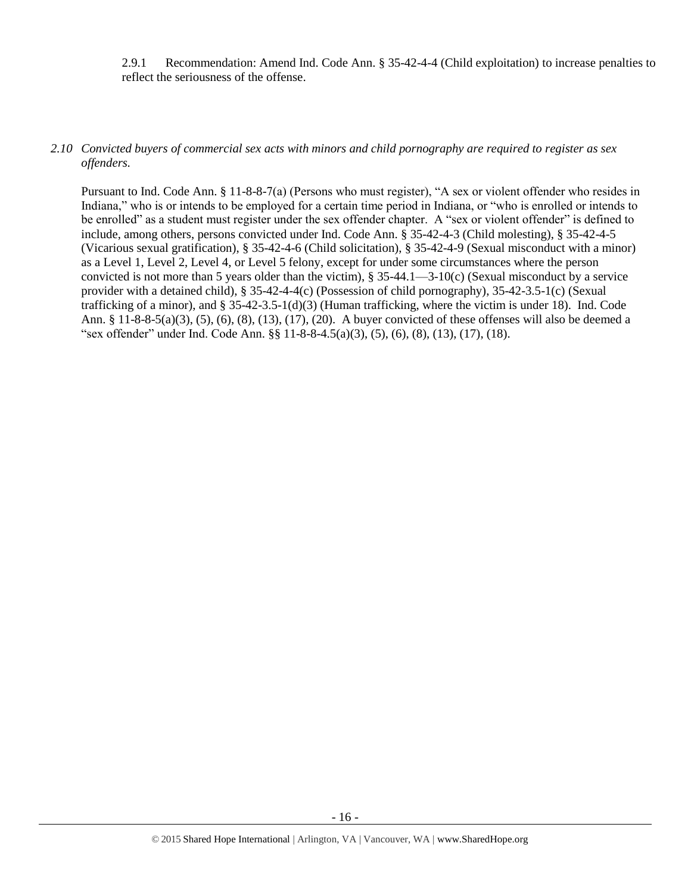2.9.1 Recommendation: Amend Ind. Code Ann. § 35-42-4-4 (Child exploitation) to increase penalties to reflect the seriousness of the offense.

#### *2.10 Convicted buyers of commercial sex acts with minors and child pornography are required to register as sex offenders.*

Pursuant to Ind. Code Ann. § 11-8-8-7(a) (Persons who must register), "A sex or violent offender who resides in Indiana," who is or intends to be employed for a certain time period in Indiana, or "who is enrolled or intends to be enrolled" as a student must register under the sex offender chapter. A "sex or violent offender" is defined to include, among others, persons convicted under Ind. Code Ann. § 35-42-4-3 (Child molesting), § 35-42-4-5 (Vicarious sexual gratification), § 35-42-4-6 (Child solicitation), § 35-42-4-9 (Sexual misconduct with a minor) as a Level 1, Level 2, Level 4, or Level 5 felony, except for under some circumstances where the person convicted is not more than 5 years older than the victim), § 35-44.1—3-10(c) (Sexual misconduct by a service provider with a detained child), § 35-42-4-4(c) (Possession of child pornography), 35-42-3.5-1(c) (Sexual trafficking of a minor), and  $\S 35-42-3.5-1(d)(3)$  (Human trafficking, where the victim is under 18). Ind. Code Ann. § 11-8-8-5(a)(3), (5), (6), (8), (13), (17), (20). A buyer convicted of these offenses will also be deemed a "sex offender" under Ind. Code Ann. §§ 11-8-8-4.5(a)(3), (5), (6), (8), (13), (17), (18).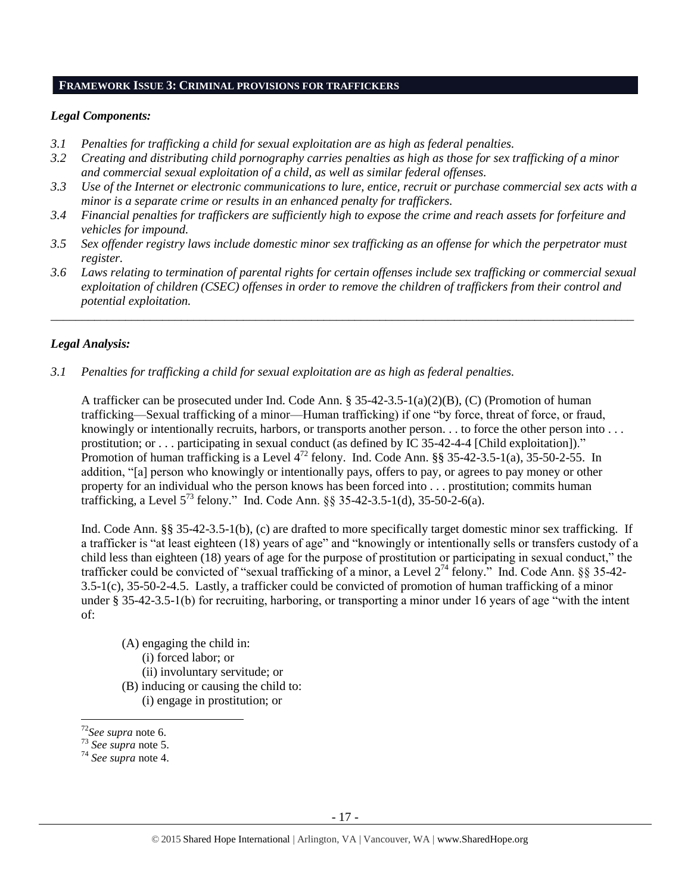#### **FRAMEWORK ISSUE 3: CRIMINAL PROVISIONS FOR TRAFFICKERS**

#### *Legal Components:*

- *3.1 Penalties for trafficking a child for sexual exploitation are as high as federal penalties.*
- *3.2 Creating and distributing child pornography carries penalties as high as those for sex trafficking of a minor and commercial sexual exploitation of a child, as well as similar federal offenses.*
- *3.3 Use of the Internet or electronic communications to lure, entice, recruit or purchase commercial sex acts with a minor is a separate crime or results in an enhanced penalty for traffickers.*
- *3.4 Financial penalties for traffickers are sufficiently high to expose the crime and reach assets for forfeiture and vehicles for impound.*
- *3.5 Sex offender registry laws include domestic minor sex trafficking as an offense for which the perpetrator must register.*
- *3.6 Laws relating to termination of parental rights for certain offenses include sex trafficking or commercial sexual exploitation of children (CSEC) offenses in order to remove the children of traffickers from their control and potential exploitation.*

*\_\_\_\_\_\_\_\_\_\_\_\_\_\_\_\_\_\_\_\_\_\_\_\_\_\_\_\_\_\_\_\_\_\_\_\_\_\_\_\_\_\_\_\_\_\_\_\_\_\_\_\_\_\_\_\_\_\_\_\_\_\_\_\_\_\_\_\_\_\_\_\_\_\_\_\_\_\_\_\_\_\_\_\_\_\_\_\_\_\_\_\_\_\_*

#### *Legal Analysis:*

*3.1 Penalties for trafficking a child for sexual exploitation are as high as federal penalties.* 

A trafficker can be prosecuted under Ind. Code Ann. § 35-42-3.5-1(a)(2)(B), (C) (Promotion of human trafficking—Sexual trafficking of a minor—Human trafficking) if one "by force, threat of force, or fraud, knowingly or intentionally recruits, harbors, or transports another person. . . to force the other person into . . . prostitution; or . . . participating in sexual conduct (as defined by IC 35-42-4-4 [Child exploitation])." Promotion of human trafficking is a Level  $4^{72}$  felony. Ind. Code Ann. §§ 35-42-3.5-1(a), 35-50-2-55. In addition, "[a] person who knowingly or intentionally pays, offers to pay, or agrees to pay money or other property for an individual who the person knows has been forced into . . . prostitution; commits human trafficking, a Level 5<sup>73</sup> felony." Ind. Code Ann. §§ 35-42-3.5-1(d), 35-50-2-6(a).

Ind. Code Ann. §§ 35-42-3.5-1(b), (c) are drafted to more specifically target domestic minor sex trafficking. If a trafficker is "at least eighteen (18) years of age" and "knowingly or intentionally sells or transfers custody of a child less than eighteen (18) years of age for the purpose of prostitution or participating in sexual conduct," the trafficker could be convicted of "sexual trafficking of a minor, a Level  $2^{74}$  felony." Ind. Code Ann. §§ 35-42-3.5-1(c), 35-50-2-4.5. Lastly, a trafficker could be convicted of promotion of human trafficking of a minor under § 35-42-3.5-1(b) for recruiting, harboring, or transporting a minor under 16 years of age "with the intent of:

- (A) engaging the child in: (i) forced labor; or (ii) involuntary servitude; or
- (B) inducing or causing the child to:
- (i) engage in prostitution; or

 $\overline{\phantom{a}}$ 

<sup>72</sup>*See supra* note [6.](#page-2-0)

<sup>73</sup> *See supra* note [5.](#page-1-0)

<sup>74</sup> *See supra* note [4.](#page-1-2)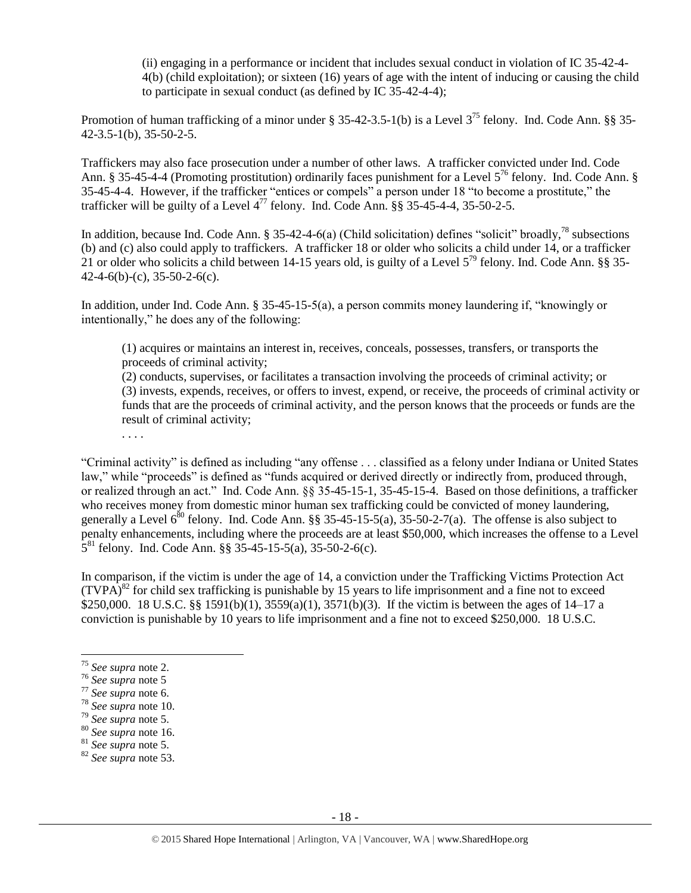(ii) engaging in a performance or incident that includes sexual conduct in violation of IC 35-42-4- 4(b) (child exploitation); or sixteen (16) years of age with the intent of inducing or causing the child to participate in sexual conduct (as defined by IC 35-42-4-4);

Promotion of human trafficking of a minor under § 35-42-3.5-1(b) is a Level  $3^{75}$  felony. Ind. Code Ann. §§ 35-42-3.5-1(b), 35-50-2-5.

Traffickers may also face prosecution under a number of other laws. A trafficker convicted under Ind. Code Ann. § 35-45-4-4 (Promoting prostitution) ordinarily faces punishment for a Level 5<sup>76</sup> felony. Ind. Code Ann. § 35-45-4-4. However, if the trafficker "entices or compels" a person under 18 "to become a prostitute," the trafficker will be guilty of a Level  $4^{77}$  felony. Ind. Code Ann. §§ 35-45-4-4, 35-50-2-5.

In addition, because Ind. Code Ann.  $\S 35-42-4-6(a)$  (Child solicitation) defines "solicit" broadly,<sup>78</sup> subsections (b) and (c) also could apply to traffickers. A trafficker 18 or older who solicits a child under 14, or a trafficker 21 or older who solicits a child between 14-15 years old, is guilty of a Level  $5^{79}$  felony. Ind. Code Ann. §§ 35-42-4-6(b)-(c), 35-50-2-6(c).

In addition, under Ind. Code Ann. § 35-45-15-5(a), a person commits money laundering if, "knowingly or intentionally," he does any of the following:

(1) acquires or maintains an interest in, receives, conceals, possesses, transfers, or transports the proceeds of criminal activity;

(2) conducts, supervises, or facilitates a transaction involving the proceeds of criminal activity; or (3) invests, expends, receives, or offers to invest, expend, or receive, the proceeds of criminal activity or funds that are the proceeds of criminal activity, and the person knows that the proceeds or funds are the result of criminal activity;

. . . .

"Criminal activity" is defined as including "any offense . . . classified as a felony under Indiana or United States law," while "proceeds" is defined as "funds acquired or derived directly or indirectly from, produced through, or realized through an act." Ind. Code Ann. §§ 35-45-15-1, 35-45-15-4. Based on those definitions, a trafficker who receives money from domestic minor human sex trafficking could be convicted of money laundering, generally a Level  $6^{80}$  felony. Ind. Code Ann. §§ 35-45-15-5(a), 35-50-2-7(a). The offense is also subject to penalty enhancements, including where the proceeds are at least \$50,000, which increases the offense to a Level  $5^{81}$  felony. Ind. Code Ann. §§ 35-45-15-5(a), 35-50-2-6(c).

In comparison, if the victim is under the age of 14, a conviction under the Trafficking Victims Protection Act  $(TVPA)^{82}$  for child sex trafficking is punishable by 15 years to life imprisonment and a fine not to exceed \$250,000. 18 U.S.C. §§ 1591(b)(1), 3559(a)(1), 3571(b)(3). If the victim is between the ages of 14–17 a conviction is punishable by 10 years to life imprisonment and a fine not to exceed \$250,000. 18 U.S.C.

 $\overline{a}$ 

<sup>75</sup> *See supra* note [2.](#page-1-1)

<sup>76</sup> *See supra* note [5](#page-1-0)

<sup>77</sup> *See supra* note [6.](#page-2-0)

<sup>78</sup> *See supra* note [10.](#page-3-0)

<sup>79</sup> *See supra* note [5.](#page-1-0)

<sup>80</sup> *See supra* note [16.](#page-4-0)

<sup>81</sup> *See supra* note [5.](#page-1-0)

<sup>82</sup> *See supra* note [53.](#page-10-0)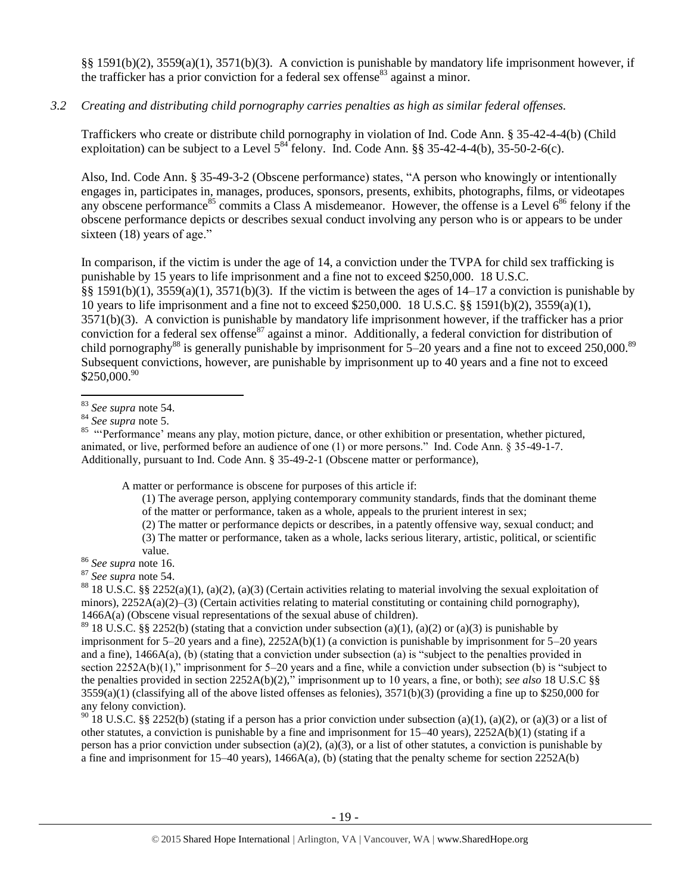§§ 1591(b)(2), 3559(a)(1), 3571(b)(3). A conviction is punishable by mandatory life imprisonment however, if the trafficker has a prior conviction for a federal sex offense  $83$  against a minor.

# *3.2 Creating and distributing child pornography carries penalties as high as similar federal offenses.*

Traffickers who create or distribute child pornography in violation of Ind. Code Ann. § 35-42-4-4(b) (Child exploitation) can be subject to a Level  $5^{84}$  felony. Ind. Code Ann. §§ 35-42-4-4(b), 35-50-2-6(c).

<span id="page-18-0"></span>Also, Ind. Code Ann. § 35-49-3-2 (Obscene performance) states, "A person who knowingly or intentionally engages in, participates in, manages, produces, sponsors, presents, exhibits, photographs, films, or videotapes any obscene performance<sup>85</sup> commits a Class A misdemeanor. However, the offense is a Level  $6^{86}$  felony if the obscene performance depicts or describes sexual conduct involving any person who is or appears to be under sixteen (18) years of age."

In comparison, if the victim is under the age of 14, a conviction under the TVPA for child sex trafficking is punishable by 15 years to life imprisonment and a fine not to exceed \$250,000. 18 U.S.C. §§ 1591(b)(1), 3559(a)(1), 3571(b)(3). If the victim is between the ages of  $14-17$  a conviction is punishable by 10 years to life imprisonment and a fine not to exceed \$250,000. 18 U.S.C. §§ 1591(b)(2), 3559(a)(1), 3571(b)(3). A conviction is punishable by mandatory life imprisonment however, if the trafficker has a prior conviction for a federal sex offense<sup>87</sup> against a minor. Additionally, a federal conviction for distribution of child pornography<sup>88</sup> is generally punishable by imprisonment for  $5-20$  years and a fine not to exceed 250,000.<sup>89</sup> Subsequent convictions, however, are punishable by imprisonment up to 40 years and a fine not to exceed  $$250,000.<sup>90</sup>$ 

A matter or performance is obscene for purposes of this article if:

- (1) The average person, applying contemporary community standards, finds that the dominant theme of the matter or performance, taken as a whole, appeals to the prurient interest in sex;
- (2) The matter or performance depicts or describes, in a patently offensive way, sexual conduct; and
- (3) The matter or performance, taken as a whole, lacks serious literary, artistic, political, or scientific value.

<sup>86</sup> *See supra* note [16.](#page-4-0)

<sup>87</sup> *See supra* note [54.](#page-10-1) 

<sup>88</sup> 18 U.S.C. §§ 2252(a)(1), (a)(2), (a)(3) (Certain activities relating to material involving the sexual exploitation of minors),  $2252A(a)(2)$ –(3) (Certain activities relating to material constituting or containing child pornography), 1466A(a) (Obscene visual representations of the sexual abuse of children).

<sup>89</sup> 18 U.S.C. §§ 2252(b) (stating that a conviction under subsection (a)(1), (a)(2) or (a)(3) is punishable by imprisonment for  $5-20$  years and a fine),  $2252A(b)(1)$  (a conviction is punishable by imprisonment for  $5-20$  years and a fine), 1466A(a), (b) (stating that a conviction under subsection (a) is "subject to the penalties provided in section 2252A(b)(1)," imprisonment for 5–20 years and a fine, while a conviction under subsection (b) is "subject to the penalties provided in section 2252A(b)(2)," imprisonment up to 10 years, a fine, or both); *see also* 18 U.S.C §§  $3559(a)(1)$  (classifying all of the above listed offenses as felonies),  $3571(b)(3)$  (providing a fine up to \$250,000 for any felony conviction).

<sup>90</sup> 18 U.S.C. §§ 2252(b) (stating if a person has a prior conviction under subsection (a)(1), (a)(2), or (a)(3) or a list of other statutes, a conviction is punishable by a fine and imprisonment for 15–40 years), 2252A(b)(1) (stating if a person has a prior conviction under subsection (a)(2), (a)(3), or a list of other statutes, a conviction is punishable by a fine and imprisonment for  $15-40$  years),  $1466A(a)$ , (b) (stating that the penalty scheme for section  $2252A(b)$ 

 $\overline{\phantom{a}}$ <sup>83</sup> *See supra* note [54.](#page-10-1) 

<sup>84</sup> *See supra* note [5.](#page-1-0)

<sup>&</sup>lt;sup>85</sup> "Performance' means any play, motion picture, dance, or other exhibition or presentation, whether pictured, animated, or live, performed before an audience of one (1) or more persons." Ind. Code Ann. § 35-49-1-7. Additionally, pursuant to Ind. Code Ann. § 35-49-2-1 (Obscene matter or performance),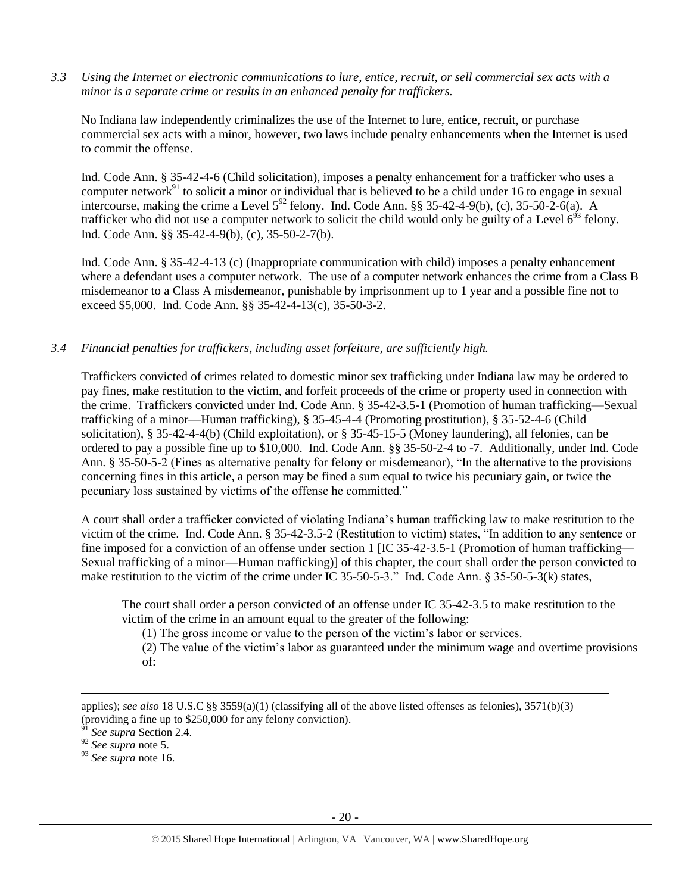*3.3 Using the Internet or electronic communications to lure, entice, recruit, or sell commercial sex acts with a minor is a separate crime or results in an enhanced penalty for traffickers.*

No Indiana law independently criminalizes the use of the Internet to lure, entice, recruit, or purchase commercial sex acts with a minor, however, two laws include penalty enhancements when the Internet is used to commit the offense.

Ind. Code Ann. § 35-42-4-6 (Child solicitation), imposes a penalty enhancement for a trafficker who uses a computer network $91$  to solicit a minor or individual that is believed to be a child under 16 to engage in sexual intercourse, making the crime a Level  $5^{92}$  felony. Ind. Code Ann. §§ 35-42-4-9(b), (c), 35-50-2-6(a). A trafficker who did not use a computer network to solicit the child would only be guilty of a Level  $6^{93}$  felony. Ind. Code Ann. §§ 35-42-4-9(b), (c), 35-50-2-7(b).

Ind. Code Ann. § 35-42-4-13 (c) (Inappropriate communication with child) imposes a penalty enhancement where a defendant uses a computer network. The use of a computer network enhances the crime from a Class B misdemeanor to a Class A misdemeanor, punishable by imprisonment up to 1 year and a possible fine not to exceed \$5,000. Ind. Code Ann. §§ 35-42-4-13(c), 35-50-3-2.

#### *3.4 Financial penalties for traffickers, including asset forfeiture, are sufficiently high.*

Traffickers convicted of crimes related to domestic minor sex trafficking under Indiana law may be ordered to pay fines, make restitution to the victim, and forfeit proceeds of the crime or property used in connection with the crime. Traffickers convicted under Ind. Code Ann. § 35-42-3.5-1 (Promotion of human trafficking—Sexual trafficking of a minor—Human trafficking), § 35-45-4-4 (Promoting prostitution), § 35-52-4-6 (Child solicitation), § 35-42-4-4(b) (Child exploitation), or § 35-45-15-5 (Money laundering), all felonies, can be ordered to pay a possible fine up to \$10,000. Ind. Code Ann. §§ 35-50-2-4 to -7. Additionally, under Ind. Code Ann. § 35-50-5-2 (Fines as alternative penalty for felony or misdemeanor), "In the alternative to the provisions concerning fines in this article, a person may be fined a sum equal to twice his pecuniary gain, or twice the pecuniary loss sustained by victims of the offense he committed."

A court shall order a trafficker convicted of violating Indiana's human trafficking law to make restitution to the victim of the crime. Ind. Code Ann. § 35-42-3.5-2 (Restitution to victim) states, "In addition to any sentence or fine imposed for a conviction of an offense under section 1 [IC 35-42-3.5-1 (Promotion of human trafficking— Sexual trafficking of a minor—Human trafficking)] of this chapter, the court shall order the person convicted to make restitution to the victim of the crime under IC 35-50-5-3." Ind. Code Ann. § 35-50-5-3(k) states,

The court shall order a person convicted of an offense under IC 35-42-3.5 to make restitution to the victim of the crime in an amount equal to the greater of the following:

(1) The gross income or value to the person of the victim's labor or services.

(2) The value of the victim's labor as guaranteed under the minimum wage and overtime provisions of:

 $\overline{a}$ 

applies); *see also* 18 U.S.C §§ 3559(a)(1) (classifying all of the above listed offenses as felonies), 3571(b)(3) (providing a fine up to  $$250,000$  for any felony conviction).

See supra Section 2.4.

<sup>92</sup> *See supra* note [5.](#page-1-0)

<sup>93</sup> *See supra* note [16.](#page-4-0)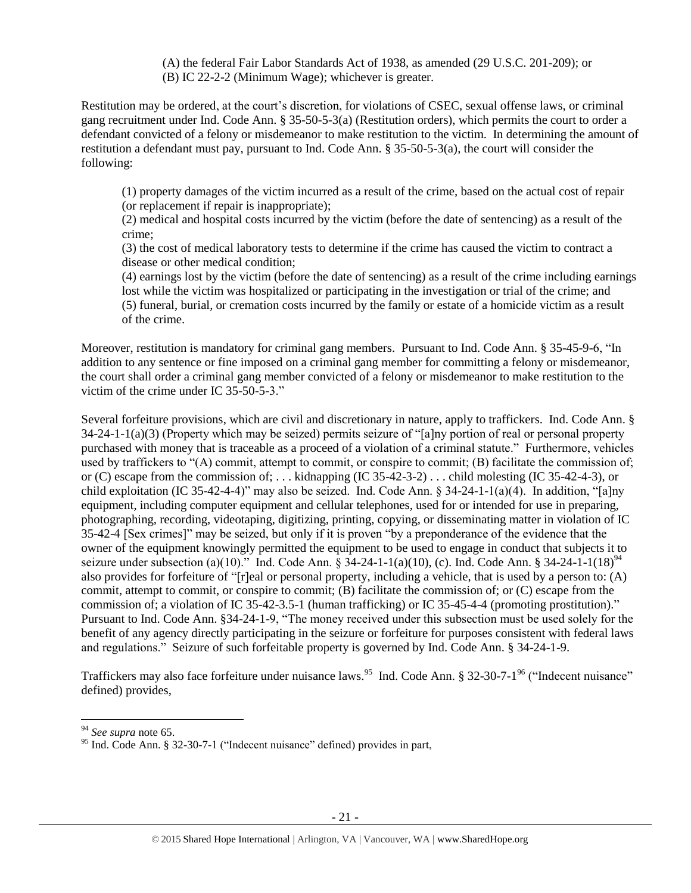(A) the federal Fair Labor Standards Act of 1938, as amended (29 U.S.C. 201-209); or (B) IC 22-2-2 (Minimum Wage); whichever is greater.

Restitution may be ordered, at the court's discretion, for violations of CSEC, sexual offense laws, or criminal gang recruitment under Ind. Code Ann. § 35-50-5-3(a) (Restitution orders), which permits the court to order a defendant convicted of a felony or misdemeanor to make restitution to the victim. In determining the amount of restitution a defendant must pay, pursuant to Ind. Code Ann. § 35-50-5-3(a), the court will consider the following:

(1) property damages of the victim incurred as a result of the crime, based on the actual cost of repair (or replacement if repair is inappropriate);

(2) medical and hospital costs incurred by the victim (before the date of sentencing) as a result of the crime;

(3) the cost of medical laboratory tests to determine if the crime has caused the victim to contract a disease or other medical condition;

(4) earnings lost by the victim (before the date of sentencing) as a result of the crime including earnings lost while the victim was hospitalized or participating in the investigation or trial of the crime; and (5) funeral, burial, or cremation costs incurred by the family or estate of a homicide victim as a result of the crime.

Moreover, restitution is mandatory for criminal gang members. Pursuant to Ind. Code Ann. § 35-45-9-6, "In addition to any sentence or fine imposed on a criminal gang member for committing a felony or misdemeanor, the court shall order a criminal gang member convicted of a felony or misdemeanor to make restitution to the victim of the crime under IC 35-50-5-3."

Several forfeiture provisions, which are civil and discretionary in nature, apply to traffickers. Ind. Code Ann. § 34-24-1-1(a)(3) (Property which may be seized) permits seizure of "[a]ny portion of real or personal property purchased with money that is traceable as a proceed of a violation of a criminal statute." Furthermore, vehicles used by traffickers to "(A) commit, attempt to commit, or conspire to commit; (B) facilitate the commission of; or (C) escape from the commission of; . . . kidnapping (IC 35-42-3-2) . . . child molesting (IC 35-42-4-3), or child exploitation (IC 35-42-4-4)" may also be seized. Ind. Code Ann. § 34-24-1-1(a)(4). In addition, "[a]ny equipment, including computer equipment and cellular telephones, used for or intended for use in preparing, photographing, recording, videotaping, digitizing, printing, copying, or disseminating matter in violation of IC 35-42-4 [Sex crimes]" may be seized, but only if it is proven "by a preponderance of the evidence that the owner of the equipment knowingly permitted the equipment to be used to engage in conduct that subjects it to seizure under subsection (a)(10)." Ind. Code Ann. § 34-24-1-1(a)(10), (c). Ind. Code Ann. § 34-24-1-1(18)<sup>94</sup> also provides for forfeiture of "[r]eal or personal property, including a vehicle, that is used by a person to: (A) commit, attempt to commit, or conspire to commit; (B) facilitate the commission of; or (C) escape from the commission of; a violation of IC 35-42-3.5-1 (human trafficking) or IC 35-45-4-4 (promoting prostitution)." Pursuant to Ind. Code Ann. §34-24-1-9, "The money received under this subsection must be used solely for the benefit of any agency directly participating in the seizure or forfeiture for purposes consistent with federal laws and regulations." Seizure of such forfeitable property is governed by Ind. Code Ann. § 34-24-1-9.

Traffickers may also face forfeiture under nuisance laws.<sup>95</sup> Ind. Code Ann. § 32-30-7-1<sup>96</sup> ("Indecent nuisance" defined) provides,

 $\overline{\phantom{a}}$ 

<sup>94</sup> *See supra* note [65.](#page-13-0)

<sup>&</sup>lt;sup>95</sup> Ind. Code Ann. § 32-30-7-1 ("Indecent nuisance" defined) provides in part,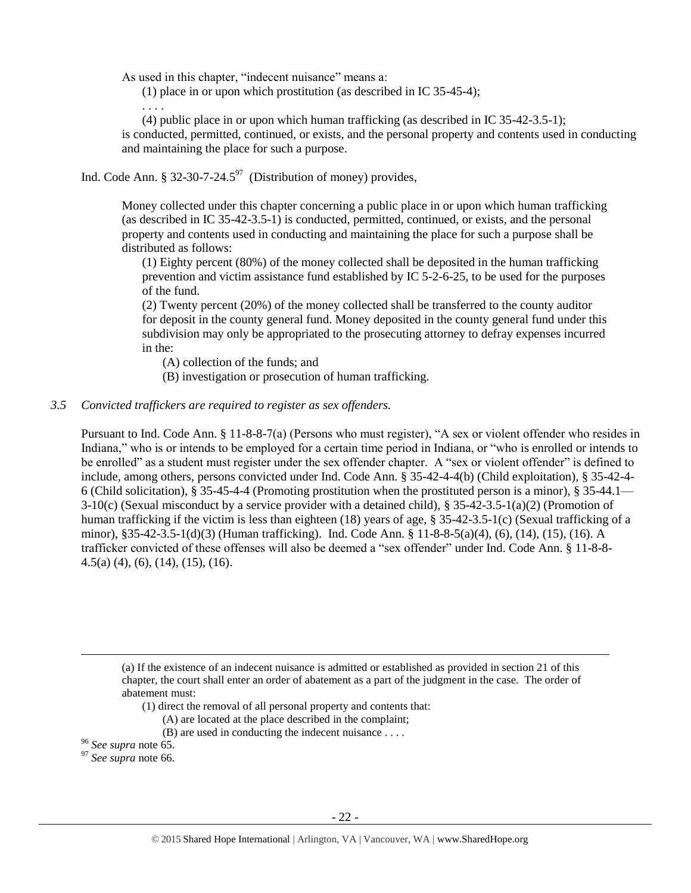As used in this chapter, "indecent nuisance" means a:

. . . .

(1) place in or upon which prostitution (as described in IC 35-45-4);

(4) public place in or upon which human trafficking (as described in IC 35-42-3.5-1); is conducted, permitted, continued, or exists, and the personal property and contents used in conducting and maintaining the place for such a purpose.

Ind. Code Ann. § 32-30-7-24.5 $97$  (Distribution of money) provides,

Money collected under this chapter concerning a public place in or upon which human trafficking (as described in IC 35-42-3.5-1) is conducted, permitted, continued, or exists, and the personal property and contents used in conducting and maintaining the place for such a purpose shall be distributed as follows:

(1) Eighty percent (80%) of the money collected shall be deposited in the human trafficking prevention and victim assistance fund established by IC 5-2-6-25, to be used for the purposes of the fund.

(2) Twenty percent (20%) of the money collected shall be transferred to the county auditor for deposit in the county general fund. Money deposited in the county general fund under this subdivision may only be appropriated to the prosecuting attorney to defray expenses incurred in the:

(A) collection of the funds; and

(B) investigation or prosecution of human trafficking.

#### *3.5 Convicted traffickers are required to register as sex offenders.*

Pursuant to Ind. Code Ann. § 11-8-8-7(a) (Persons who must register), "A sex or violent offender who resides in Indiana," who is or intends to be employed for a certain time period in Indiana, or "who is enrolled or intends to be enrolled" as a student must register under the sex offender chapter. A "sex or violent offender" is defined to include, among others, persons convicted under Ind. Code Ann. § 35-42-4-4(b) (Child exploitation), § 35-42-4- 6 (Child solicitation), § 35-45-4-4 (Promoting prostitution when the prostituted person is a minor), § 35-44.1—  $3-10(c)$  (Sexual misconduct by a service provider with a detained child), § 35-42-3.5-1(a)(2) (Promotion of human trafficking if the victim is less than eighteen (18) years of age, § 35-42-3.5-1(c) (Sexual trafficking of a minor), §35-42-3.5-1(d)(3) (Human trafficking). Ind. Code Ann. § 11-8-8-5(a)(4), (6), (14), (15), (16). A trafficker convicted of these offenses will also be deemed a "sex offender" under Ind. Code Ann. § 11-8-8- 4.5(a) (4), (6), (14), (15), (16).

(a) If the existence of an indecent nuisance is admitted or established as provided in section 21 of this chapter, the court shall enter an order of abatement as a part of the judgment in the case. The order of abatement must:

(1) direct the removal of all personal property and contents that:

- (A) are located at the place described in the complaint;
- (B) are used in conducting the indecent nuisance . . . .

<sup>96</sup> *See supra* note [65.](#page-13-0)

 $\overline{a}$ 

<sup>97</sup> *See supra* note [66.](#page-13-1)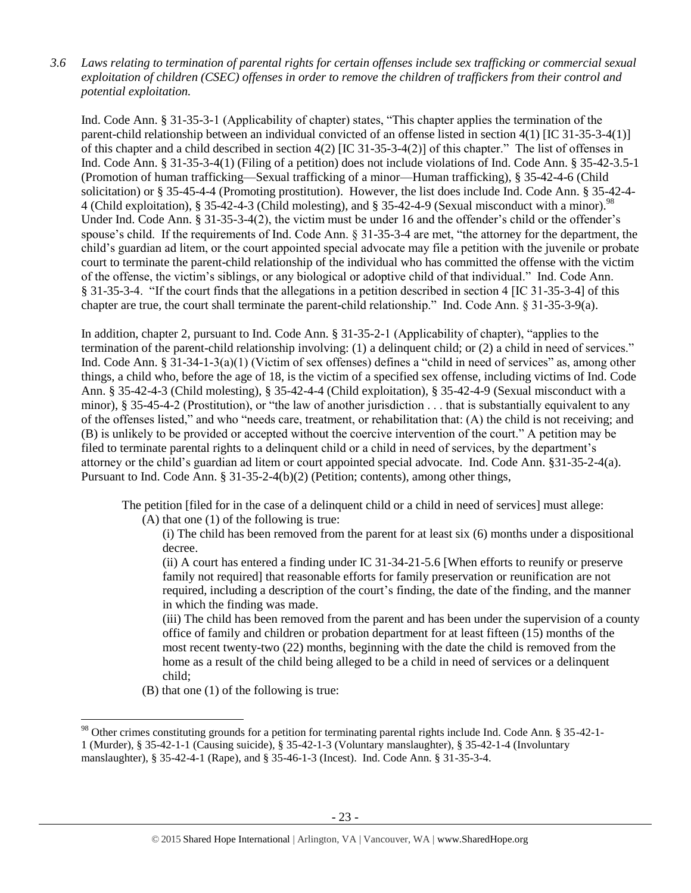*3.6 Laws relating to termination of parental rights for certain offenses include sex trafficking or commercial sexual exploitation of children (CSEC) offenses in order to remove the children of traffickers from their control and potential exploitation.* 

Ind. Code Ann. § 31-35-3-1 (Applicability of chapter) states, "This chapter applies the termination of the parent-child relationship between an individual convicted of an offense listed in section 4(1) [IC 31-35-3-4(1)] of this chapter and a child described in section 4(2) [IC 31-35-3-4(2)] of this chapter." The list of offenses in Ind. Code Ann. § 31-35-3-4(1) (Filing of a petition) does not include violations of Ind. Code Ann. § 35-42-3.5-1 (Promotion of human trafficking—Sexual trafficking of a minor—Human trafficking), § 35-42-4-6 (Child solicitation) or § 35-45-4-4 (Promoting prostitution). However, the list does include Ind. Code Ann. § 35-42-4- 4 (Child exploitation), § 35-42-4-3 (Child molesting), and § 35-42-4-9 (Sexual misconduct with a minor).<sup>98</sup> Under Ind. Code Ann. § 31-35-3-4(2), the victim must be under 16 and the offender's child or the offender's spouse's child. If the requirements of Ind. Code Ann. § 31-35-3-4 are met, "the attorney for the department, the child's guardian ad litem, or the court appointed special advocate may file a petition with the juvenile or probate court to terminate the parent-child relationship of the individual who has committed the offense with the victim of the offense, the victim's siblings, or any biological or adoptive child of that individual." Ind. Code Ann. § 31-35-3-4. "If the court finds that the allegations in a petition described in section 4 [IC 31-35-3-4] of this chapter are true, the court shall terminate the parent-child relationship." Ind. Code Ann. § 31-35-3-9(a).

In addition, chapter 2, pursuant to Ind. Code Ann. § 31-35-2-1 (Applicability of chapter), "applies to the termination of the parent-child relationship involving: (1) a delinquent child; or (2) a child in need of services." Ind. Code Ann. § 31-34-1-3(a)(1) (Victim of sex offenses) defines a "child in need of services" as, among other things, a child who, before the age of 18, is the victim of a specified sex offense, including victims of Ind. Code Ann. § 35-42-4-3 (Child molesting), § 35-42-4-4 (Child exploitation), § 35-42-4-9 (Sexual misconduct with a minor), § 35-45-4-2 (Prostitution), or "the law of another jurisdiction . . . that is substantially equivalent to any of the offenses listed," and who "needs care, treatment, or rehabilitation that: (A) the child is not receiving; and (B) is unlikely to be provided or accepted without the coercive intervention of the court." A petition may be filed to terminate parental rights to a delinquent child or a child in need of services, by the department's attorney or the child's guardian ad litem or court appointed special advocate. Ind. Code Ann. §31-35-2-4(a). Pursuant to Ind. Code Ann. § 31-35-2-4(b)(2) (Petition; contents), among other things,

The petition [filed for in the case of a delinquent child or a child in need of services] must allege: (A) that one (1) of the following is true:

(i) The child has been removed from the parent for at least six (6) months under a dispositional decree.

(ii) A court has entered a finding under IC 31-34-21-5.6 [When efforts to reunify or preserve family not required] that reasonable efforts for family preservation or reunification are not required, including a description of the court's finding, the date of the finding, and the manner in which the finding was made.

(iii) The child has been removed from the parent and has been under the supervision of a county office of family and children or probation department for at least fifteen (15) months of the most recent twenty-two (22) months, beginning with the date the child is removed from the home as a result of the child being alleged to be a child in need of services or a delinquent child;

(B) that one (1) of the following is true:

 $\overline{\phantom{a}}$ 

<sup>&</sup>lt;sup>98</sup> Other crimes constituting grounds for a petition for terminating parental rights include Ind. Code Ann. § 35-42-1-1 (Murder), § 35-42-1-1 (Causing suicide), § 35-42-1-3 (Voluntary manslaughter), § 35-42-1-4 (Involuntary manslaughter), § 35-42-4-1 (Rape), and § 35-46-1-3 (Incest). Ind. Code Ann. § 31-35-3-4.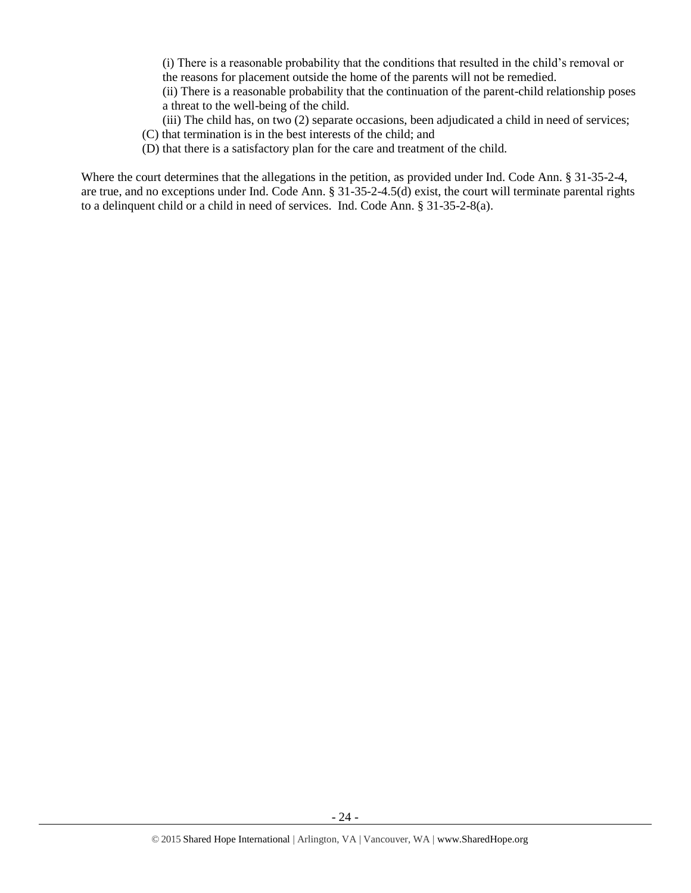(i) There is a reasonable probability that the conditions that resulted in the child's removal or the reasons for placement outside the home of the parents will not be remedied.

(ii) There is a reasonable probability that the continuation of the parent-child relationship poses a threat to the well-being of the child.

(iii) The child has, on two (2) separate occasions, been adjudicated a child in need of services;

- (C) that termination is in the best interests of the child; and
- (D) that there is a satisfactory plan for the care and treatment of the child.

Where the court determines that the allegations in the petition, as provided under Ind. Code Ann. § 31-35-2-4, are true, and no exceptions under Ind. Code Ann. § 31-35-2-4.5(d) exist, the court will terminate parental rights to a delinquent child or a child in need of services. Ind. Code Ann. § 31-35-2-8(a).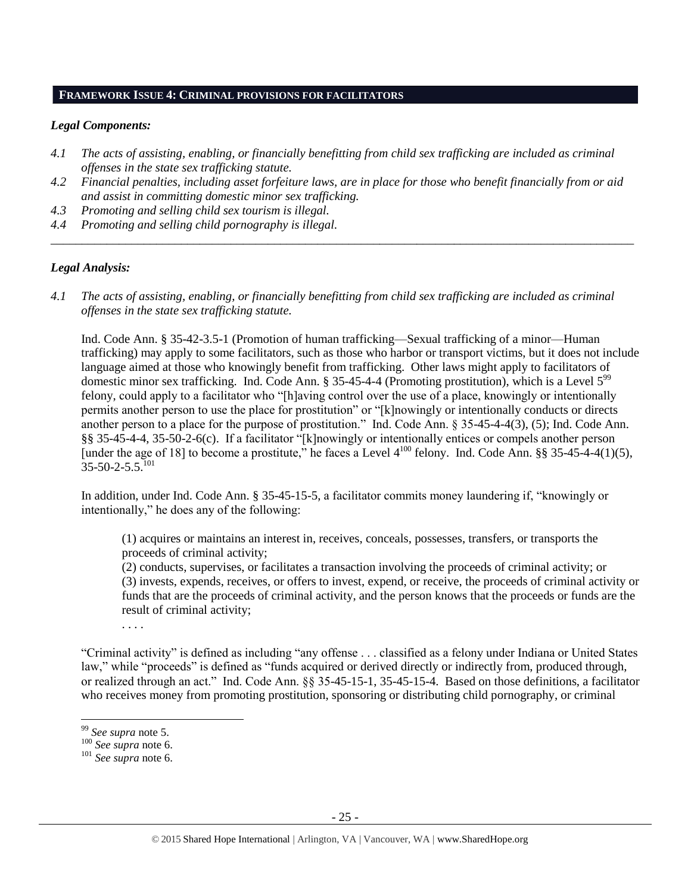#### **FRAMEWORK ISSUE 4: CRIMINAL PROVISIONS FOR FACILITATORS**

#### *Legal Components:*

- *4.1 The acts of assisting, enabling, or financially benefitting from child sex trafficking are included as criminal offenses in the state sex trafficking statute.*
- *4.2 Financial penalties, including asset forfeiture laws, are in place for those who benefit financially from or aid and assist in committing domestic minor sex trafficking.*

*\_\_\_\_\_\_\_\_\_\_\_\_\_\_\_\_\_\_\_\_\_\_\_\_\_\_\_\_\_\_\_\_\_\_\_\_\_\_\_\_\_\_\_\_\_\_\_\_\_\_\_\_\_\_\_\_\_\_\_\_\_\_\_\_\_\_\_\_\_\_\_\_\_\_\_\_\_\_\_\_\_\_\_\_\_\_\_\_\_\_\_\_\_\_*

- *4.3 Promoting and selling child sex tourism is illegal.*
- *4.4 Promoting and selling child pornography is illegal.*

# *Legal Analysis:*

*4.1 The acts of assisting, enabling, or financially benefitting from child sex trafficking are included as criminal offenses in the state sex trafficking statute.*

Ind. Code Ann. § 35-42-3.5-1 (Promotion of human trafficking—Sexual trafficking of a minor—Human trafficking) may apply to some facilitators, such as those who harbor or transport victims, but it does not include language aimed at those who knowingly benefit from trafficking. Other laws might apply to facilitators of domestic minor sex trafficking. Ind. Code Ann. § 35-45-4-4 (Promoting prostitution), which is a Level 5<sup>99</sup> felony, could apply to a facilitator who "[h]aving control over the use of a place, knowingly or intentionally permits another person to use the place for prostitution" or "[k]nowingly or intentionally conducts or directs another person to a place for the purpose of prostitution." Ind. Code Ann. § 35-45-4-4(3), (5); Ind. Code Ann. §§ 35-45-4-4, 35-50-2-6(c). If a facilitator "[k]nowingly or intentionally entices or compels another person [under the age of 18] to become a prostitute," he faces a Level  $4^{100}$  felony. Ind. Code Ann. §§ 35-45-4-4(1)(5),  $35 - 50 - 2 - 5.5$ <sup>101</sup>

In addition, under Ind. Code Ann. § 35-45-15-5, a facilitator commits money laundering if, "knowingly or intentionally," he does any of the following:

(1) acquires or maintains an interest in, receives, conceals, possesses, transfers, or transports the proceeds of criminal activity;

(2) conducts, supervises, or facilitates a transaction involving the proceeds of criminal activity; or (3) invests, expends, receives, or offers to invest, expend, or receive, the proceeds of criminal activity or funds that are the proceeds of criminal activity, and the person knows that the proceeds or funds are the result of criminal activity;

. . . .

"Criminal activity" is defined as including "any offense . . . classified as a felony under Indiana or United States law," while "proceeds" is defined as "funds acquired or derived directly or indirectly from, produced through, or realized through an act." Ind. Code Ann. §§ 35-45-15-1, 35-45-15-4. Based on those definitions, a facilitator who receives money from promoting prostitution, sponsoring or distributing child pornography, or criminal

 $\overline{\phantom{a}}$ 

<sup>99</sup> *See supra* note [5.](#page-1-0)

<sup>100</sup> *See supra* not[e 6.](#page-2-0)

<sup>101</sup> *See supra* not[e 6.](#page-2-0)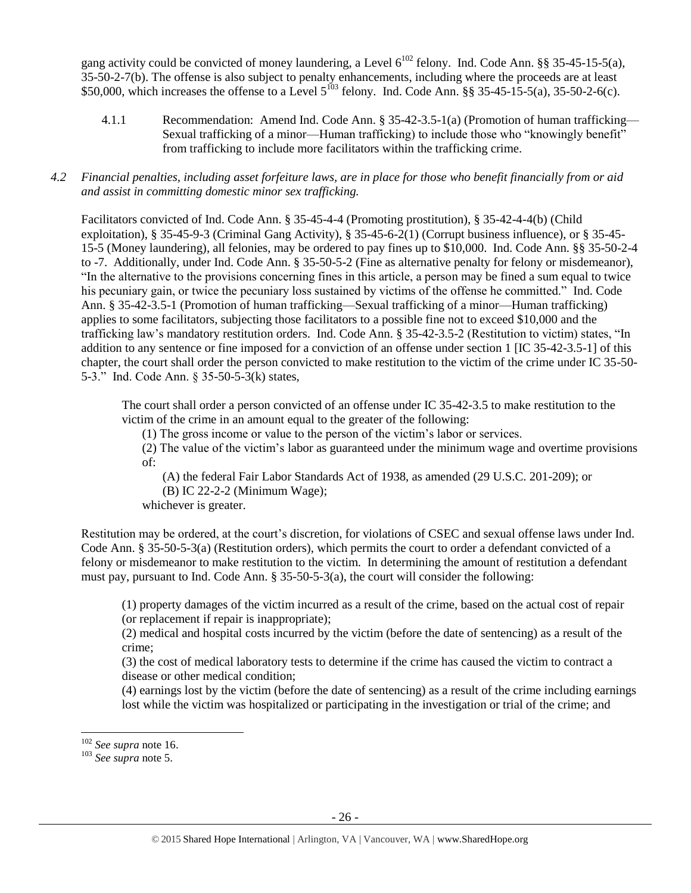gang activity could be convicted of money laundering, a Level  $6^{102}$  felony. Ind. Code Ann. §§ 35-45-15-5(a), 35-50-2-7(b). The offense is also subject to penalty enhancements, including where the proceeds are at least \$50,000, which increases the offense to a Level  $5^{103}$  felony. Ind. Code Ann. §§ 35-45-15-5(a), 35-50-2-6(c).

4.1.1 Recommendation: Amend Ind. Code Ann. § 35-42-3.5-1(a) (Promotion of human trafficking— Sexual trafficking of a minor—Human trafficking) to include those who "knowingly benefit" from trafficking to include more facilitators within the trafficking crime.

# *4.2 Financial penalties, including asset forfeiture laws, are in place for those who benefit financially from or aid and assist in committing domestic minor sex trafficking.*

Facilitators convicted of Ind. Code Ann. § 35-45-4-4 (Promoting prostitution), § 35-42-4-4(b) (Child exploitation), § 35-45-9-3 (Criminal Gang Activity), § 35-45-6-2(1) (Corrupt business influence), or § 35-45- 15-5 (Money laundering), all felonies, may be ordered to pay fines up to \$10,000. Ind. Code Ann. §§ 35-50-2-4 to -7. Additionally, under Ind. Code Ann. § 35-50-5-2 (Fine as alternative penalty for felony or misdemeanor), "In the alternative to the provisions concerning fines in this article, a person may be fined a sum equal to twice his pecuniary gain, or twice the pecuniary loss sustained by victims of the offense he committed." Ind. Code Ann. § 35-42-3.5-1 (Promotion of human trafficking—Sexual trafficking of a minor—Human trafficking) applies to some facilitators, subjecting those facilitators to a possible fine not to exceed \$10,000 and the trafficking law's mandatory restitution orders. Ind. Code Ann. § 35-42-3.5-2 (Restitution to victim) states, "In addition to any sentence or fine imposed for a conviction of an offense under section 1 [IC 35-42-3.5-1] of this chapter, the court shall order the person convicted to make restitution to the victim of the crime under IC 35-50- 5-3." Ind. Code Ann. § 35-50-5-3(k) states,

The court shall order a person convicted of an offense under IC 35-42-3.5 to make restitution to the victim of the crime in an amount equal to the greater of the following:

(1) The gross income or value to the person of the victim's labor or services.

(2) The value of the victim's labor as guaranteed under the minimum wage and overtime provisions of:

(A) the federal Fair Labor Standards Act of 1938, as amended (29 U.S.C. 201-209); or

(B) IC 22-2-2 (Minimum Wage);

whichever is greater.

Restitution may be ordered, at the court's discretion, for violations of CSEC and sexual offense laws under Ind. Code Ann. § 35-50-5-3(a) (Restitution orders), which permits the court to order a defendant convicted of a felony or misdemeanor to make restitution to the victim. In determining the amount of restitution a defendant must pay, pursuant to Ind. Code Ann. § 35-50-5-3(a), the court will consider the following:

(1) property damages of the victim incurred as a result of the crime, based on the actual cost of repair (or replacement if repair is inappropriate);

(2) medical and hospital costs incurred by the victim (before the date of sentencing) as a result of the crime;

(3) the cost of medical laboratory tests to determine if the crime has caused the victim to contract a disease or other medical condition;

(4) earnings lost by the victim (before the date of sentencing) as a result of the crime including earnings lost while the victim was hospitalized or participating in the investigation or trial of the crime; and

 $\overline{a}$ 

<sup>102</sup> *See supra* not[e 16.](#page-4-0)

<sup>103</sup> *See supra* not[e 5.](#page-1-0)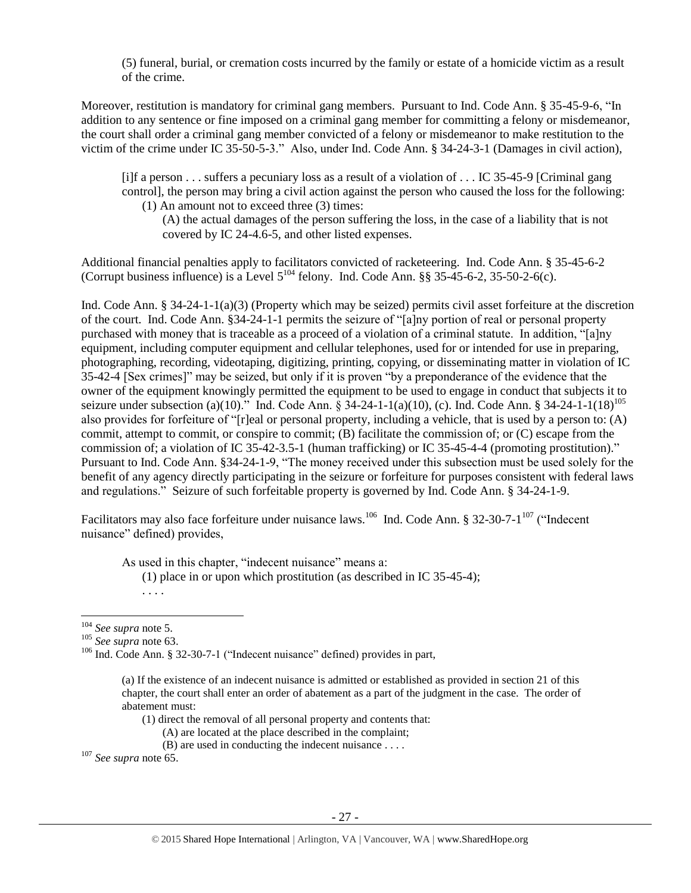(5) funeral, burial, or cremation costs incurred by the family or estate of a homicide victim as a result of the crime.

Moreover, restitution is mandatory for criminal gang members. Pursuant to Ind. Code Ann. § 35-45-9-6, "In addition to any sentence or fine imposed on a criminal gang member for committing a felony or misdemeanor, the court shall order a criminal gang member convicted of a felony or misdemeanor to make restitution to the victim of the crime under IC 35-50-5-3." Also, under Ind. Code Ann. § 34-24-3-1 (Damages in civil action),

[i]f a person . . . suffers a pecuniary loss as a result of a violation of . . . IC 35-45-9 [Criminal gang control], the person may bring a civil action against the person who caused the loss for the following: (1) An amount not to exceed three (3) times:

(A) the actual damages of the person suffering the loss, in the case of a liability that is not covered by IC 24-4.6-5, and other listed expenses.

Additional financial penalties apply to facilitators convicted of racketeering. Ind. Code Ann. § 35-45-6-2 (Corrupt business influence) is a Level  $5^{104}$  felony. Ind. Code Ann. §§ 35-45-6-2, 35-50-2-6(c).

Ind. Code Ann. § 34-24-1-1(a)(3) (Property which may be seized) permits civil asset forfeiture at the discretion of the court. Ind. Code Ann. §34-24-1-1 permits the seizure of "[a]ny portion of real or personal property purchased with money that is traceable as a proceed of a violation of a criminal statute. In addition, "[a]ny equipment, including computer equipment and cellular telephones, used for or intended for use in preparing, photographing, recording, videotaping, digitizing, printing, copying, or disseminating matter in violation of IC 35-42-4 [Sex crimes]" may be seized, but only if it is proven "by a preponderance of the evidence that the owner of the equipment knowingly permitted the equipment to be used to engage in conduct that subjects it to seizure under subsection (a)(10)." Ind. Code Ann.  $\frac{2}{9}$  34-24-1-1(a)(10), (c). Ind. Code Ann. § 34-24-1-1(18)<sup>105</sup> also provides for forfeiture of "[r]eal or personal property, including a vehicle, that is used by a person to: (A) commit, attempt to commit, or conspire to commit; (B) facilitate the commission of; or (C) escape from the commission of; a violation of IC 35-42-3.5-1 (human trafficking) or IC 35-45-4-4 (promoting prostitution)." Pursuant to Ind. Code Ann. §34-24-1-9, "The money received under this subsection must be used solely for the benefit of any agency directly participating in the seizure or forfeiture for purposes consistent with federal laws and regulations." Seizure of such forfeitable property is governed by Ind. Code Ann. § 34-24-1-9.

Facilitators may also face forfeiture under nuisance laws.<sup>106</sup> Ind. Code Ann. § 32-30-7-1<sup>107</sup> ("Indecent nuisance" defined) provides,

As used in this chapter, "indecent nuisance" means a:

(1) place in or upon which prostitution (as described in IC 35-45-4);

<sup>105</sup> *See supra* not[e 63.](#page-13-2)

. . . .

- (1) direct the removal of all personal property and contents that:
	- (A) are located at the place described in the complaint;
	- (B) are used in conducting the indecent nuisance . . . .

<sup>107</sup> *See supra* not[e 65.](#page-13-0)

 $\overline{\phantom{a}}$ <sup>104</sup> *See supra* not[e 5.](#page-1-0)

<sup>106</sup> Ind. Code Ann. § 32-30-7-1 ("Indecent nuisance" defined) provides in part,

<sup>(</sup>a) If the existence of an indecent nuisance is admitted or established as provided in section 21 of this chapter, the court shall enter an order of abatement as a part of the judgment in the case. The order of abatement must: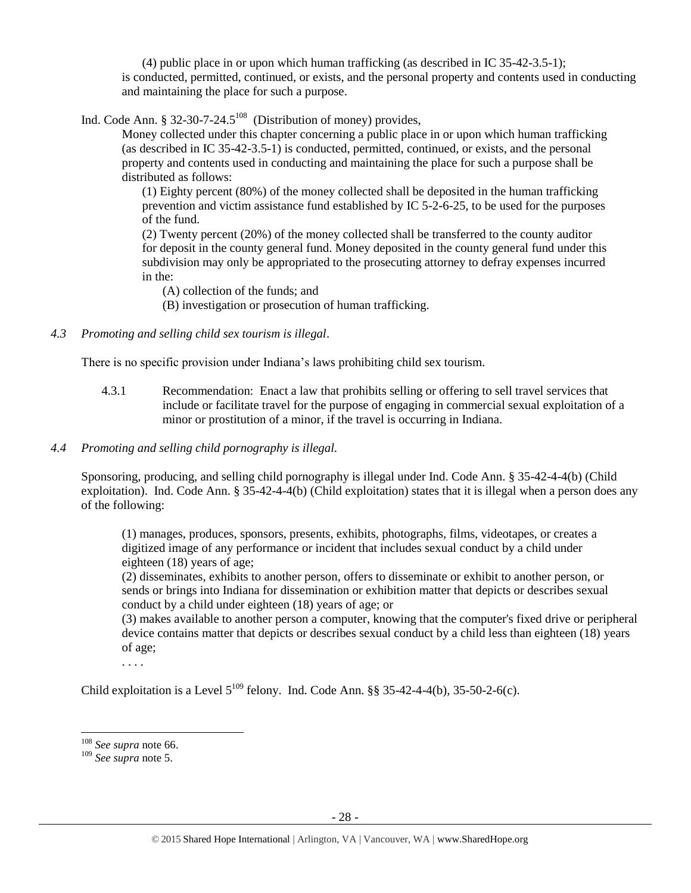(4) public place in or upon which human trafficking (as described in IC 35-42-3.5-1); is conducted, permitted, continued, or exists, and the personal property and contents used in conducting and maintaining the place for such a purpose.

Ind. Code Ann. § 32-30-7-24.5<sup>108</sup> (Distribution of money) provides,

Money collected under this chapter concerning a public place in or upon which human trafficking (as described in IC 35-42-3.5-1) is conducted, permitted, continued, or exists, and the personal property and contents used in conducting and maintaining the place for such a purpose shall be distributed as follows:

(1) Eighty percent (80%) of the money collected shall be deposited in the human trafficking prevention and victim assistance fund established by IC 5-2-6-25, to be used for the purposes of the fund.

(2) Twenty percent (20%) of the money collected shall be transferred to the county auditor for deposit in the county general fund. Money deposited in the county general fund under this subdivision may only be appropriated to the prosecuting attorney to defray expenses incurred in the:

(A) collection of the funds; and

(B) investigation or prosecution of human trafficking.

# *4.3 Promoting and selling child sex tourism is illegal*.

There is no specific provision under Indiana's laws prohibiting child sex tourism.

4.3.1 Recommendation: Enact a law that prohibits selling or offering to sell travel services that include or facilitate travel for the purpose of engaging in commercial sexual exploitation of a minor or prostitution of a minor, if the travel is occurring in Indiana.

#### *4.4 Promoting and selling child pornography is illegal.*

Sponsoring, producing, and selling child pornography is illegal under Ind. Code Ann. § 35-42-4-4(b) (Child exploitation). Ind. Code Ann. § 35-42-4-4(b) (Child exploitation) states that it is illegal when a person does any of the following:

(1) manages, produces, sponsors, presents, exhibits, photographs, films, videotapes, or creates a digitized image of any performance or incident that includes sexual conduct by a child under eighteen (18) years of age;

(2) disseminates, exhibits to another person, offers to disseminate or exhibit to another person, or sends or brings into Indiana for dissemination or exhibition matter that depicts or describes sexual conduct by a child under eighteen (18) years of age; or

(3) makes available to another person a computer, knowing that the computer's fixed drive or peripheral device contains matter that depicts or describes sexual conduct by a child less than eighteen (18) years of age;

. . . .

Child exploitation is a Level  $5^{109}$  felony. Ind. Code Ann. §§ 35-42-4-4(b), 35-50-2-6(c).

 $\overline{a}$ 

<sup>108</sup> *See supra* not[e 66.](#page-13-1)

<sup>109</sup> *See supra* not[e 5.](#page-1-0)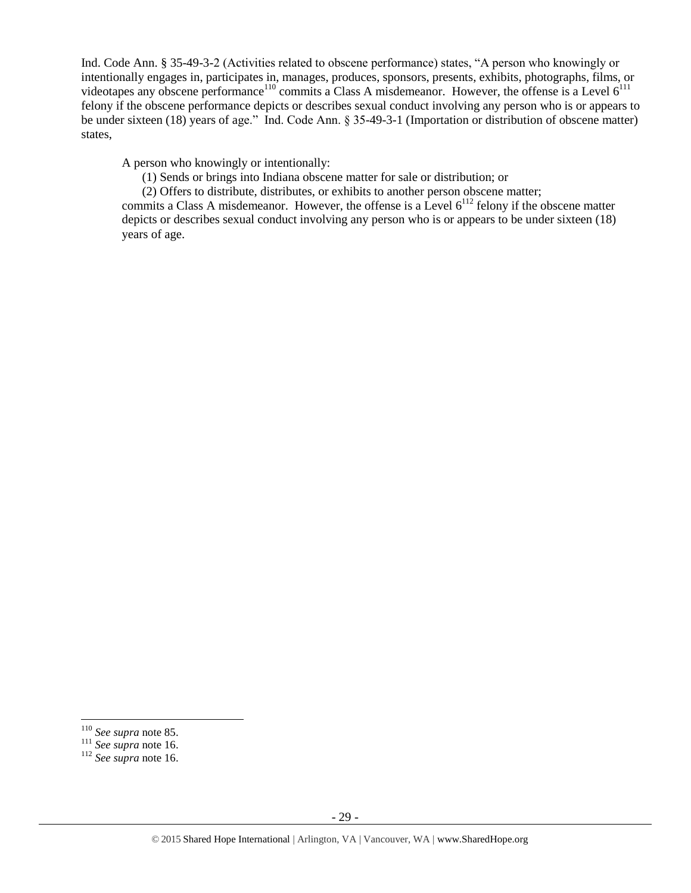Ind. Code Ann. § 35-49-3-2 (Activities related to obscene performance) states, "A person who knowingly or intentionally engages in, participates in, manages, produces, sponsors, presents, exhibits, photographs, films, or videotapes any obscene performance<sup>110</sup> commits a Class A misdemeanor. However, the offense is a Level  $6^{111}$ felony if the obscene performance depicts or describes sexual conduct involving any person who is or appears to be under sixteen (18) years of age." Ind. Code Ann. § 35-49-3-1 (Importation or distribution of obscene matter) states,

A person who knowingly or intentionally:

(1) Sends or brings into Indiana obscene matter for sale or distribution; or

(2) Offers to distribute, distributes, or exhibits to another person obscene matter;

commits a Class A misdemeanor. However, the offense is a Level  $6^{112}$  felony if the obscene matter depicts or describes sexual conduct involving any person who is or appears to be under sixteen (18) years of age.

 $\overline{\phantom{a}}$ 

<sup>110</sup> *See supra* not[e 85.](#page-18-0)

<sup>111</sup> *See supra* not[e 16.](#page-4-0)

<sup>112</sup> *See supra* not[e 16.](#page-4-0)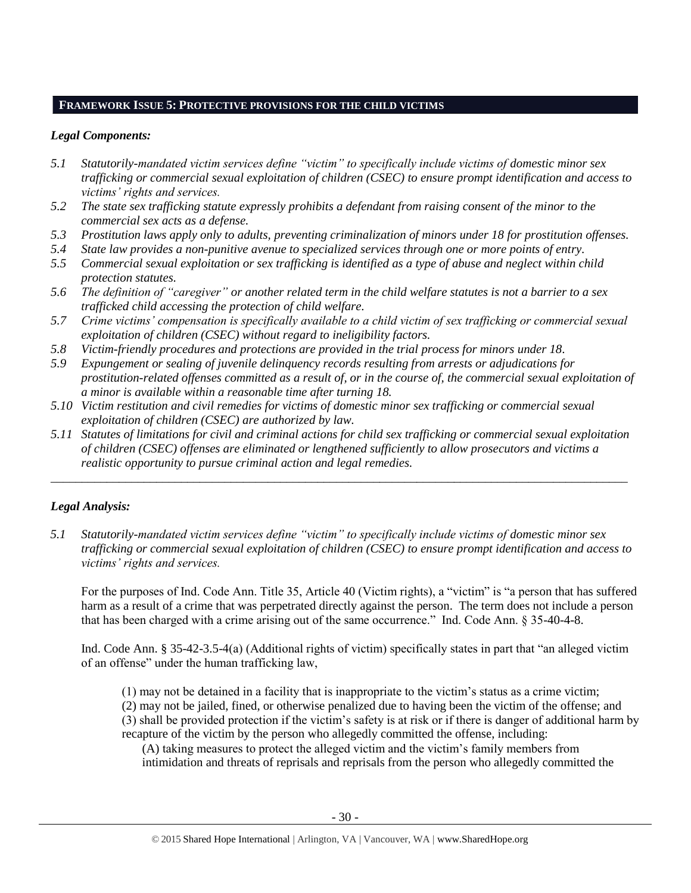# **FRAMEWORK ISSUE 5: PROTECTIVE PROVISIONS FOR THE CHILD VICTIMS**

# *Legal Components:*

- *5.1 Statutorily-mandated victim services define "victim" to specifically include victims of domestic minor sex trafficking or commercial sexual exploitation of children (CSEC) to ensure prompt identification and access to victims' rights and services.*
- *5.2 The state sex trafficking statute expressly prohibits a defendant from raising consent of the minor to the commercial sex acts as a defense.*
- *5.3 Prostitution laws apply only to adults, preventing criminalization of minors under 18 for prostitution offenses.*
- *5.4 State law provides a non-punitive avenue to specialized services through one or more points of entry.*
- *5.5 Commercial sexual exploitation or sex trafficking is identified as a type of abuse and neglect within child protection statutes.*
- *5.6 The definition of "caregiver" or another related term in the child welfare statutes is not a barrier to a sex trafficked child accessing the protection of child welfare.*
- *5.7 Crime victims' compensation is specifically available to a child victim of sex trafficking or commercial sexual exploitation of children (CSEC) without regard to ineligibility factors.*
- *5.8 Victim-friendly procedures and protections are provided in the trial process for minors under 18.*
- *5.9 Expungement or sealing of juvenile delinquency records resulting from arrests or adjudications for prostitution-related offenses committed as a result of, or in the course of, the commercial sexual exploitation of a minor is available within a reasonable time after turning 18.*
- *5.10 Victim restitution and civil remedies for victims of domestic minor sex trafficking or commercial sexual exploitation of children (CSEC) are authorized by law.*
- *5.11 Statutes of limitations for civil and criminal actions for child sex trafficking or commercial sexual exploitation of children (CSEC) offenses are eliminated or lengthened sufficiently to allow prosecutors and victims a realistic opportunity to pursue criminal action and legal remedies.*

*\_\_\_\_\_\_\_\_\_\_\_\_\_\_\_\_\_\_\_\_\_\_\_\_\_\_\_\_\_\_\_\_\_\_\_\_\_\_\_\_\_\_\_\_\_\_\_\_\_\_\_\_\_\_\_\_\_\_\_\_\_\_\_\_\_\_\_\_\_\_\_\_\_\_\_\_\_\_\_\_\_\_\_\_\_\_\_\_\_\_\_\_\_*

# *Legal Analysis:*

*5.1 Statutorily-mandated victim services define "victim" to specifically include victims of domestic minor sex trafficking or commercial sexual exploitation of children (CSEC) to ensure prompt identification and access to victims' rights and services.*

For the purposes of Ind. Code Ann. Title 35, Article 40 (Victim rights), a "victim" is "a person that has suffered harm as a result of a crime that was perpetrated directly against the person. The term does not include a person that has been charged with a crime arising out of the same occurrence." Ind. Code Ann. § 35-40-4-8.

Ind. Code Ann. § 35-42-3.5-4(a) (Additional rights of victim) specifically states in part that "an alleged victim of an offense" under the human trafficking law,

(1) may not be detained in a facility that is inappropriate to the victim's status as a crime victim;

(2) may not be jailed, fined, or otherwise penalized due to having been the victim of the offense; and (3) shall be provided protection if the victim's safety is at risk or if there is danger of additional harm by recapture of the victim by the person who allegedly committed the offense, including:

(A) taking measures to protect the alleged victim and the victim's family members from intimidation and threats of reprisals and reprisals from the person who allegedly committed the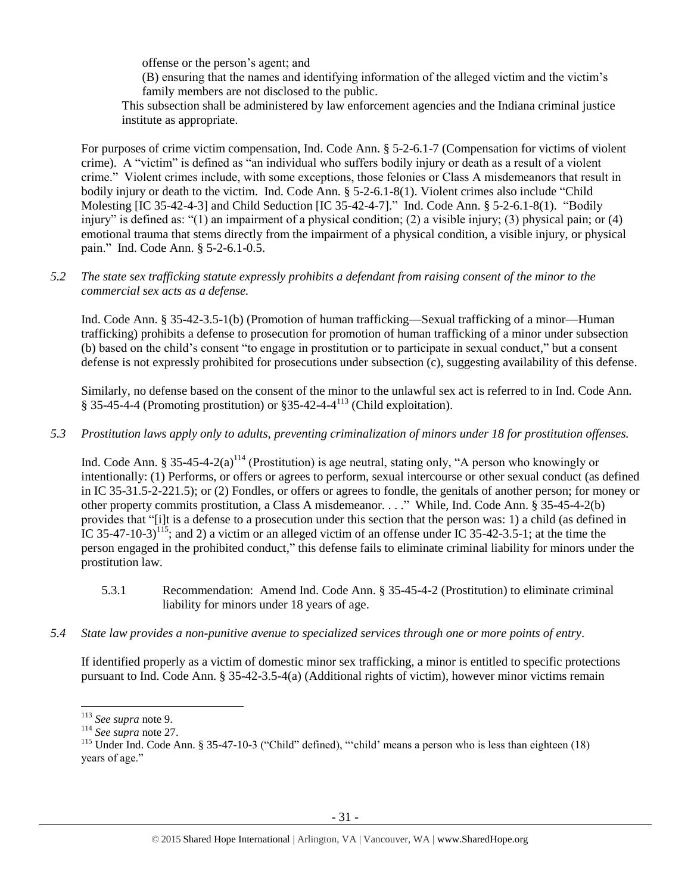offense or the person's agent; and

(B) ensuring that the names and identifying information of the alleged victim and the victim's family members are not disclosed to the public.

This subsection shall be administered by law enforcement agencies and the Indiana criminal justice institute as appropriate.

For purposes of crime victim compensation, Ind. Code Ann. § 5-2-6.1-7 (Compensation for victims of violent crime). A "victim" is defined as "an individual who suffers bodily injury or death as a result of a violent crime." Violent crimes include, with some exceptions, those felonies or Class A misdemeanors that result in bodily injury or death to the victim. Ind. Code Ann. § 5-2-6.1-8(1). Violent crimes also include "Child Molesting [IC 35-42-4-3] and Child Seduction [IC 35-42-4-7]." Ind. Code Ann. § 5-2-6.1-8(1). "Bodily injury" is defined as: "(1) an impairment of a physical condition; (2) a visible injury; (3) physical pain; or (4) emotional trauma that stems directly from the impairment of a physical condition, a visible injury, or physical pain." Ind. Code Ann. § 5-2-6.1-0.5.

# *5.2 The state sex trafficking statute expressly prohibits a defendant from raising consent of the minor to the commercial sex acts as a defense.*

Ind. Code Ann. § 35-42-3.5-1(b) (Promotion of human trafficking—Sexual trafficking of a minor—Human trafficking) prohibits a defense to prosecution for promotion of human trafficking of a minor under subsection (b) based on the child's consent "to engage in prostitution or to participate in sexual conduct," but a consent defense is not expressly prohibited for prosecutions under subsection (c), suggesting availability of this defense.

Similarly, no defense based on the consent of the minor to the unlawful sex act is referred to in Ind. Code Ann.  $§ 35-45-4-4$  (Promoting prostitution) or  $§ 35-42-4-4^{113}$  (Child exploitation).

# *5.3 Prostitution laws apply only to adults, preventing criminalization of minors under 18 for prostitution offenses.*

Ind. Code Ann. § 35-45-4-2(a)<sup>114</sup> (Prostitution) is age neutral, stating only, "A person who knowingly or intentionally: (1) Performs, or offers or agrees to perform, sexual intercourse or other sexual conduct (as defined in IC 35-31.5-2-221.5); or (2) Fondles, or offers or agrees to fondle, the genitals of another person; for money or other property commits prostitution, a Class A misdemeanor. . . ." While, Ind. Code Ann. § 35-45-4-2(b) provides that "[i]t is a defense to a prosecution under this section that the person was: 1) a child (as defined in IC 35-47-10-3)<sup>115</sup>; and 2) a victim or an alleged victim of an offense under IC 35-42-3.5-1; at the time the person engaged in the prohibited conduct," this defense fails to eliminate criminal liability for minors under the prostitution law.

- 5.3.1 Recommendation: Amend Ind. Code Ann. § 35-45-4-2 (Prostitution) to eliminate criminal liability for minors under 18 years of age.
- *5.4 State law provides a non-punitive avenue to specialized services through one or more points of entry.*

If identified properly as a victim of domestic minor sex trafficking, a minor is entitled to specific protections pursuant to Ind. Code Ann. § 35-42-3.5-4(a) (Additional rights of victim), however minor victims remain

 $\overline{\phantom{a}}$ 

<sup>113</sup> *See supra* not[e 9.](#page-3-2)

<sup>114</sup> *See supra* not[e 27.](#page-5-1)

<sup>&</sup>lt;sup>115</sup> Under Ind. Code Ann. § 35-47-10-3 ("Child" defined), "'child' means a person who is less than eighteen (18) years of age."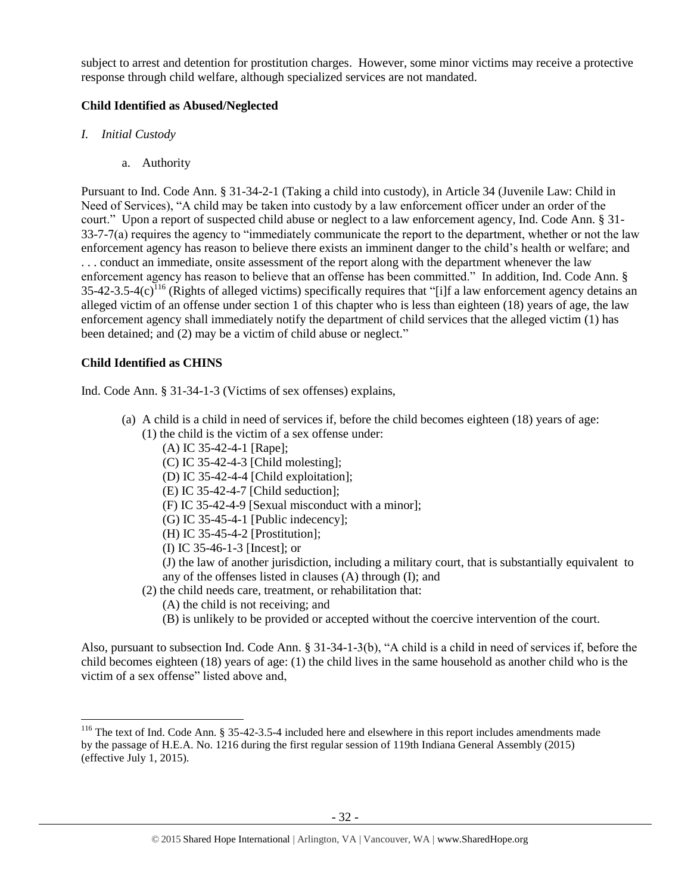subject to arrest and detention for prostitution charges. However, some minor victims may receive a protective response through child welfare, although specialized services are not mandated.

# **Child Identified as Abused/Neglected**

- *I. Initial Custody*
	- a. Authority

Pursuant to Ind. Code Ann. § 31-34-2-1 (Taking a child into custody), in Article 34 (Juvenile Law: Child in Need of Services), "A child may be taken into custody by a law enforcement officer under an order of the court." Upon a report of suspected child abuse or neglect to a law enforcement agency, Ind. Code Ann. § 31- 33-7-7(a) requires the agency to "immediately communicate the report to the department, whether or not the law enforcement agency has reason to believe there exists an imminent danger to the child's health or welfare; and . . . conduct an immediate, onsite assessment of the report along with the department whenever the law enforcement agency has reason to believe that an offense has been committed." In addition, Ind. Code Ann. §  $35-42-3.5-4(c)$ <sup>116</sup> (Rights of alleged victims) specifically requires that "[i]f a law enforcement agency detains an alleged victim of an offense under section 1 of this chapter who is less than eighteen (18) years of age, the law enforcement agency shall immediately notify the department of child services that the alleged victim (1) has been detained; and (2) may be a victim of child abuse or neglect."

# <span id="page-31-0"></span>**Child Identified as CHINS**

 $\overline{\phantom{a}}$ 

Ind. Code Ann. § 31-34-1-3 (Victims of sex offenses) explains,

- (a) A child is a child in need of services if, before the child becomes eighteen (18) years of age:
	- (1) the child is the victim of a sex offense under:
		- (A) IC 35-42-4-1 [Rape];
		- (C) IC 35-42-4-3 [Child molesting];
		- (D) IC 35-42-4-4 [Child exploitation];
		- (E) IC 35-42-4-7 [Child seduction];
		- (F) IC 35-42-4-9 [Sexual misconduct with a minor];
		- (G) IC 35-45-4-1 [Public indecency];
		- (H) IC 35-45-4-2 [Prostitution];
		- (I) IC 35-46-1-3 [Incest]; or

(J) the law of another jurisdiction, including a military court, that is substantially equivalent to any of the offenses listed in clauses (A) through (I); and

- (2) the child needs care, treatment, or rehabilitation that:
	- (A) the child is not receiving; and
	- (B) is unlikely to be provided or accepted without the coercive intervention of the court.

Also, pursuant to subsection Ind. Code Ann. § 31-34-1-3(b), "A child is a child in need of services if, before the child becomes eighteen (18) years of age: (1) the child lives in the same household as another child who is the victim of a sex offense" listed above and,

 $116$  The text of Ind. Code Ann. § 35-42-3.5-4 included here and elsewhere in this report includes amendments made by the passage of H.E.A. No. 1216 during the first regular session of 119th Indiana General Assembly (2015) (effective July 1, 2015).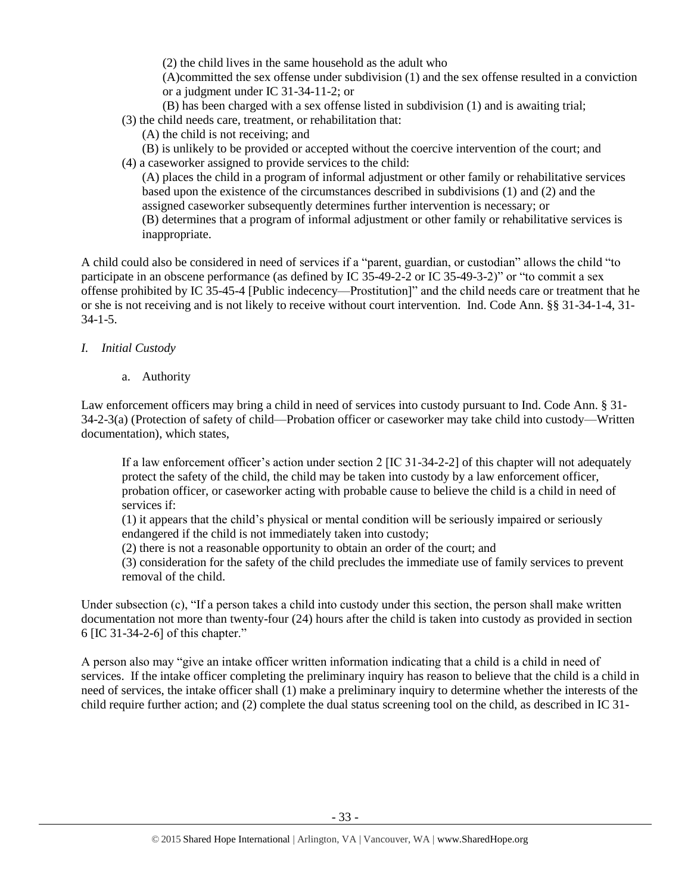(2) the child lives in the same household as the adult who

(A)committed the sex offense under subdivision (1) and the sex offense resulted in a conviction or a judgment under IC 31-34-11-2; or

(B) has been charged with a sex offense listed in subdivision (1) and is awaiting trial;

(3) the child needs care, treatment, or rehabilitation that:

- (A) the child is not receiving; and
- (B) is unlikely to be provided or accepted without the coercive intervention of the court; and
- (4) a caseworker assigned to provide services to the child: (A) places the child in a program of informal adjustment or other family or rehabilitative services based upon the existence of the circumstances described in subdivisions (1) and (2) and the assigned caseworker subsequently determines further intervention is necessary; or (B) determines that a program of informal adjustment or other family or rehabilitative services is

inappropriate.

A child could also be considered in need of services if a "parent, guardian, or custodian" allows the child "to participate in an obscene performance (as defined by IC 35-49-2-2 or IC 35-49-3-2)" or "to commit a sex offense prohibited by IC 35-45-4 [Public indecency—Prostitution]" and the child needs care or treatment that he or she is not receiving and is not likely to receive without court intervention. Ind. Code Ann. §§ 31-34-1-4, 31- 34-1-5.

# *I. Initial Custody*

a. Authority

Law enforcement officers may bring a child in need of services into custody pursuant to Ind. Code Ann. § 31- 34-2-3(a) (Protection of safety of child—Probation officer or caseworker may take child into custody—Written documentation), which states,

If a law enforcement officer's action under section 2 [IC 31-34-2-2] of this chapter will not adequately protect the safety of the child, the child may be taken into custody by a law enforcement officer, probation officer, or caseworker acting with probable cause to believe the child is a child in need of services if:

(1) it appears that the child's physical or mental condition will be seriously impaired or seriously endangered if the child is not immediately taken into custody;

(2) there is not a reasonable opportunity to obtain an order of the court; and

(3) consideration for the safety of the child precludes the immediate use of family services to prevent removal of the child.

Under subsection (c), "If a person takes a child into custody under this section, the person shall make written documentation not more than twenty-four (24) hours after the child is taken into custody as provided in section 6 [IC 31-34-2-6] of this chapter."

A person also may "give an intake officer written information indicating that a child is a child in need of services. If the intake officer completing the preliminary inquiry has reason to believe that the child is a child in need of services, the intake officer shall (1) make a preliminary inquiry to determine whether the interests of the child require further action; and (2) complete the dual status screening tool on the child, as described in IC 31-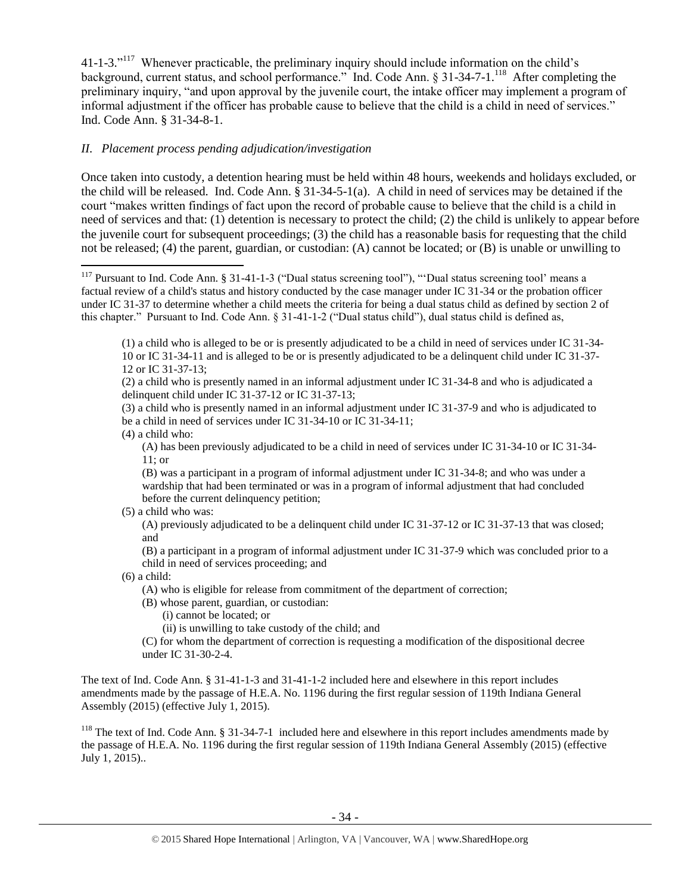<span id="page-33-0"></span>41-1-3."<sup>117</sup> Whenever practicable, the preliminary inquiry should include information on the child's background, current status, and school performance." Ind. Code Ann. § 31-34-7-1.<sup>118</sup> After completing the preliminary inquiry, "and upon approval by the juvenile court, the intake officer may implement a program of informal adjustment if the officer has probable cause to believe that the child is a child in need of services." Ind. Code Ann. § 31-34-8-1.

# *II. Placement process pending adjudication/investigation*

Once taken into custody, a detention hearing must be held within 48 hours, weekends and holidays excluded, or the child will be released. Ind. Code Ann. § 31-34-5-1(a). A child in need of services may be detained if the court "makes written findings of fact upon the record of probable cause to believe that the child is a child in need of services and that: (1) detention is necessary to protect the child; (2) the child is unlikely to appear before the juvenile court for subsequent proceedings; (3) the child has a reasonable basis for requesting that the child not be released; (4) the parent, guardian, or custodian: (A) cannot be located; or (B) is unable or unwilling to

(2) a child who is presently named in an informal adjustment under IC 31-34-8 and who is adjudicated a delinquent child under IC 31-37-12 or IC 31-37-13;

(3) a child who is presently named in an informal adjustment under IC 31-37-9 and who is adjudicated to be a child in need of services under IC 31-34-10 or IC 31-34-11;

(4) a child who:

(A) has been previously adjudicated to be a child in need of services under IC 31-34-10 or IC 31-34- 11; or

(B) was a participant in a program of informal adjustment under IC 31-34-8; and who was under a wardship that had been terminated or was in a program of informal adjustment that had concluded before the current delinquency petition;

#### (5) a child who was:

(A) previously adjudicated to be a delinquent child under IC 31-37-12 or IC 31-37-13 that was closed; and

(B) a participant in a program of informal adjustment under IC 31-37-9 which was concluded prior to a child in need of services proceeding; and

(6) a child:

(A) who is eligible for release from commitment of the department of correction;

(B) whose parent, guardian, or custodian:

(i) cannot be located; or

(ii) is unwilling to take custody of the child; and

(C) for whom the department of correction is requesting a modification of the dispositional decree under IC 31-30-2-4.

The text of Ind. Code Ann. § 31-41-1-3 and 31-41-1-2 included here and elsewhere in this report includes amendments made by the passage of H.E.A. No. 1196 during the first regular session of 119th Indiana General Assembly (2015) (effective July 1, 2015).

<sup>118</sup> The text of Ind. Code Ann.  $\S 31-34-7-1$  included here and elsewhere in this report includes amendments made by the passage of H.E.A. No. 1196 during the first regular session of 119th Indiana General Assembly (2015) (effective July 1, 2015)..

 $\overline{\phantom{a}}$ <sup>117</sup> Pursuant to Ind. Code Ann. § 31-41-1-3 ("Dual status screening tool"), "'Dual status screening tool' means a factual review of a child's status and history conducted by the case manager under IC 31-34 or the probation officer under IC 31-37 to determine whether a child meets the criteria for being a dual status child as defined by section 2 of this chapter." Pursuant to Ind. Code Ann. § 31-41-1-2 ("Dual status child"), dual status child is defined as,

<sup>(1)</sup> a child who is alleged to be or is presently adjudicated to be a child in need of services under IC 31-34- 10 or IC 31-34-11 and is alleged to be or is presently adjudicated to be a delinquent child under IC 31-37- 12 or IC 31-37-13;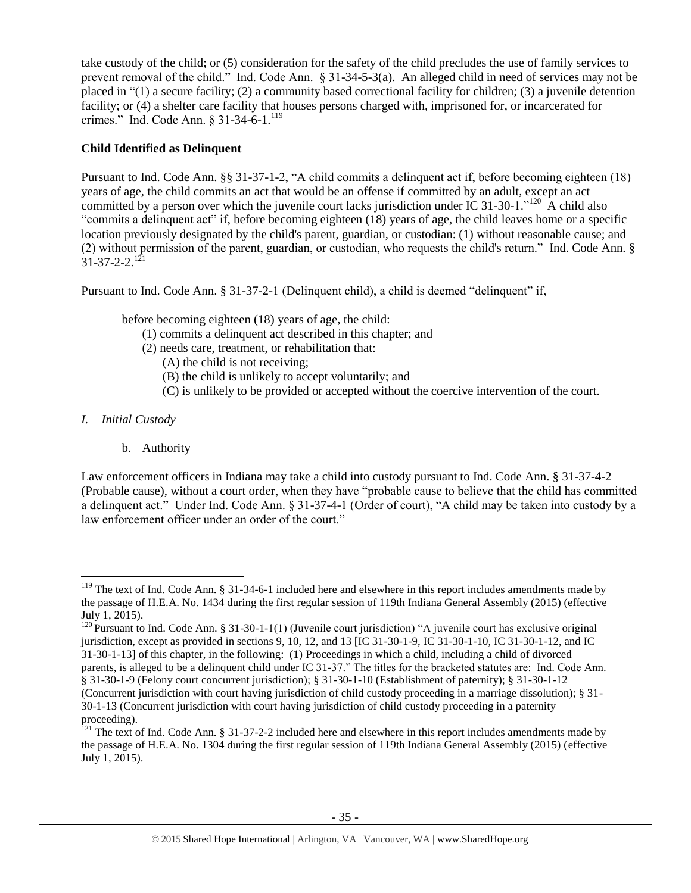take custody of the child; or (5) consideration for the safety of the child precludes the use of family services to prevent removal of the child." Ind. Code Ann. § 31-34-5-3(a). An alleged child in need of services may not be placed in "(1) a secure facility; (2) a community based correctional facility for children; (3) a juvenile detention facility; or (4) a shelter care facility that houses persons charged with, imprisoned for, or incarcerated for crimes." Ind. Code Ann. § 31-34-6-1.<sup>119</sup>

# **Child Identified as Delinquent**

Pursuant to Ind. Code Ann. §§ 31-37-1-2, "A child commits a delinquent act if, before becoming eighteen (18) years of age, the child commits an act that would be an offense if committed by an adult, except an act committed by a person over which the juvenile court lacks jurisdiction under IC 31-30-1."<sup>120</sup> A child also "commits a delinquent act" if, before becoming eighteen (18) years of age, the child leaves home or a specific location previously designated by the child's parent, guardian, or custodian: (1) without reasonable cause; and (2) without permission of the parent, guardian, or custodian, who requests the child's return." Ind. Code Ann. §  $31 - 37 - 2 - 2$ <sup>121</sup>

Pursuant to Ind. Code Ann. § 31-37-2-1 (Delinquent child), a child is deemed "delinquent" if,

before becoming eighteen (18) years of age, the child:

- (1) commits a delinquent act described in this chapter; and
- (2) needs care, treatment, or rehabilitation that:
	- (A) the child is not receiving;
	- (B) the child is unlikely to accept voluntarily; and
	- (C) is unlikely to be provided or accepted without the coercive intervention of the court.
- *I. Initial Custody*

 $\overline{a}$ 

b. Authority

Law enforcement officers in Indiana may take a child into custody pursuant to Ind. Code Ann. § 31-37-4-2 (Probable cause), without a court order, when they have "probable cause to believe that the child has committed a delinquent act." Under Ind. Code Ann. § 31-37-4-1 (Order of court), "A child may be taken into custody by a law enforcement officer under an order of the court."

 $119$  The text of Ind. Code Ann. § 31-34-6-1 included here and elsewhere in this report includes amendments made by the passage of H.E.A. No. 1434 during the first regular session of 119th Indiana General Assembly (2015) (effective July 1, 2015).

<sup>&</sup>lt;sup>120</sup> Pursuant to Ind. Code Ann. § 31-30-1-1(1) (Juvenile court jurisdiction) "A juvenile court has exclusive original jurisdiction, except as provided in sections 9, 10, 12, and 13 [IC 31-30-1-9, IC 31-30-1-10, IC 31-30-1-12, and IC 31-30-1-13] of this chapter, in the following: (1) Proceedings in which a child, including a child of divorced parents, is alleged to be a delinquent child under IC 31-37." The titles for the bracketed statutes are: Ind. Code Ann. § 31-30-1-9 (Felony court concurrent jurisdiction); § 31-30-1-10 (Establishment of paternity); § 31-30-1-12 (Concurrent jurisdiction with court having jurisdiction of child custody proceeding in a marriage dissolution); § 31- 30-1-13 (Concurrent jurisdiction with court having jurisdiction of child custody proceeding in a paternity proceeding).

 $121$  The text of Ind. Code Ann. § 31-37-2-2 included here and elsewhere in this report includes amendments made by the passage of H.E.A. No. 1304 during the first regular session of 119th Indiana General Assembly (2015) (effective July 1, 2015).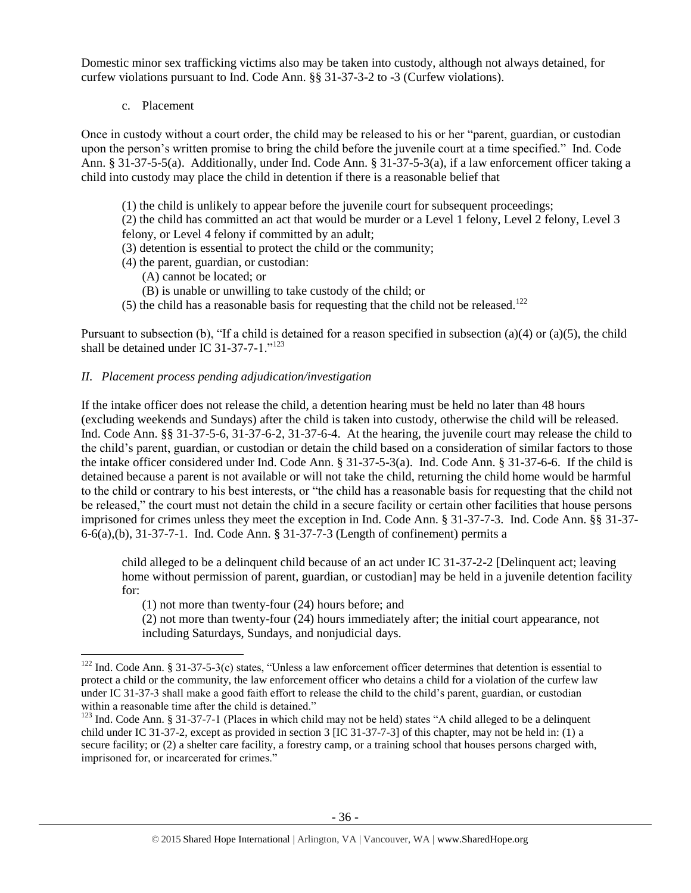Domestic minor sex trafficking victims also may be taken into custody, although not always detained, for curfew violations pursuant to Ind. Code Ann. §§ 31-37-3-2 to -3 (Curfew violations).

c. Placement

 $\overline{a}$ 

Once in custody without a court order, the child may be released to his or her "parent, guardian, or custodian upon the person's written promise to bring the child before the juvenile court at a time specified." Ind. Code Ann. § 31-37-5-5(a). Additionally, under Ind. Code Ann. § 31-37-5-3(a), if a law enforcement officer taking a child into custody may place the child in detention if there is a reasonable belief that

- (1) the child is unlikely to appear before the juvenile court for subsequent proceedings;
- (2) the child has committed an act that would be murder or a Level 1 felony, Level 2 felony, Level 3 felony, or Level 4 felony if committed by an adult;
- (3) detention is essential to protect the child or the community;
- (4) the parent, guardian, or custodian:
	- (A) cannot be located; or
	- (B) is unable or unwilling to take custody of the child; or
- (5) the child has a reasonable basis for requesting that the child not be released.<sup>122</sup>

Pursuant to subsection (b), "If a child is detained for a reason specified in subsection (a)(4) or (a)(5), the child shall be detained under IC 31-37-7-1."<sup>123</sup>

#### *II. Placement process pending adjudication/investigation*

If the intake officer does not release the child, a detention hearing must be held no later than 48 hours (excluding weekends and Sundays) after the child is taken into custody, otherwise the child will be released. Ind. Code Ann. §§ 31-37-5-6, 31-37-6-2, 31-37-6-4. At the hearing, the juvenile court may release the child to the child's parent, guardian, or custodian or detain the child based on a consideration of similar factors to those the intake officer considered under Ind. Code Ann. § 31-37-5-3(a). Ind. Code Ann. § 31-37-6-6. If the child is detained because a parent is not available or will not take the child, returning the child home would be harmful to the child or contrary to his best interests, or "the child has a reasonable basis for requesting that the child not be released," the court must not detain the child in a secure facility or certain other facilities that house persons imprisoned for crimes unless they meet the exception in Ind. Code Ann. § 31-37-7-3. Ind. Code Ann. §§ 31-37- 6-6(a),(b), 31-37-7-1. Ind. Code Ann. § 31-37-7-3 (Length of confinement) permits a

child alleged to be a delinquent child because of an act under IC 31-37-2-2 [Delinquent act; leaving home without permission of parent, guardian, or custodian] may be held in a juvenile detention facility for:

(1) not more than twenty-four (24) hours before; and

(2) not more than twenty-four (24) hours immediately after; the initial court appearance, not including Saturdays, Sundays, and nonjudicial days.

 $122$  Ind. Code Ann. § 31-37-5-3(c) states, "Unless a law enforcement officer determines that detention is essential to protect a child or the community, the law enforcement officer who detains a child for a violation of the curfew law under IC 31-37-3 shall make a good faith effort to release the child to the child's parent, guardian, or custodian within a reasonable time after the child is detained."

<sup>&</sup>lt;sup>123</sup> Ind. Code Ann. § 31-37-7-1 (Places in which child may not be held) states "A child alleged to be a delinquent child under IC 31-37-2, except as provided in section 3 [IC 31-37-7-3] of this chapter, may not be held in: (1) a secure facility; or (2) a shelter care facility, a forestry camp, or a training school that houses persons charged with, imprisoned for, or incarcerated for crimes."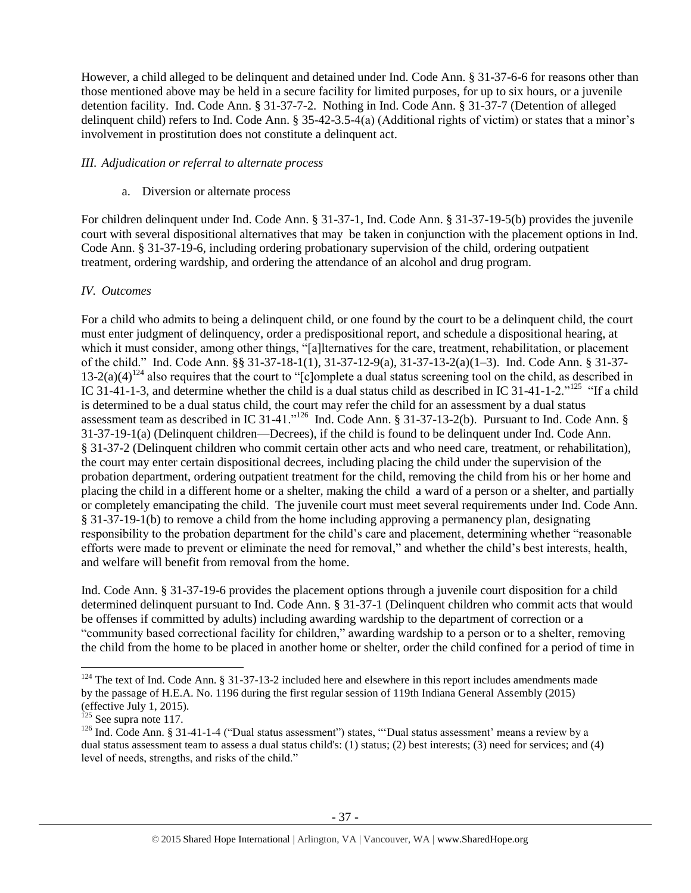However, a child alleged to be delinquent and detained under Ind. Code Ann. § 31-37-6-6 for reasons other than those mentioned above may be held in a secure facility for limited purposes, for up to six hours, or a juvenile detention facility. Ind. Code Ann. § 31-37-7-2. Nothing in Ind. Code Ann. § 31-37-7 (Detention of alleged delinquent child) refers to Ind. Code Ann. § 35-42-3.5-4(a) (Additional rights of victim) or states that a minor's involvement in prostitution does not constitute a delinquent act.

#### *III. Adjudication or referral to alternate process*

# a. Diversion or alternate process

For children delinquent under Ind. Code Ann. § 31-37-1, Ind. Code Ann. § 31-37-19-5(b) provides the juvenile court with several dispositional alternatives that may be taken in conjunction with the placement options in Ind. Code Ann. § 31-37-19-6, including ordering probationary supervision of the child, ordering outpatient treatment, ordering wardship, and ordering the attendance of an alcohol and drug program.

# *IV. Outcomes*

For a child who admits to being a delinquent child, or one found by the court to be a delinquent child, the court must enter judgment of delinquency, order a predispositional report, and schedule a dispositional hearing, at which it must consider, among other things, "[a]lternatives for the care, treatment, rehabilitation, or placement of the child." Ind. Code Ann. §§ 31-37-18-1(1), 31-37-12-9(a), 31-37-13-2(a)(1–3). Ind. Code Ann. § 31-37- 13-2(a)(4)<sup>124</sup> also requires that the court to "[c]omplete a dual status screening tool on the child, as described in IC 31-41-1-3, and determine whether the child is a dual status child as described in IC 31-41-1-2."<sup>125</sup> "If a child is determined to be a dual status child, the court may refer the child for an assessment by a dual status assessment team as described in IC 31-41."<sup>126</sup> Ind. Code Ann. § 31-37-13-2(b). Pursuant to Ind. Code Ann. § 31-37-19-1(a) (Delinquent children—Decrees), if the child is found to be delinquent under Ind. Code Ann. § 31-37-2 (Delinquent children who commit certain other acts and who need care, treatment, or rehabilitation), the court may enter certain dispositional decrees, including placing the child under the supervision of the probation department, ordering outpatient treatment for the child, removing the child from his or her home and placing the child in a different home or a shelter, making the child a ward of a person or a shelter, and partially or completely emancipating the child. The juvenile court must meet several requirements under Ind. Code Ann. § 31-37-19-1(b) to remove a child from the home including approving a permanency plan, designating responsibility to the probation department for the child's care and placement, determining whether "reasonable efforts were made to prevent or eliminate the need for removal," and whether the child's best interests, health, and welfare will benefit from removal from the home.

Ind. Code Ann. § 31-37-19-6 provides the placement options through a juvenile court disposition for a child determined delinquent pursuant to Ind. Code Ann. § 31-37-1 (Delinquent children who commit acts that would be offenses if committed by adults) including awarding wardship to the department of correction or a "community based correctional facility for children," awarding wardship to a person or to a shelter, removing the child from the home to be placed in another home or shelter, order the child confined for a period of time in

 $\overline{\phantom{a}}$ 

 $124$  The text of Ind. Code Ann. § 31-37-13-2 included here and elsewhere in this report includes amendments made by the passage of H.E.A. No. 1196 during the first regular session of 119th Indiana General Assembly (2015) (effective July 1, 2015).

 $125$  See supra note [117.](#page-33-0)

<sup>&</sup>lt;sup>126</sup> Ind. Code Ann. § 31-41-1-4 ("Dual status assessment") states, "'Dual status assessment' means a review by a dual status assessment team to assess a dual status child's: (1) status; (2) best interests; (3) need for services; and (4) level of needs, strengths, and risks of the child."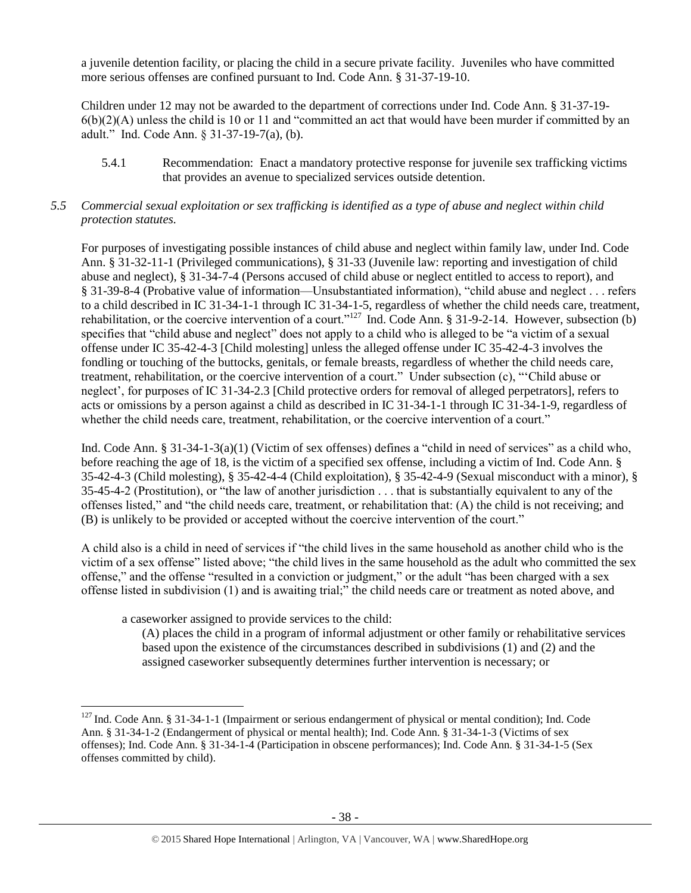a juvenile detention facility, or placing the child in a secure private facility. Juveniles who have committed more serious offenses are confined pursuant to Ind. Code Ann. § 31-37-19-10.

Children under 12 may not be awarded to the department of corrections under Ind. Code Ann. § 31-37-19-  $6(b)(2)(A)$  unless the child is 10 or 11 and "committed an act that would have been murder if committed by an adult." Ind. Code Ann. § 31-37-19-7(a), (b).

5.4.1 Recommendation: Enact a mandatory protective response for juvenile sex trafficking victims that provides an avenue to specialized services outside detention.

# *5.5 Commercial sexual exploitation or sex trafficking is identified as a type of abuse and neglect within child protection statutes.*

For purposes of investigating possible instances of child abuse and neglect within family law, under Ind. Code Ann. § 31-32-11-1 (Privileged communications), § 31-33 (Juvenile law: reporting and investigation of child abuse and neglect), § 31-34-7-4 (Persons accused of child abuse or neglect entitled to access to report), and § 31-39-8-4 (Probative value of information—Unsubstantiated information), "child abuse and neglect . . . refers to a child described in IC 31-34-1-1 through IC 31-34-1-5, regardless of whether the child needs care, treatment, rehabilitation, or the coercive intervention of a court."<sup>127</sup> Ind. Code Ann. § 31-9-2-14. However, subsection (b) specifies that "child abuse and neglect" does not apply to a child who is alleged to be "a victim of a sexual offense under IC 35-42-4-3 [Child molesting] unless the alleged offense under IC 35-42-4-3 involves the fondling or touching of the buttocks, genitals, or female breasts, regardless of whether the child needs care, treatment, rehabilitation, or the coercive intervention of a court." Under subsection (c), "'Child abuse or neglect', for purposes of IC 31-34-2.3 [Child protective orders for removal of alleged perpetrators], refers to acts or omissions by a person against a child as described in IC 31-34-1-1 through IC 31-34-1-9, regardless of whether the child needs care, treatment, rehabilitation, or the coercive intervention of a court."

Ind. Code Ann. § 31-34-1-3(a)(1) (Victim of sex offenses) defines a "child in need of services" as a child who, before reaching the age of 18, is the victim of a specified sex offense, including a victim of Ind. Code Ann. § 35-42-4-3 (Child molesting), § 35-42-4-4 (Child exploitation), § 35-42-4-9 (Sexual misconduct with a minor), § 35-45-4-2 (Prostitution), or "the law of another jurisdiction . . . that is substantially equivalent to any of the offenses listed," and "the child needs care, treatment, or rehabilitation that: (A) the child is not receiving; and (B) is unlikely to be provided or accepted without the coercive intervention of the court."

A child also is a child in need of services if "the child lives in the same household as another child who is the victim of a sex offense" listed above; "the child lives in the same household as the adult who committed the sex offense," and the offense "resulted in a conviction or judgment," or the adult "has been charged with a sex offense listed in subdivision (1) and is awaiting trial;" the child needs care or treatment as noted above, and

a caseworker assigned to provide services to the child:

 $\overline{\phantom{a}}$ 

(A) places the child in a program of informal adjustment or other family or rehabilitative services based upon the existence of the circumstances described in subdivisions (1) and (2) and the assigned caseworker subsequently determines further intervention is necessary; or

 $127$  Ind. Code Ann. § 31-34-1-1 (Impairment or serious endangerment of physical or mental condition); Ind. Code Ann. § 31-34-1-2 (Endangerment of physical or mental health); Ind. Code Ann. § 31-34-1-3 (Victims of sex offenses); Ind. Code Ann. § 31-34-1-4 (Participation in obscene performances); Ind. Code Ann. § 31-34-1-5 (Sex offenses committed by child).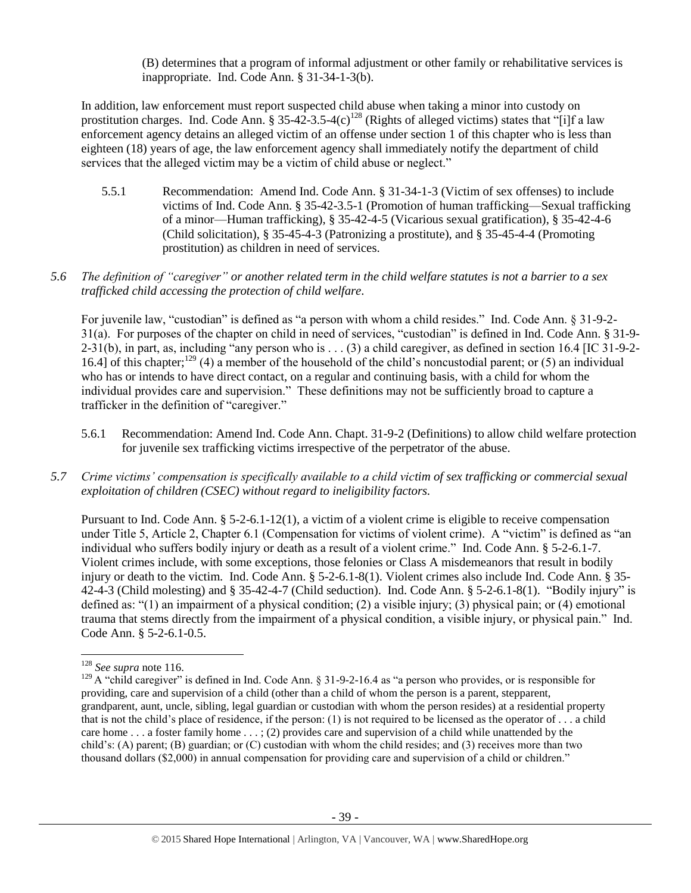(B) determines that a program of informal adjustment or other family or rehabilitative services is inappropriate. Ind. Code Ann. § 31-34-1-3(b).

In addition, law enforcement must report suspected child abuse when taking a minor into custody on prostitution charges. Ind. Code Ann. § 35-42-3.5-4(c)<sup>128</sup> (Rights of alleged victims) states that "[i]f a law enforcement agency detains an alleged victim of an offense under section 1 of this chapter who is less than eighteen (18) years of age, the law enforcement agency shall immediately notify the department of child services that the alleged victim may be a victim of child abuse or neglect."

5.5.1 Recommendation: Amend Ind. Code Ann. § 31-34-1-3 (Victim of sex offenses) to include victims of Ind. Code Ann. § 35-42-3.5-1 (Promotion of human trafficking—Sexual trafficking of a minor—Human trafficking), § 35-42-4-5 (Vicarious sexual gratification), § 35-42-4-6 (Child solicitation), § 35-45-4-3 (Patronizing a prostitute), and § 35-45-4-4 (Promoting prostitution) as children in need of services.

# *5.6 The definition of "caregiver" or another related term in the child welfare statutes is not a barrier to a sex trafficked child accessing the protection of child welfare.*

For juvenile law, "custodian" is defined as "a person with whom a child resides." Ind. Code Ann. § 31-9-2- 31(a). For purposes of the chapter on child in need of services, "custodian" is defined in Ind. Code Ann. § 31-9- 2-31(b), in part, as, including "any person who is . . . (3) a child caregiver, as defined in section 16.4 [IC 31-9-2- 16.4] of this chapter;<sup>129</sup> (4) a member of the household of the child's noncustodial parent; or (5) an individual who has or intends to have direct contact, on a regular and continuing basis, with a child for whom the individual provides care and supervision." These definitions may not be sufficiently broad to capture a trafficker in the definition of "caregiver."

- 5.6.1 Recommendation: Amend Ind. Code Ann. Chapt. 31-9-2 (Definitions) to allow child welfare protection for juvenile sex trafficking victims irrespective of the perpetrator of the abuse.
- *5.7 Crime victims' compensation is specifically available to a child victim of sex trafficking or commercial sexual exploitation of children (CSEC) without regard to ineligibility factors.*

Pursuant to Ind. Code Ann. § 5-2-6.1-12(1), a victim of a violent crime is eligible to receive compensation under Title 5, Article 2, Chapter 6.1 (Compensation for victims of violent crime). A "victim" is defined as "an individual who suffers bodily injury or death as a result of a violent crime." Ind. Code Ann. § 5-2-6.1-7. Violent crimes include, with some exceptions, those felonies or Class A misdemeanors that result in bodily injury or death to the victim. Ind. Code Ann. § 5-2-6.1-8(1). Violent crimes also include Ind. Code Ann. § 35- 42-4-3 (Child molesting) and § 35-42-4-7 (Child seduction). Ind. Code Ann. § 5-2-6.1-8(1). "Bodily injury" is defined as: "(1) an impairment of a physical condition; (2) a visible injury; (3) physical pain; or (4) emotional trauma that stems directly from the impairment of a physical condition, a visible injury, or physical pain." Ind. Code Ann. § 5-2-6.1-0.5.

 $\overline{a}$ 

<sup>128</sup> *See supra* not[e 116.](#page-31-0)

<sup>&</sup>lt;sup>129</sup> A "child caregiver" is defined in Ind. Code Ann. § 31-9-2-16.4 as "a person who provides, or is responsible for providing, care and supervision of a child (other than a child of whom the person is a parent, stepparent, grandparent, aunt, uncle, sibling, legal guardian or custodian with whom the person resides) at a residential property that is not the child's place of residence, if the person: (1) is not required to be licensed as the operator of . . . a child care home . . . a foster family home . . . ; (2) provides care and supervision of a child while unattended by the child's: (A) parent; (B) guardian; or (C) custodian with whom the child resides; and (3) receives more than two thousand dollars (\$2,000) in annual compensation for providing care and supervision of a child or children."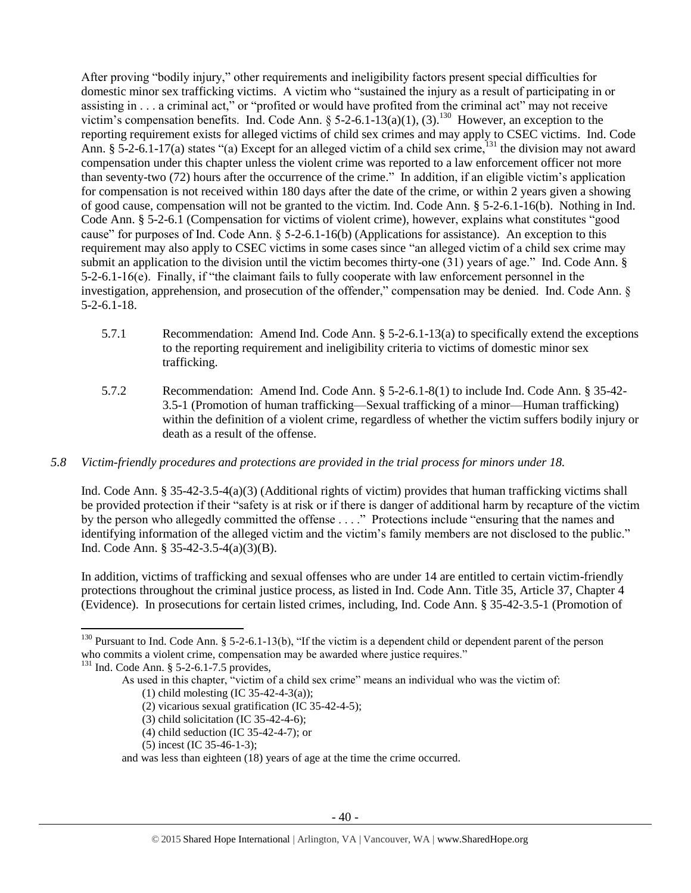After proving "bodily injury," other requirements and ineligibility factors present special difficulties for domestic minor sex trafficking victims. A victim who "sustained the injury as a result of participating in or assisting in . . . a criminal act," or "profited or would have profited from the criminal act" may not receive victim's compensation benefits. Ind. Code Ann. § 5-2-6.1-13(a)(1), (3).<sup>130</sup> However, an exception to the reporting requirement exists for alleged victims of child sex crimes and may apply to CSEC victims. Ind. Code Ann. § 5-2-6.1-17(a) states "(a) Except for an alleged victim of a child sex crime,  $^{131}$  the division may not award compensation under this chapter unless the violent crime was reported to a law enforcement officer not more than seventy-two (72) hours after the occurrence of the crime." In addition, if an eligible victim's application for compensation is not received within 180 days after the date of the crime, or within 2 years given a showing of good cause, compensation will not be granted to the victim. Ind. Code Ann. § 5-2-6.1-16(b). Nothing in Ind. Code Ann. § 5-2-6.1 (Compensation for victims of violent crime), however, explains what constitutes "good cause" for purposes of Ind. Code Ann. § 5-2-6.1-16(b) (Applications for assistance). An exception to this requirement may also apply to CSEC victims in some cases since "an alleged victim of a child sex crime may submit an application to the division until the victim becomes thirty-one (31) years of age." Ind. Code Ann. § 5-2-6.1-16(e). Finally, if "the claimant fails to fully cooperate with law enforcement personnel in the investigation, apprehension, and prosecution of the offender," compensation may be denied. Ind. Code Ann. § 5-2-6.1-18.

- 5.7.1 Recommendation: Amend Ind. Code Ann. § 5-2-6.1-13(a) to specifically extend the exceptions to the reporting requirement and ineligibility criteria to victims of domestic minor sex trafficking.
- 5.7.2 Recommendation: Amend Ind. Code Ann. § 5-2-6.1-8(1) to include Ind. Code Ann. § 35-42- 3.5-1 (Promotion of human trafficking—Sexual trafficking of a minor—Human trafficking) within the definition of a violent crime, regardless of whether the victim suffers bodily injury or death as a result of the offense.

# *5.8 Victim-friendly procedures and protections are provided in the trial process for minors under 18.*

Ind. Code Ann. § 35-42-3.5-4(a)(3) (Additional rights of victim) provides that human trafficking victims shall be provided protection if their "safety is at risk or if there is danger of additional harm by recapture of the victim by the person who allegedly committed the offense . . . ." Protections include "ensuring that the names and identifying information of the alleged victim and the victim's family members are not disclosed to the public." Ind. Code Ann. § 35-42-3.5-4(a)(3)(B).

In addition, victims of trafficking and sexual offenses who are under 14 are entitled to certain victim-friendly protections throughout the criminal justice process, as listed in Ind. Code Ann. Title 35, Article 37, Chapter 4 (Evidence). In prosecutions for certain listed crimes, including, Ind. Code Ann. § 35-42-3.5-1 (Promotion of

 $\overline{\phantom{a}}$ 

(5) incest (IC 35-46-1-3);

<sup>&</sup>lt;sup>130</sup> Pursuant to Ind. Code Ann. § 5-2-6.1-13(b), "If the victim is a dependent child or dependent parent of the person who commits a violent crime, compensation may be awarded where justice requires."

<sup>&</sup>lt;sup>131</sup> Ind. Code Ann. § 5-2-6.1-7.5 provides,

As used in this chapter, "victim of a child sex crime" means an individual who was the victim of:

<sup>(1)</sup> child molesting (IC 35-42-4-3(a));

<sup>(2)</sup> vicarious sexual gratification (IC 35-42-4-5);

<sup>(3)</sup> child solicitation (IC 35-42-4-6);

<sup>(4)</sup> child seduction (IC 35-42-4-7); or

and was less than eighteen (18) years of age at the time the crime occurred.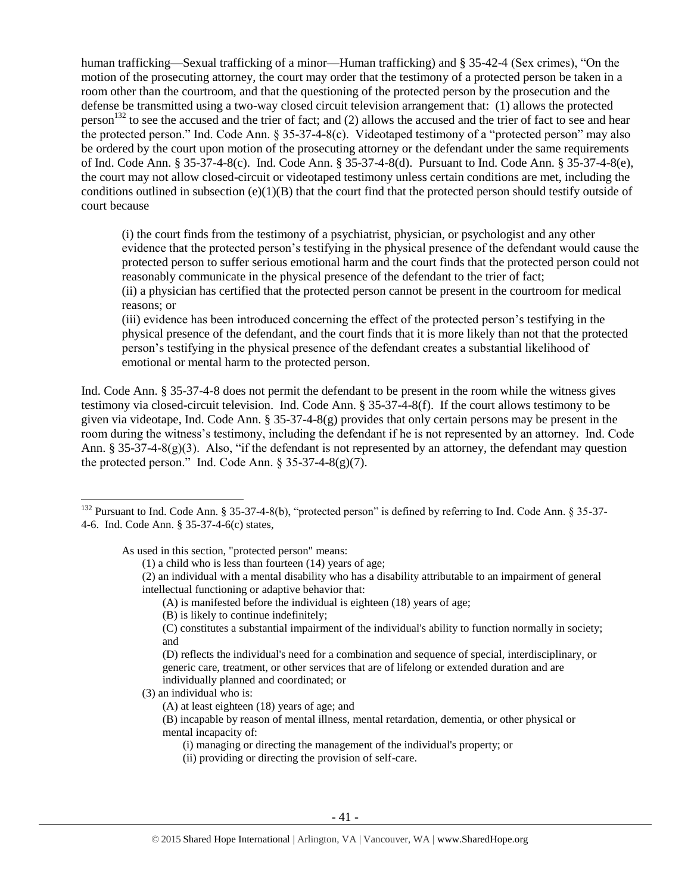human trafficking—Sexual trafficking of a minor—Human trafficking) and § 35-42-4 (Sex crimes), "On the motion of the prosecuting attorney, the court may order that the testimony of a protected person be taken in a room other than the courtroom, and that the questioning of the protected person by the prosecution and the defense be transmitted using a two-way closed circuit television arrangement that: (1) allows the protected person<sup>132</sup> to see the accused and the trier of fact; and  $(2)$  allows the accused and the trier of fact to see and hear the protected person." Ind. Code Ann. § 35-37-4-8(c). Videotaped testimony of a "protected person" may also be ordered by the court upon motion of the prosecuting attorney or the defendant under the same requirements of Ind. Code Ann. § 35-37-4-8(c). Ind. Code Ann. § 35-37-4-8(d). Pursuant to Ind. Code Ann. § 35-37-4-8(e), the court may not allow closed-circuit or videotaped testimony unless certain conditions are met, including the conditions outlined in subsection  $(e)(1)(B)$  that the court find that the protected person should testify outside of court because

(i) the court finds from the testimony of a psychiatrist, physician, or psychologist and any other evidence that the protected person's testifying in the physical presence of the defendant would cause the protected person to suffer serious emotional harm and the court finds that the protected person could not reasonably communicate in the physical presence of the defendant to the trier of fact; (ii) a physician has certified that the protected person cannot be present in the courtroom for medical reasons; or

(iii) evidence has been introduced concerning the effect of the protected person's testifying in the physical presence of the defendant, and the court finds that it is more likely than not that the protected person's testifying in the physical presence of the defendant creates a substantial likelihood of emotional or mental harm to the protected person.

Ind. Code Ann. § 35-37-4-8 does not permit the defendant to be present in the room while the witness gives testimony via closed-circuit television. Ind. Code Ann. § 35-37-4-8(f). If the court allows testimony to be given via videotape, Ind. Code Ann. § 35-37-4-8(g) provides that only certain persons may be present in the room during the witness's testimony, including the defendant if he is not represented by an attorney. Ind. Code Ann. § 35-37-4-8(g)(3). Also, "if the defendant is not represented by an attorney, the defendant may question the protected person." Ind. Code Ann.  $\S 35-37-4-8(g)(7)$ .

As used in this section, "protected person" means:

(D) reflects the individual's need for a combination and sequence of special, interdisciplinary, or generic care, treatment, or other services that are of lifelong or extended duration and are individually planned and coordinated; or

(3) an individual who is:

 $\overline{a}$ 

<sup>&</sup>lt;sup>132</sup> Pursuant to Ind. Code Ann. § 35-37-4-8(b), "protected person" is defined by referring to Ind. Code Ann. § 35-37-4-6. Ind. Code Ann. § 35-37-4-6(c) states,

<sup>(1)</sup> a child who is less than fourteen (14) years of age;

<sup>(2)</sup> an individual with a mental disability who has a disability attributable to an impairment of general intellectual functioning or adaptive behavior that:

<sup>(</sup>A) is manifested before the individual is eighteen (18) years of age;

<sup>(</sup>B) is likely to continue indefinitely;

<sup>(</sup>C) constitutes a substantial impairment of the individual's ability to function normally in society; and

<sup>(</sup>A) at least eighteen (18) years of age; and

<sup>(</sup>B) incapable by reason of mental illness, mental retardation, dementia, or other physical or mental incapacity of:

<sup>(</sup>i) managing or directing the management of the individual's property; or

<sup>(</sup>ii) providing or directing the provision of self-care.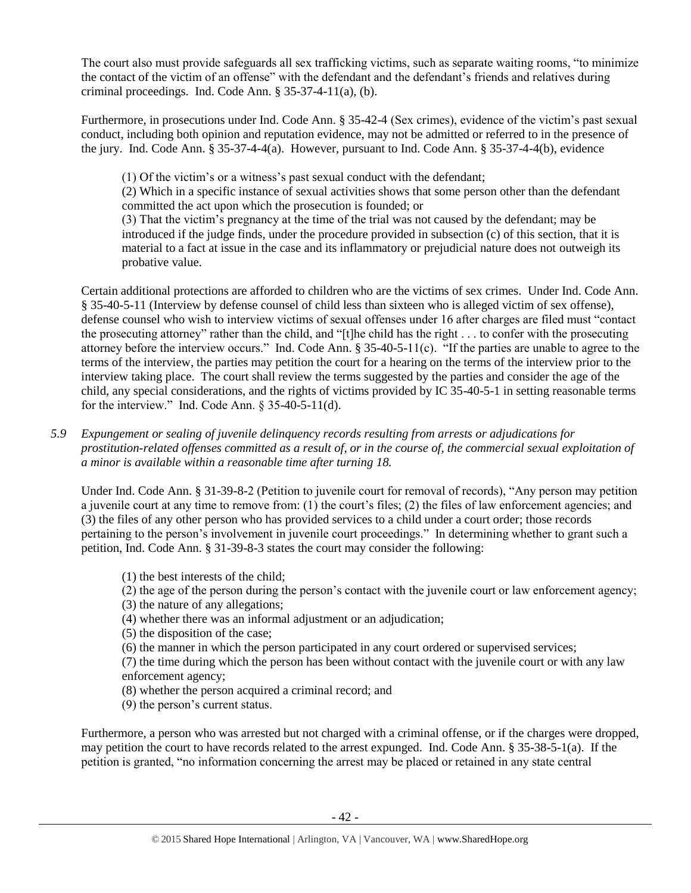The court also must provide safeguards all sex trafficking victims, such as separate waiting rooms, "to minimize the contact of the victim of an offense" with the defendant and the defendant's friends and relatives during criminal proceedings. Ind. Code Ann. § 35-37-4-11(a), (b).

Furthermore, in prosecutions under Ind. Code Ann. § 35-42-4 (Sex crimes), evidence of the victim's past sexual conduct, including both opinion and reputation evidence, may not be admitted or referred to in the presence of the jury. Ind. Code Ann. § 35-37-4-4(a). However, pursuant to Ind. Code Ann. § 35-37-4-4(b), evidence

(1) Of the victim's or a witness's past sexual conduct with the defendant;

(2) Which in a specific instance of sexual activities shows that some person other than the defendant committed the act upon which the prosecution is founded; or

(3) That the victim's pregnancy at the time of the trial was not caused by the defendant; may be introduced if the judge finds, under the procedure provided in subsection (c) of this section, that it is material to a fact at issue in the case and its inflammatory or prejudicial nature does not outweigh its probative value.

Certain additional protections are afforded to children who are the victims of sex crimes. Under Ind. Code Ann. § 35-40-5-11 (Interview by defense counsel of child less than sixteen who is alleged victim of sex offense), defense counsel who wish to interview victims of sexual offenses under 16 after charges are filed must "contact the prosecuting attorney" rather than the child, and "[t]he child has the right . . . to confer with the prosecuting attorney before the interview occurs." Ind. Code Ann. § 35-40-5-11(c). "If the parties are unable to agree to the terms of the interview, the parties may petition the court for a hearing on the terms of the interview prior to the interview taking place. The court shall review the terms suggested by the parties and consider the age of the child, any special considerations, and the rights of victims provided by IC 35-40-5-1 in setting reasonable terms for the interview." Ind. Code Ann. § 35-40-5-11(d).

*5.9 Expungement or sealing of juvenile delinquency records resulting from arrests or adjudications for prostitution-related offenses committed as a result of, or in the course of, the commercial sexual exploitation of a minor is available within a reasonable time after turning 18.*

Under Ind. Code Ann. § 31-39-8-2 (Petition to juvenile court for removal of records), "Any person may petition a juvenile court at any time to remove from: (1) the court's files; (2) the files of law enforcement agencies; and (3) the files of any other person who has provided services to a child under a court order; those records pertaining to the person's involvement in juvenile court proceedings." In determining whether to grant such a petition, Ind. Code Ann. § 31-39-8-3 states the court may consider the following:

- (1) the best interests of the child;
- (2) the age of the person during the person's contact with the juvenile court or law enforcement agency;
- (3) the nature of any allegations;
- (4) whether there was an informal adjustment or an adjudication;
- (5) the disposition of the case;
- (6) the manner in which the person participated in any court ordered or supervised services;

(7) the time during which the person has been without contact with the juvenile court or with any law enforcement agency;

- (8) whether the person acquired a criminal record; and
- (9) the person's current status.

Furthermore, a person who was arrested but not charged with a criminal offense, or if the charges were dropped, may petition the court to have records related to the arrest expunged. Ind. Code Ann. § 35-38-5-1(a). If the petition is granted, "no information concerning the arrest may be placed or retained in any state central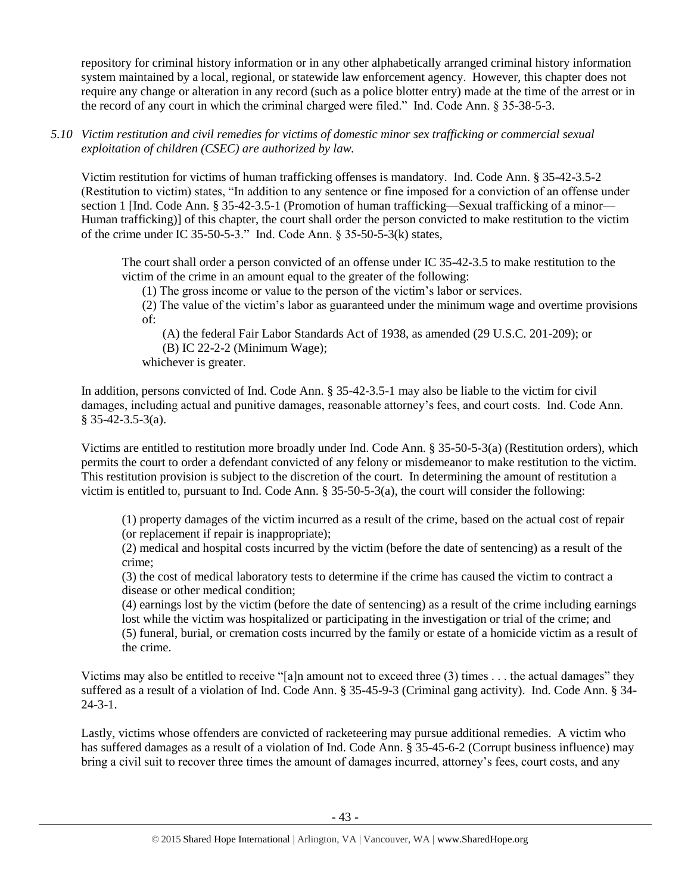repository for criminal history information or in any other alphabetically arranged criminal history information system maintained by a local, regional, or statewide law enforcement agency. However, this chapter does not require any change or alteration in any record (such as a police blotter entry) made at the time of the arrest or in the record of any court in which the criminal charged were filed." Ind. Code Ann. § 35-38-5-3.

*5.10 Victim restitution and civil remedies for victims of domestic minor sex trafficking or commercial sexual exploitation of children (CSEC) are authorized by law.* 

Victim restitution for victims of human trafficking offenses is mandatory. Ind. Code Ann. § 35-42-3.5-2 (Restitution to victim) states, "In addition to any sentence or fine imposed for a conviction of an offense under section 1 [Ind. Code Ann. § 35-42-3.5-1 (Promotion of human trafficking—Sexual trafficking of a minor— Human trafficking)] of this chapter, the court shall order the person convicted to make restitution to the victim of the crime under IC 35-50-5-3." Ind. Code Ann. § 35-50-5-3(k) states,

The court shall order a person convicted of an offense under IC 35-42-3.5 to make restitution to the victim of the crime in an amount equal to the greater of the following:

(1) The gross income or value to the person of the victim's labor or services.

(2) The value of the victim's labor as guaranteed under the minimum wage and overtime provisions of:

(A) the federal Fair Labor Standards Act of 1938, as amended (29 U.S.C. 201-209); or

(B) IC 22-2-2 (Minimum Wage);

whichever is greater.

In addition, persons convicted of Ind. Code Ann. § 35-42-3.5-1 may also be liable to the victim for civil damages, including actual and punitive damages, reasonable attorney's fees, and court costs. Ind. Code Ann.  $§$  35-42-3.5-3(a).

Victims are entitled to restitution more broadly under Ind. Code Ann. § 35-50-5-3(a) (Restitution orders), which permits the court to order a defendant convicted of any felony or misdemeanor to make restitution to the victim. This restitution provision is subject to the discretion of the court. In determining the amount of restitution a victim is entitled to, pursuant to Ind. Code Ann. § 35-50-5-3(a), the court will consider the following:

(1) property damages of the victim incurred as a result of the crime, based on the actual cost of repair (or replacement if repair is inappropriate);

(2) medical and hospital costs incurred by the victim (before the date of sentencing) as a result of the crime;

(3) the cost of medical laboratory tests to determine if the crime has caused the victim to contract a disease or other medical condition;

(4) earnings lost by the victim (before the date of sentencing) as a result of the crime including earnings lost while the victim was hospitalized or participating in the investigation or trial of the crime; and (5) funeral, burial, or cremation costs incurred by the family or estate of a homicide victim as a result of the crime.

Victims may also be entitled to receive "[a]n amount not to exceed three (3) times . . . the actual damages" they suffered as a result of a violation of Ind. Code Ann. § 35-45-9-3 (Criminal gang activity). Ind. Code Ann. § 34- 24-3-1.

Lastly, victims whose offenders are convicted of racketeering may pursue additional remedies. A victim who has suffered damages as a result of a violation of Ind. Code Ann. § 35-45-6-2 (Corrupt business influence) may bring a civil suit to recover three times the amount of damages incurred, attorney's fees, court costs, and any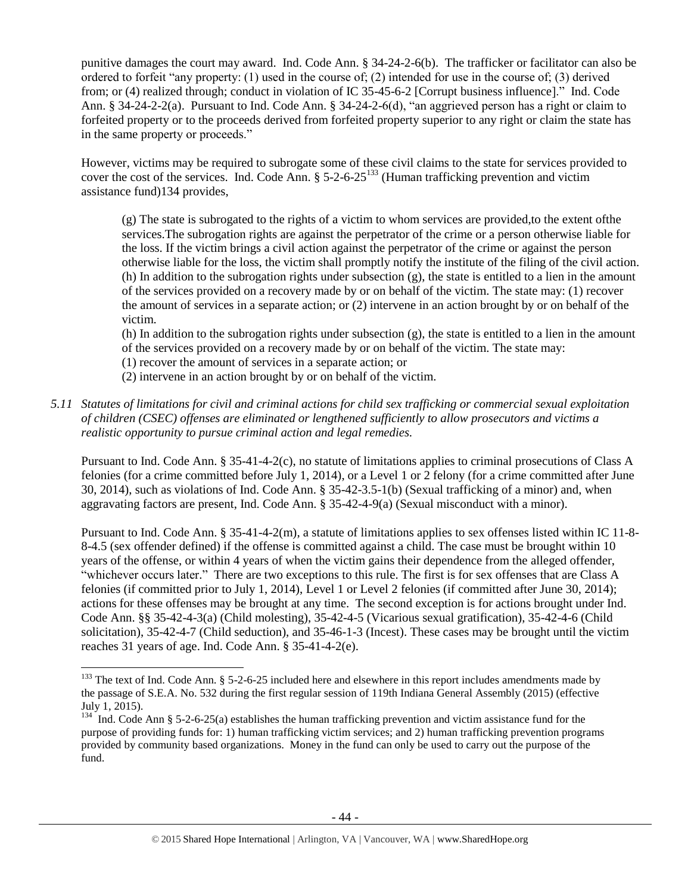punitive damages the court may award. Ind. Code Ann. § 34-24-2-6(b). The trafficker or facilitator can also be ordered to forfeit "any property: (1) used in the course of; (2) intended for use in the course of; (3) derived from; or (4) realized through; conduct in violation of IC 35-45-6-2 [Corrupt business influence]." Ind. Code Ann. § 34-24-2-2(a). Pursuant to Ind. Code Ann. § 34-24-2-6(d), "an aggrieved person has a right or claim to forfeited property or to the proceeds derived from forfeited property superior to any right or claim the state has in the same property or proceeds."

However, victims may be required to subrogate some of these civil claims to the state for services provided to cover the cost of the services. Ind. Code Ann. § 5-2-6-25<sup>133</sup> (Human trafficking prevention and victim assistance fund)134 provides,

(g) The state is subrogated to the rights of a victim to whom services are provided,to the extent ofthe services.The subrogation rights are against the perpetrator of the crime or a person otherwise liable for the loss. If the victim brings a civil action against the perpetrator of the crime or against the person otherwise liable for the loss, the victim shall promptly notify the institute of the filing of the civil action. (h) In addition to the subrogation rights under subsection (g), the state is entitled to a lien in the amount of the services provided on a recovery made by or on behalf of the victim. The state may: (1) recover the amount of services in a separate action; or (2) intervene in an action brought by or on behalf of the victim.

(h) In addition to the subrogation rights under subsection (g), the state is entitled to a lien in the amount of the services provided on a recovery made by or on behalf of the victim. The state may:

(1) recover the amount of services in a separate action; or

 $\overline{\phantom{a}}$ 

- (2) intervene in an action brought by or on behalf of the victim.
- *5.11 Statutes of limitations for civil and criminal actions for child sex trafficking or commercial sexual exploitation of children (CSEC) offenses are eliminated or lengthened sufficiently to allow prosecutors and victims a realistic opportunity to pursue criminal action and legal remedies.*

Pursuant to Ind. Code Ann. § 35-41-4-2(c), no statute of limitations applies to criminal prosecutions of Class A felonies (for a crime committed before July 1, 2014), or a Level 1 or 2 felony (for a crime committed after June 30, 2014), such as violations of Ind. Code Ann. § 35-42-3.5-1(b) (Sexual trafficking of a minor) and, when aggravating factors are present, Ind. Code Ann. § 35-42-4-9(a) (Sexual misconduct with a minor).

Pursuant to Ind. Code Ann. § 35-41-4-2(m), a statute of limitations applies to sex offenses listed within IC 11-8- 8-4.5 (sex offender defined) if the offense is committed against a child. The case must be brought within 10 years of the offense, or within 4 years of when the victim gains their dependence from the alleged offender, "whichever occurs later." There are two exceptions to this rule. The first is for sex offenses that are Class A felonies (if committed prior to July 1, 2014), Level 1 or Level 2 felonies (if committed after June 30, 2014); actions for these offenses may be brought at any time. The second exception is for actions brought under Ind. Code Ann. §§ 35-42-4-3(a) (Child molesting), 35-42-4-5 (Vicarious sexual gratification), 35-42-4-6 (Child solicitation), 35-42-4-7 (Child seduction), and 35-46-1-3 (Incest). These cases may be brought until the victim reaches 31 years of age. Ind. Code Ann. § 35-41-4-2(e).

 $133$  The text of Ind. Code Ann. § 5-2-6-25 included here and elsewhere in this report includes amendments made by the passage of S.E.A. No. 532 during the first regular session of 119th Indiana General Assembly (2015) (effective July 1, 2015).

<sup>&</sup>lt;sup>134</sup> Ind. Code Ann § 5-2-6-25(a) establishes the human trafficking prevention and victim assistance fund for the purpose of providing funds for: 1) human trafficking victim services; and 2) human trafficking prevention programs provided by community based organizations. Money in the fund can only be used to carry out the purpose of the fund.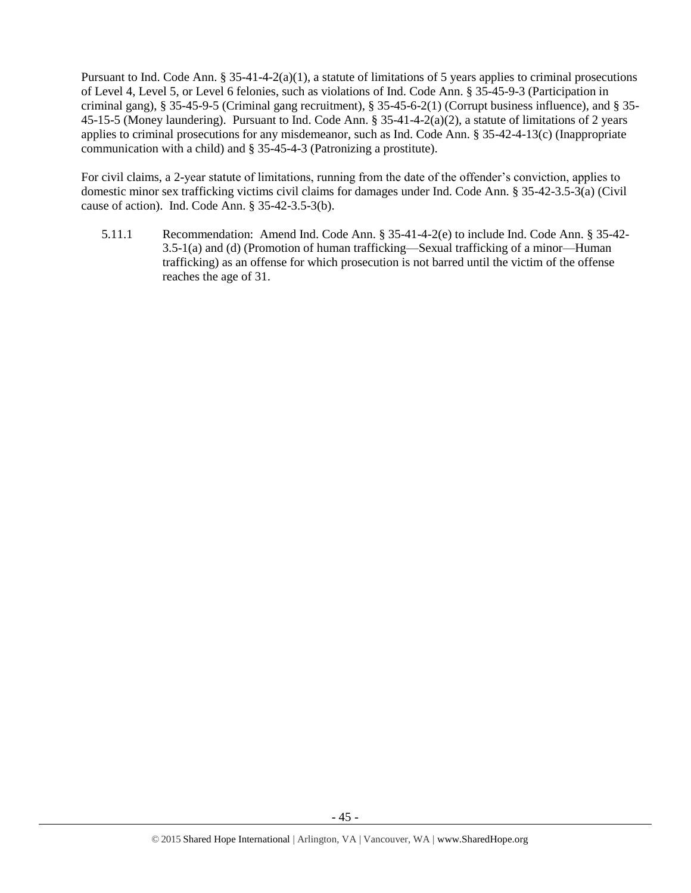Pursuant to Ind. Code Ann.  $\S 35-41-4-2(a)(1)$ , a statute of limitations of 5 years applies to criminal prosecutions of Level 4, Level 5, or Level 6 felonies, such as violations of Ind. Code Ann. § 35-45-9-3 (Participation in criminal gang), § 35-45-9-5 (Criminal gang recruitment), § 35-45-6-2(1) (Corrupt business influence), and § 35- 45-15-5 (Money laundering). Pursuant to Ind. Code Ann. § 35-41-4-2(a)(2), a statute of limitations of 2 years applies to criminal prosecutions for any misdemeanor, such as Ind. Code Ann. § 35-42-4-13(c) (Inappropriate communication with a child) and § 35-45-4-3 (Patronizing a prostitute).

For civil claims, a 2-year statute of limitations, running from the date of the offender's conviction, applies to domestic minor sex trafficking victims civil claims for damages under Ind. Code Ann. § 35-42-3.5-3(a) (Civil cause of action). Ind. Code Ann. § 35-42-3.5-3(b).

5.11.1 Recommendation: Amend Ind. Code Ann. § 35-41-4-2(e) to include Ind. Code Ann. § 35-42- 3.5-1(a) and (d) (Promotion of human trafficking—Sexual trafficking of a minor—Human trafficking) as an offense for which prosecution is not barred until the victim of the offense reaches the age of 31.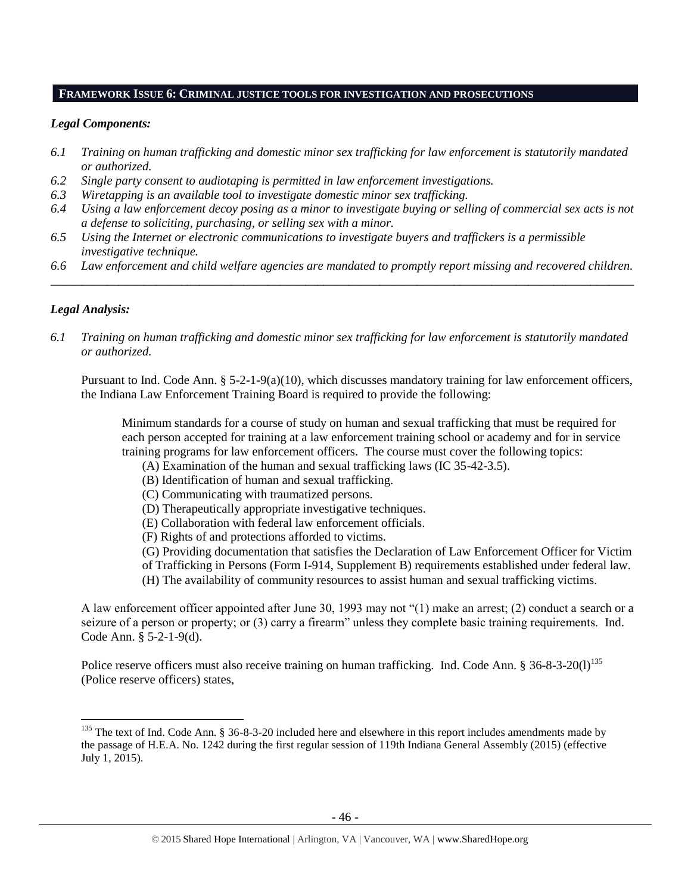#### **FRAMEWORK ISSUE 6: CRIMINAL JUSTICE TOOLS FOR INVESTIGATION AND PROSECUTIONS**

#### *Legal Components:*

- *6.1 Training on human trafficking and domestic minor sex trafficking for law enforcement is statutorily mandated or authorized.*
- *6.2 Single party consent to audiotaping is permitted in law enforcement investigations.*
- *6.3 Wiretapping is an available tool to investigate domestic minor sex trafficking.*
- *6.4 Using a law enforcement decoy posing as a minor to investigate buying or selling of commercial sex acts is not a defense to soliciting, purchasing, or selling sex with a minor.*
- *6.5 Using the Internet or electronic communications to investigate buyers and traffickers is a permissible investigative technique.*
- *6.6 Law enforcement and child welfare agencies are mandated to promptly report missing and recovered children. \_\_\_\_\_\_\_\_\_\_\_\_\_\_\_\_\_\_\_\_\_\_\_\_\_\_\_\_\_\_\_\_\_\_\_\_\_\_\_\_\_\_\_\_\_\_\_\_\_\_\_\_\_\_\_\_\_\_\_\_\_\_\_\_\_\_\_\_\_\_\_\_\_\_\_\_\_\_\_\_\_\_\_\_\_\_\_\_\_\_\_\_\_\_*

#### *Legal Analysis:*

 $\overline{\phantom{a}}$ 

*6.1 Training on human trafficking and domestic minor sex trafficking for law enforcement is statutorily mandated or authorized.*

Pursuant to Ind. Code Ann. § 5-2-1-9(a)(10), which discusses mandatory training for law enforcement officers, the Indiana Law Enforcement Training Board is required to provide the following:

Minimum standards for a course of study on human and sexual trafficking that must be required for each person accepted for training at a law enforcement training school or academy and for in service training programs for law enforcement officers. The course must cover the following topics:

- (A) Examination of the human and sexual trafficking laws (IC 35-42-3.5).
- (B) Identification of human and sexual trafficking.
- (C) Communicating with traumatized persons.
- (D) Therapeutically appropriate investigative techniques.
- (E) Collaboration with federal law enforcement officials.
- (F) Rights of and protections afforded to victims.
- (G) Providing documentation that satisfies the Declaration of Law Enforcement Officer for Victim of Trafficking in Persons (Form I-914, Supplement B) requirements established under federal law.
- (H) The availability of community resources to assist human and sexual trafficking victims.

A law enforcement officer appointed after June 30, 1993 may not "(1) make an arrest; (2) conduct a search or a seizure of a person or property; or (3) carry a firearm" unless they complete basic training requirements. Ind. Code Ann. § 5-2-1-9(d).

Police reserve officers must also receive training on human trafficking. Ind. Code Ann.  $\S 36$ -8-3-20(1)<sup>135</sup> (Police reserve officers) states,

 $135$  The text of Ind. Code Ann. § 36-8-3-20 included here and elsewhere in this report includes amendments made by the passage of H.E.A. No. 1242 during the first regular session of 119th Indiana General Assembly (2015) (effective July 1, 2015).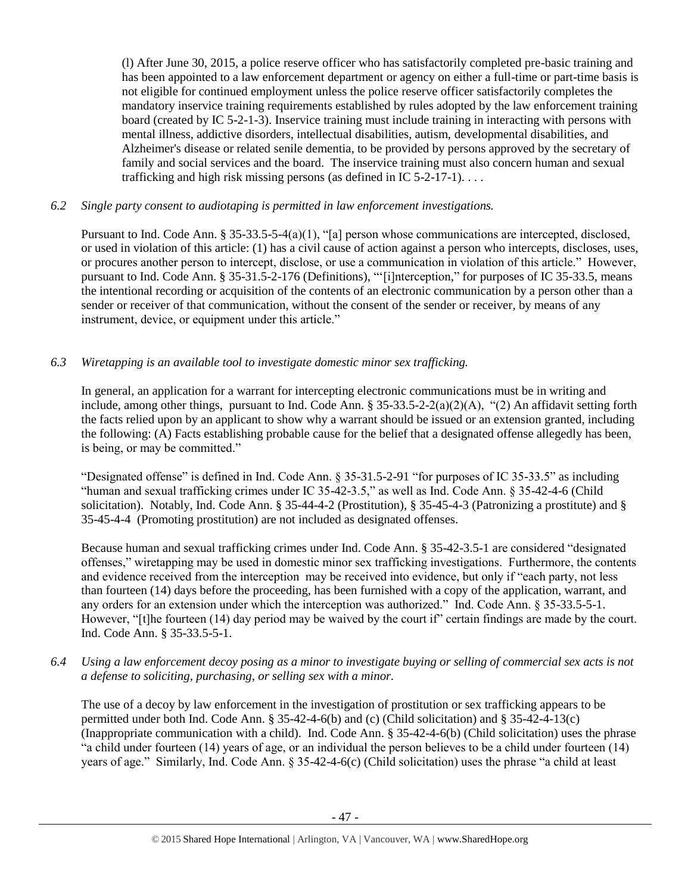(l) After June 30, 2015, a police reserve officer who has satisfactorily completed pre-basic training and has been appointed to a law enforcement department or agency on either a full-time or part-time basis is not eligible for continued employment unless the police reserve officer satisfactorily completes the mandatory inservice training requirements established by rules adopted by the law enforcement training board (created by IC 5-2-1-3). Inservice training must include training in interacting with persons with mental illness, addictive disorders, intellectual disabilities, autism, developmental disabilities, and Alzheimer's disease or related senile dementia, to be provided by persons approved by the secretary of family and social services and the board. The inservice training must also concern human and sexual trafficking and high risk missing persons (as defined in IC  $5-2-17-1$ )...

# *6.2 Single party consent to audiotaping is permitted in law enforcement investigations.*

Pursuant to Ind. Code Ann. § 35-33.5-5-4(a)(1), "[a] person whose communications are intercepted, disclosed, or used in violation of this article: (1) has a civil cause of action against a person who intercepts, discloses, uses, or procures another person to intercept, disclose, or use a communication in violation of this article." However, pursuant to Ind. Code Ann. § 35-31.5-2-176 (Definitions), "'[i]nterception," for purposes of IC 35-33.5, means the intentional recording or acquisition of the contents of an electronic communication by a person other than a sender or receiver of that communication, without the consent of the sender or receiver, by means of any instrument, device, or equipment under this article."

# *6.3 Wiretapping is an available tool to investigate domestic minor sex trafficking.*

In general, an application for a warrant for intercepting electronic communications must be in writing and include, among other things, pursuant to Ind. Code Ann.  $\S 35-33.5-2-2(a)(2)(A)$ , "(2) An affidavit setting forth the facts relied upon by an applicant to show why a warrant should be issued or an extension granted, including the following: (A) Facts establishing probable cause for the belief that a designated offense allegedly has been, is being, or may be committed."

"Designated offense" is defined in Ind. Code Ann. § 35-31.5-2-91 "for purposes of IC 35-33.5" as including "human and sexual trafficking crimes under IC 35-42-3.5," as well as Ind. Code Ann. § 35-42-4-6 (Child solicitation). Notably, Ind. Code Ann. § 35-44-4-2 (Prostitution), § 35-45-4-3 (Patronizing a prostitute) and § 35-45-4-4 (Promoting prostitution) are not included as designated offenses.

Because human and sexual trafficking crimes under Ind. Code Ann. § 35-42-3.5-1 are considered "designated offenses," wiretapping may be used in domestic minor sex trafficking investigations. Furthermore, the contents and evidence received from the interception may be received into evidence, but only if "each party, not less than fourteen (14) days before the proceeding, has been furnished with a copy of the application, warrant, and any orders for an extension under which the interception was authorized." Ind. Code Ann. § 35-33.5-5-1. However, "[t]he fourteen (14) day period may be waived by the court if" certain findings are made by the court. Ind. Code Ann. § 35-33.5-5-1.

*6.4 Using a law enforcement decoy posing as a minor to investigate buying or selling of commercial sex acts is not a defense to soliciting, purchasing, or selling sex with a minor.*

The use of a decoy by law enforcement in the investigation of prostitution or sex trafficking appears to be permitted under both Ind. Code Ann. § 35-42-4-6(b) and (c) (Child solicitation) and § 35-42-4-13(c) (Inappropriate communication with a child). Ind. Code Ann. § 35-42-4-6(b) (Child solicitation) uses the phrase "a child under fourteen (14) years of age, or an individual the person believes to be a child under fourteen (14) years of age." Similarly, Ind. Code Ann. § 35-42-4-6(c) (Child solicitation) uses the phrase "a child at least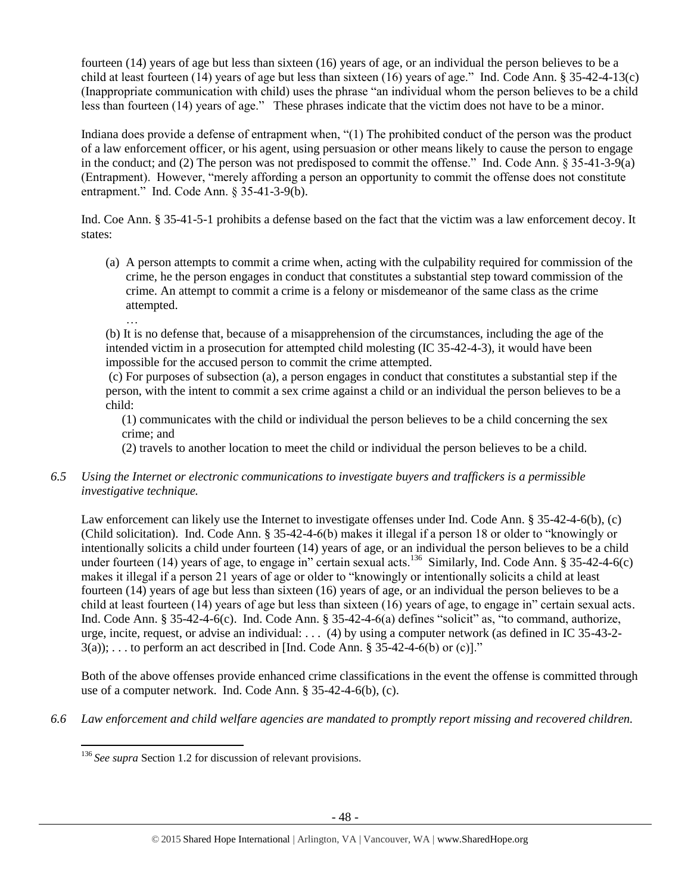fourteen (14) years of age but less than sixteen (16) years of age, or an individual the person believes to be a child at least fourteen (14) years of age but less than sixteen (16) years of age." Ind. Code Ann. § 35-42-4-13(c) (Inappropriate communication with child) uses the phrase "an individual whom the person believes to be a child less than fourteen (14) years of age." These phrases indicate that the victim does not have to be a minor.

Indiana does provide a defense of entrapment when, "(1) The prohibited conduct of the person was the product of a law enforcement officer, or his agent, using persuasion or other means likely to cause the person to engage in the conduct; and (2) The person was not predisposed to commit the offense." Ind. Code Ann. § 35-41-3-9(a) (Entrapment). However, "merely affording a person an opportunity to commit the offense does not constitute entrapment." Ind. Code Ann. § 35-41-3-9(b).

Ind. Coe Ann. § 35-41-5-1 prohibits a defense based on the fact that the victim was a law enforcement decoy. It states:

- (a) A person attempts to commit a crime when, acting with the culpability required for commission of the crime, he the person engages in conduct that constitutes a substantial step toward commission of the crime. An attempt to commit a crime is a felony or misdemeanor of the same class as the crime attempted.
	- …

 $\overline{\phantom{a}}$ 

(b) It is no defense that, because of a misapprehension of the circumstances, including the age of the intended victim in a prosecution for attempted child molesting (IC 35-42-4-3), it would have been impossible for the accused person to commit the crime attempted.

(c) For purposes of subsection (a), a person engages in conduct that constitutes a substantial step if the person, with the intent to commit a sex crime against a child or an individual the person believes to be a child:

(1) communicates with the child or individual the person believes to be a child concerning the sex crime; and

(2) travels to another location to meet the child or individual the person believes to be a child.

# *6.5 Using the Internet or electronic communications to investigate buyers and traffickers is a permissible investigative technique.*

Law enforcement can likely use the Internet to investigate offenses under Ind. Code Ann. § 35-42-4-6(b), (c) (Child solicitation). Ind. Code Ann. § 35-42-4-6(b) makes it illegal if a person 18 or older to "knowingly or intentionally solicits a child under fourteen (14) years of age, or an individual the person believes to be a child under fourteen (14) years of age, to engage in" certain sexual acts.<sup>136</sup> Similarly, Ind. Code Ann. § 35-42-4-6(c) makes it illegal if a person 21 years of age or older to "knowingly or intentionally solicits a child at least fourteen (14) years of age but less than sixteen (16) years of age, or an individual the person believes to be a child at least fourteen (14) years of age but less than sixteen (16) years of age, to engage in" certain sexual acts. Ind. Code Ann. § 35-42-4-6(c). Ind. Code Ann. § 35-42-4-6(a) defines "solicit" as, "to command, authorize, urge, incite, request, or advise an individual: . . . (4) by using a computer network (as defined in IC 35-43-2-  $3(a)$ ; ... to perform an act described in [Ind. Code Ann. § 35-42-4-6(b) or (c)]."

Both of the above offenses provide enhanced crime classifications in the event the offense is committed through use of a computer network. Ind. Code Ann. § 35-42-4-6(b), (c).

*6.6 Law enforcement and child welfare agencies are mandated to promptly report missing and recovered children.*

<sup>&</sup>lt;sup>136</sup> See supra Section 1.2 for discussion of relevant provisions.